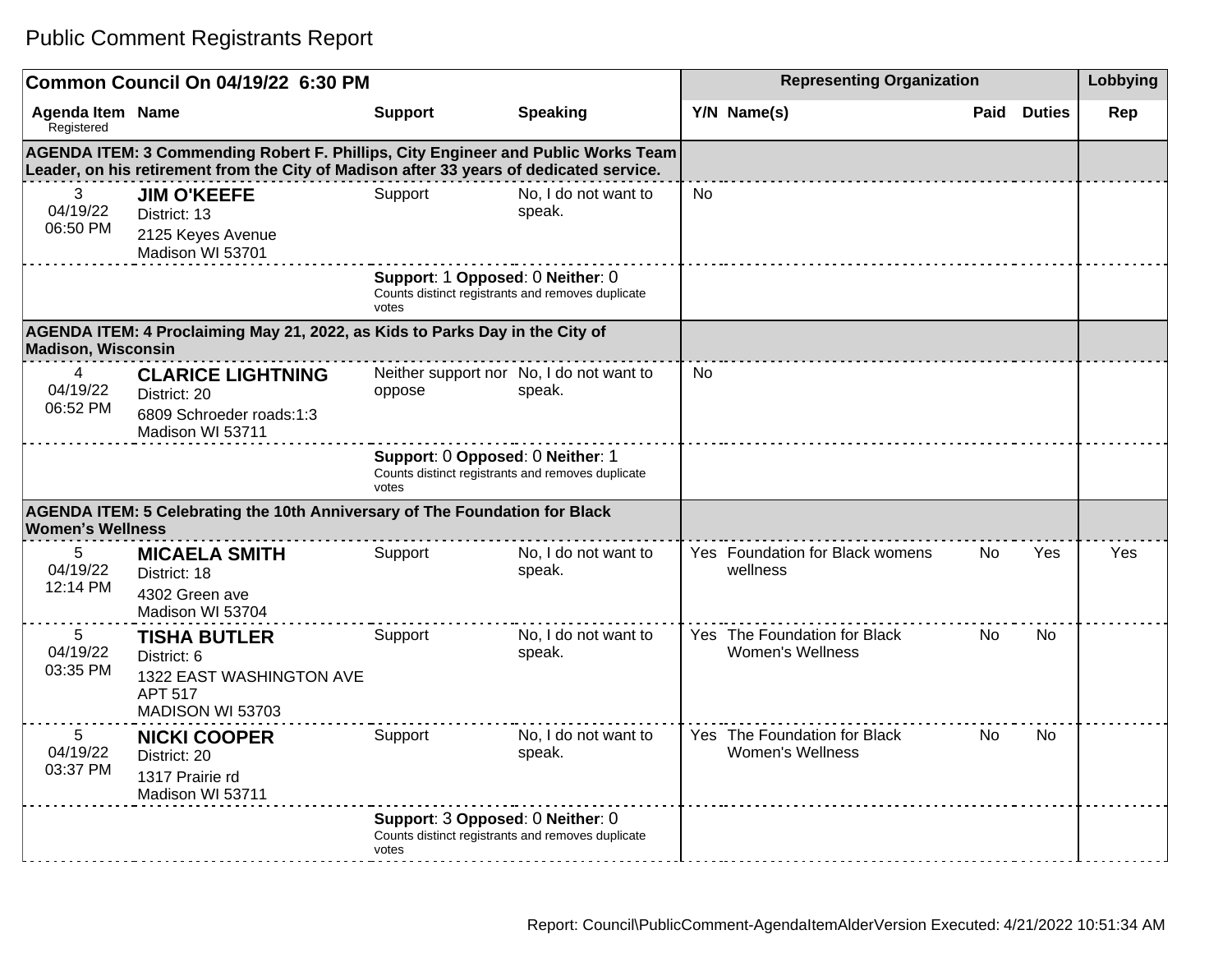|                                       | Common Council On 04/19/22 6:30 PM                                                                                                                                           |                                                                                                |                                                    |                | <b>Representing Organization</b>                        |      |               | Lobbying |
|---------------------------------------|------------------------------------------------------------------------------------------------------------------------------------------------------------------------------|------------------------------------------------------------------------------------------------|----------------------------------------------------|----------------|---------------------------------------------------------|------|---------------|----------|
| <b>Agenda Item Name</b><br>Registered |                                                                                                                                                                              | <b>Support</b>                                                                                 | <b>Speaking</b>                                    |                | Y/N Name(s)                                             | Paid | <b>Duties</b> | Rep      |
|                                       | AGENDA ITEM: 3 Commending Robert F. Phillips, City Engineer and Public Works Team<br>Leader, on his retirement from the City of Madison after 33 years of dedicated service. |                                                                                                |                                                    |                |                                                         |      |               |          |
| 3<br>04/19/22<br>06:50 PM             | <b>JIM O'KEEFE</b><br>District: 13<br>2125 Keyes Avenue<br>Madison WI 53701                                                                                                  | Support                                                                                        | No, I do not want to<br>speak.                     | N <sub>0</sub> |                                                         |      |               |          |
|                                       |                                                                                                                                                                              | Support: 1 Opposed: 0 Neither: 0<br>Counts distinct registrants and removes duplicate<br>votes |                                                    |                |                                                         |      |               |          |
| <b>Madison, Wisconsin</b>             | AGENDA ITEM: 4 Proclaiming May 21, 2022, as Kids to Parks Day in the City of                                                                                                 |                                                                                                |                                                    |                |                                                         |      |               |          |
| 4<br>04/19/22<br>06:52 PM             | <b>CLARICE LIGHTNING</b><br>District: 20<br>6809 Schroeder roads:1:3<br>Madison WI 53711                                                                                     | oppose                                                                                         | Neither support nor No, I do not want to<br>speak. | No             |                                                         |      |               |          |
|                                       |                                                                                                                                                                              | Support: 0 Opposed: 0 Neither: 1<br>Counts distinct registrants and removes duplicate<br>votes |                                                    |                |                                                         |      |               |          |
| <b>Women's Wellness</b>               | AGENDA ITEM: 5 Celebrating the 10th Anniversary of The Foundation for Black                                                                                                  |                                                                                                |                                                    |                |                                                         |      |               |          |
| 5<br>04/19/22<br>12:14 PM             | <b>MICAELA SMITH</b><br>District: 18<br>4302 Green ave<br>Madison WI 53704                                                                                                   | Support                                                                                        | No, I do not want to<br>speak.                     |                | Yes Foundation for Black womens<br>wellness             | No.  | <b>Yes</b>    | Yes      |
| 5<br>04/19/22<br>03:35 PM             | <b>TISHA BUTLER</b><br>District: 6<br>1322 EAST WASHINGTON AVE<br><b>APT 517</b><br>MADISON WI 53703                                                                         | Support                                                                                        | No, I do not want to<br>speak.                     |                | Yes The Foundation for Black<br><b>Women's Wellness</b> | No.  | No.           |          |
| 5<br>04/19/22<br>03:37 PM             | <b>NICKI COOPER</b><br>District: 20<br>1317 Prairie rd<br>Madison WI 53711                                                                                                   | Support                                                                                        | No, I do not want to<br>speak.                     |                | Yes The Foundation for Black<br><b>Women's Wellness</b> | No   | No            |          |
|                                       |                                                                                                                                                                              | Support: 3 Opposed: 0 Neither: 0<br>Counts distinct registrants and removes duplicate<br>votes |                                                    |                |                                                         |      |               |          |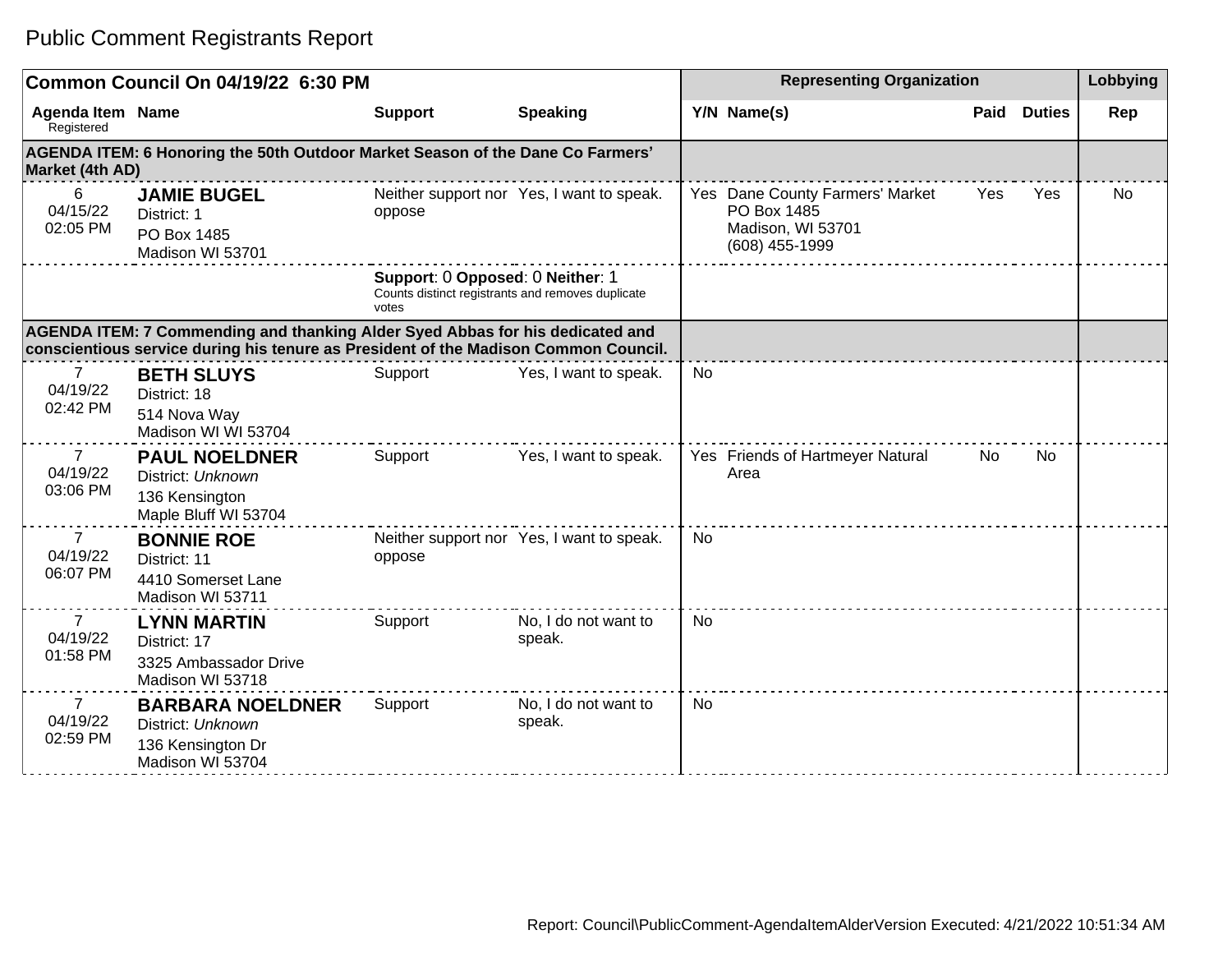|                                        | Common Council On 04/19/22 6:30 PM                                                                                                                                   |                                                                                                |                                           |           | <b>Representing Organization</b>                                                      |      |               | Lobbying |
|----------------------------------------|----------------------------------------------------------------------------------------------------------------------------------------------------------------------|------------------------------------------------------------------------------------------------|-------------------------------------------|-----------|---------------------------------------------------------------------------------------|------|---------------|----------|
| Agenda Item Name<br>Registered         |                                                                                                                                                                      | <b>Support</b>                                                                                 | <b>Speaking</b>                           |           | Y/N Name(s)                                                                           | Paid | <b>Duties</b> | Rep      |
| Market (4th AD)                        | AGENDA ITEM: 6 Honoring the 50th Outdoor Market Season of the Dane Co Farmers'                                                                                       |                                                                                                |                                           |           |                                                                                       |      |               |          |
| 6<br>04/15/22<br>02:05 PM              | <b>JAMIE BUGEL</b><br>District: 1<br>PO Box 1485<br>Madison WI 53701                                                                                                 | oppose                                                                                         | Neither support nor Yes, I want to speak. |           | Yes Dane County Farmers' Market<br>PO Box 1485<br>Madison, WI 53701<br>(608) 455-1999 | Yes  | Yes           | No       |
|                                        |                                                                                                                                                                      | Support: 0 Opposed: 0 Neither: 1<br>Counts distinct registrants and removes duplicate<br>votes |                                           |           |                                                                                       |      |               |          |
|                                        | AGENDA ITEM: 7 Commending and thanking Alder Syed Abbas for his dedicated and<br>conscientious service during his tenure as President of the Madison Common Council. |                                                                                                |                                           |           |                                                                                       |      |               |          |
| $\mathbf{7}$<br>04/19/22<br>02:42 PM   | <b>BETH SLUYS</b><br>District: 18<br>514 Nova Way<br>Madison WI WI 53704                                                                                             | Support                                                                                        | Yes, I want to speak.                     | <b>No</b> |                                                                                       |      |               |          |
| $\overline{7}$<br>04/19/22<br>03:06 PM | <b>PAUL NOELDNER</b><br>District: Unknown<br>136 Kensington<br>Maple Bluff WI 53704                                                                                  | Support                                                                                        | Yes, I want to speak.                     |           | Yes Friends of Hartmeyer Natural<br>Area                                              | No.  | <b>No</b>     |          |
| $\overline{7}$<br>04/19/22<br>06:07 PM | <b>BONNIE ROE</b><br>District: 11<br>4410 Somerset Lane<br>Madison WI 53711                                                                                          | oppose                                                                                         | Neither support nor Yes, I want to speak. | <b>No</b> |                                                                                       |      |               |          |
| $\overline{7}$<br>04/19/22<br>01:58 PM | <b>LYNN MARTIN</b><br>District: 17<br>3325 Ambassador Drive<br>Madison WI 53718                                                                                      | Support                                                                                        | No, I do not want to<br>speak.            | No        |                                                                                       |      |               |          |
| $\overline{7}$<br>04/19/22<br>02:59 PM | <b>BARBARA NOELDNER</b><br>District: Unknown<br>136 Kensington Dr<br>Madison WI 53704                                                                                | Support                                                                                        | No, I do not want to<br>speak.            | No        |                                                                                       |      |               |          |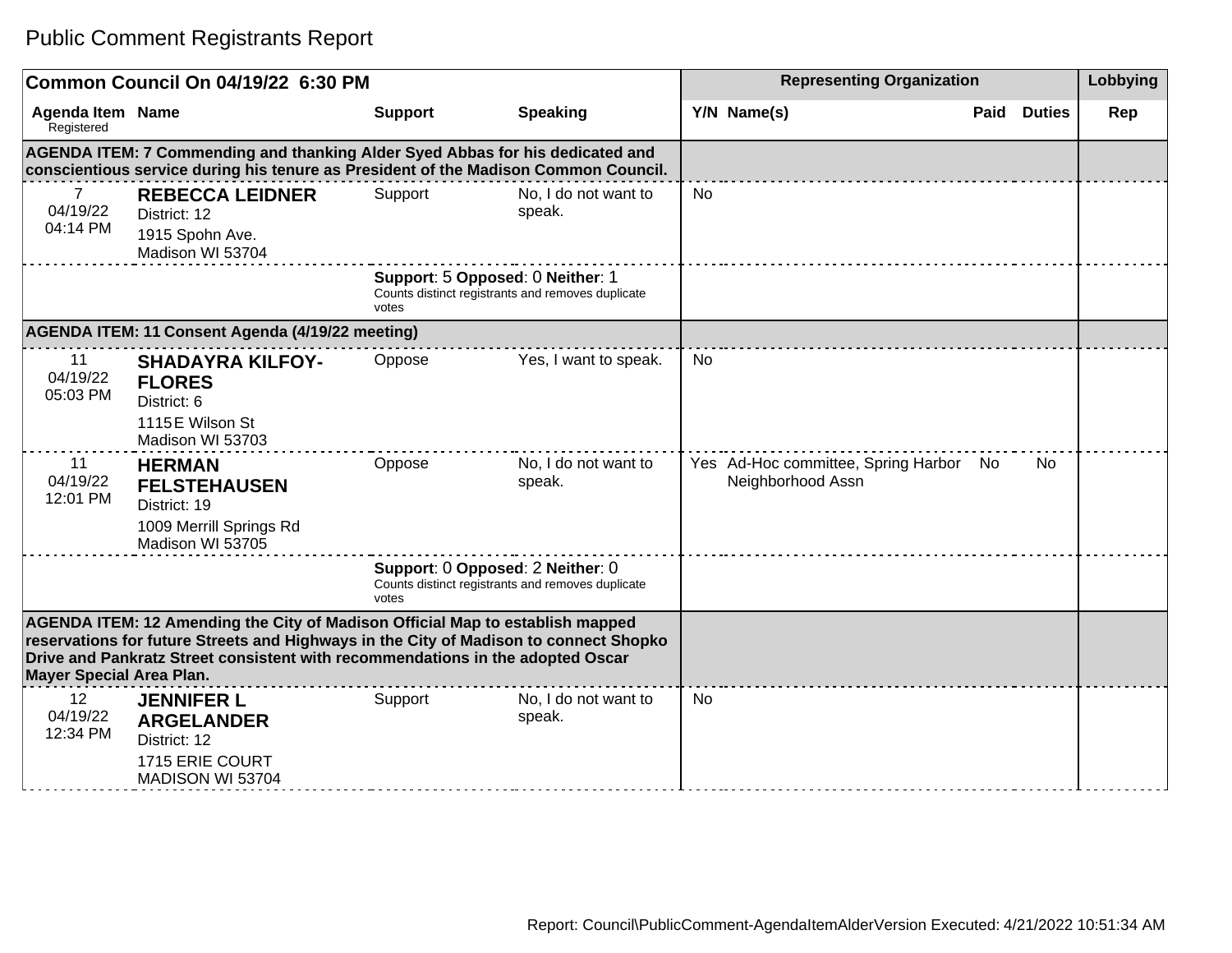|                                                                                                                                                                                                                                                                                             | Common Council On 04/19/22 6:30 PM                                                                                                                                   |                |                                                                                       | <b>Representing Organization</b>                            |                       | Lobbying |
|---------------------------------------------------------------------------------------------------------------------------------------------------------------------------------------------------------------------------------------------------------------------------------------------|----------------------------------------------------------------------------------------------------------------------------------------------------------------------|----------------|---------------------------------------------------------------------------------------|-------------------------------------------------------------|-----------------------|----------|
| <b>Agenda Item Name</b><br>Registered                                                                                                                                                                                                                                                       |                                                                                                                                                                      | <b>Support</b> | <b>Speaking</b>                                                                       | Y/N Name(s)                                                 | Paid<br><b>Duties</b> | Rep      |
|                                                                                                                                                                                                                                                                                             | AGENDA ITEM: 7 Commending and thanking Alder Syed Abbas for his dedicated and<br>conscientious service during his tenure as President of the Madison Common Council. |                |                                                                                       |                                                             |                       |          |
| $\overline{7}$<br>04/19/22<br>04:14 PM                                                                                                                                                                                                                                                      | <b>REBECCA LEIDNER</b><br>District: 12<br>1915 Spohn Ave.<br>Madison WI 53704                                                                                        | Support        | No, I do not want to<br>speak.                                                        | <b>No</b>                                                   |                       |          |
|                                                                                                                                                                                                                                                                                             |                                                                                                                                                                      | votes          | Support: 5 Opposed: 0 Neither: 1<br>Counts distinct registrants and removes duplicate |                                                             |                       |          |
|                                                                                                                                                                                                                                                                                             | AGENDA ITEM: 11 Consent Agenda (4/19/22 meeting)                                                                                                                     |                |                                                                                       |                                                             |                       |          |
| 11<br>04/19/22<br>05:03 PM                                                                                                                                                                                                                                                                  | <b>SHADAYRA KILFOY-</b><br><b>FLORES</b><br>District: 6<br>1115 E Wilson St<br>Madison WI 53703                                                                      | Oppose         | Yes, I want to speak.                                                                 | <b>No</b>                                                   |                       |          |
| 11<br>04/19/22<br>12:01 PM                                                                                                                                                                                                                                                                  | <b>HERMAN</b><br><b>FELSTEHAUSEN</b><br>District: 19<br>1009 Merrill Springs Rd<br>Madison WI 53705                                                                  | Oppose         | No, I do not want to<br>speak.                                                        | Yes Ad-Hoc committee, Spring Harbor No<br>Neighborhood Assn | <b>No</b>             |          |
|                                                                                                                                                                                                                                                                                             |                                                                                                                                                                      | votes          | Support: 0 Opposed: 2 Neither: 0<br>Counts distinct registrants and removes duplicate |                                                             |                       |          |
| AGENDA ITEM: 12 Amending the City of Madison Official Map to establish mapped<br>reservations for future Streets and Highways in the City of Madison to connect Shopko<br>Drive and Pankratz Street consistent with recommendations in the adopted Oscar<br><b>Mayer Special Area Plan.</b> |                                                                                                                                                                      |                |                                                                                       |                                                             |                       |          |
| 12<br>04/19/22<br>12:34 PM                                                                                                                                                                                                                                                                  | <b>JENNIFER L</b><br><b>ARGELANDER</b><br>District: 12<br>1715 ERIE COURT<br>MADISON WI 53704                                                                        | Support        | No, I do not want to<br>speak.                                                        | <b>No</b>                                                   |                       |          |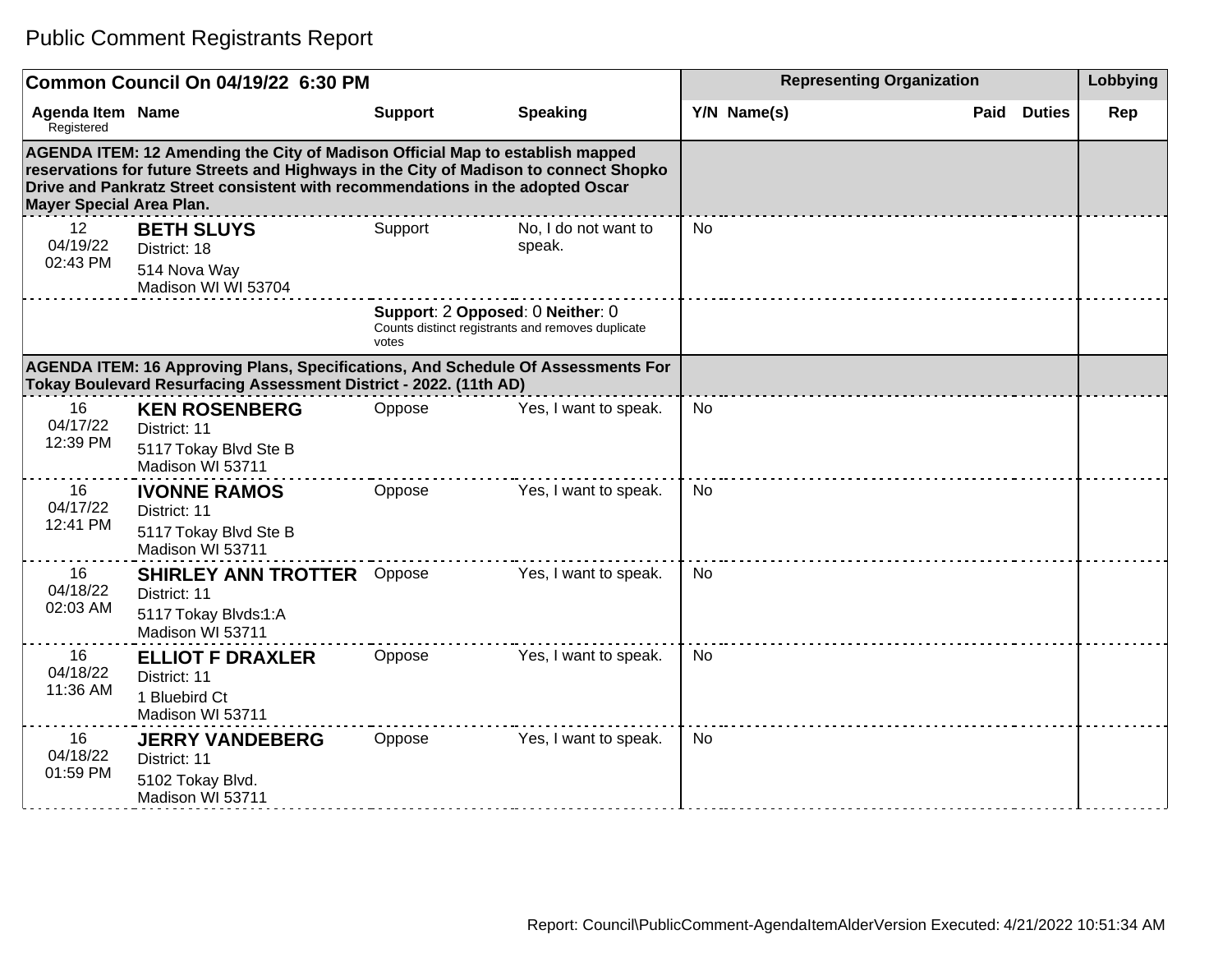|                                 | Common Council On 04/19/22 6:30 PM                                                                                                                                                                                                                       |                                           |                                                   | <b>Representing Organization</b> |                       | Lobbying |
|---------------------------------|----------------------------------------------------------------------------------------------------------------------------------------------------------------------------------------------------------------------------------------------------------|-------------------------------------------|---------------------------------------------------|----------------------------------|-----------------------|----------|
| Agenda Item Name<br>Registered  |                                                                                                                                                                                                                                                          | <b>Support</b>                            | <b>Speaking</b>                                   | Y/N Name(s)                      | <b>Duties</b><br>Paid | Rep      |
| <b>Mayer Special Area Plan.</b> | AGENDA ITEM: 12 Amending the City of Madison Official Map to establish mapped<br>reservations for future Streets and Highways in the City of Madison to connect Shopko<br>Drive and Pankratz Street consistent with recommendations in the adopted Oscar |                                           |                                                   |                                  |                       |          |
| 12<br>04/19/22<br>02:43 PM      | <b>BETH SLUYS</b><br>District: 18<br>514 Nova Way<br>Madison WI WI 53704                                                                                                                                                                                 | Support                                   | No, I do not want to<br>speak.                    | No                               |                       |          |
|                                 |                                                                                                                                                                                                                                                          | Support: 2 Opposed: 0 Neither: 0<br>votes | Counts distinct registrants and removes duplicate |                                  |                       |          |
|                                 | AGENDA ITEM: 16 Approving Plans, Specifications, And Schedule Of Assessments For<br>Tokay Boulevard Resurfacing Assessment District - 2022. (11th AD)                                                                                                    |                                           |                                                   |                                  |                       |          |
| 16<br>04/17/22<br>12:39 PM      | <b>KEN ROSENBERG</b><br>District: 11<br>5117 Tokay Blvd Ste B<br>Madison WI 53711                                                                                                                                                                        | Oppose                                    | Yes, I want to speak.                             | No                               |                       |          |
| 16<br>04/17/22<br>12:41 PM      | <b>IVONNE RAMOS</b><br>District: 11<br>5117 Tokay Blvd Ste B<br>Madison WI 53711                                                                                                                                                                         | Oppose                                    | Yes, I want to speak.                             | <b>No</b>                        |                       |          |
| 16<br>04/18/22<br>02:03 AM      | <b>SHIRLEY ANN TROTTER</b> Oppose<br>District: 11<br>5117 Tokay Blvds:1:A<br>Madison WI 53711                                                                                                                                                            |                                           | Yes, I want to speak.                             | <b>No</b>                        |                       |          |
| 16<br>04/18/22<br>11:36 AM      | <b>ELLIOT F DRAXLER</b><br>District: 11<br>1 Bluebird Ct<br>Madison WI 53711                                                                                                                                                                             | Oppose                                    | Yes, I want to speak.                             | <b>No</b>                        |                       |          |
| 16<br>04/18/22<br>01:59 PM      | <b>JERRY VANDEBERG</b><br>District: 11<br>5102 Tokay Blvd.<br>Madison WI 53711                                                                                                                                                                           | Oppose                                    | Yes, I want to speak.                             | <b>No</b>                        |                       |          |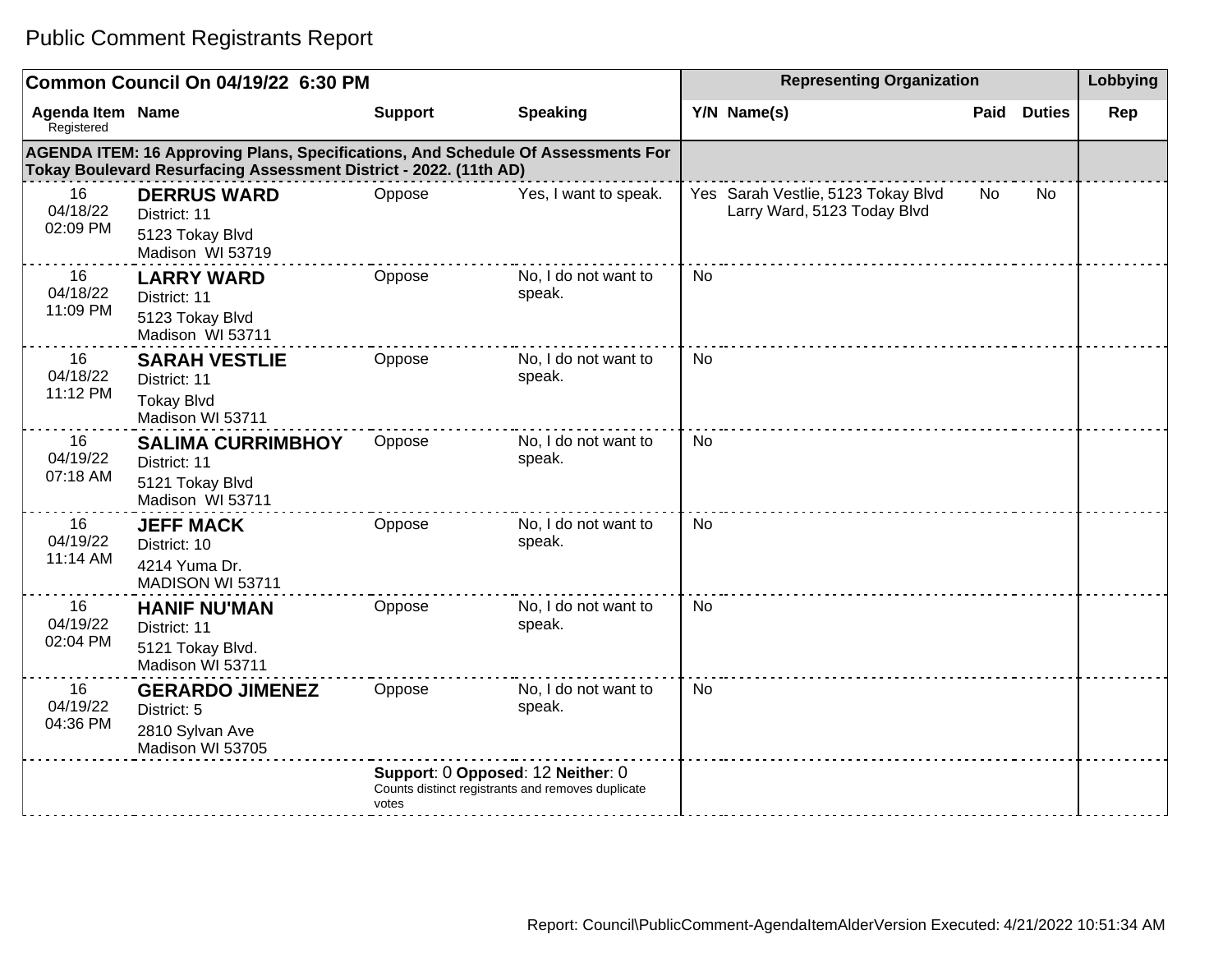#### **Common Council On 04/19/22 6:30 PM Representing Organization Representing Organization Representing Organization Agenda Item** Registered **Name Support Speaking Y/N Name(s) Paid Duties Rep AGENDA ITEM: 16 Approving Plans, Specifications, And Schedule Of Assessments For Tokay Boulevard Resurfacing Assessment District - 2022. (11th AD)** 16 04/18/22 02:09 PM **DERRUS WARD** District: 11 5123 Tokay Blvd Madison WI 53719 Oppose Yes, I want to speak. Yes Sarah Vestlie, 5123 Tokay Blvd Larry Ward, 5123 Today Blvd No No 16 04/18/22 11:09 PM **LARRY WARD** District: 11 5123 Tokay Blvd Madison WI 53711 Oppose No, I do not want to speak. No 16 04/18/22 11:12 PM **SARAH VESTLIE** District: 11 Tokay Blvd Madison WI 53711 Oppose No, I do not want to speak. No 16 04/19/22 07:18 AM **SALIMA CURRIMBHOY** District: 11 5121 Tokay Blvd Madison WI 53711 Oppose No, I do not want to speak. No 16 04/19/22 11:14 AM **JEFF MACK** District: 10 4214 Yuma Dr. MADISON WI 53711 Oppose No, I do not want to speak. No 16 04/19/22 02:04 PM **HANIF NU'MAN** District: 11 5121 Tokay Blvd. Madison WI 53711 Oppose No, I do not want to speak. No 16 04/19/22 04:36 PM **GERARDO JIMENEZ** District: 5 2810 Sylvan Ave Madison WI 53705 Oppose No, I do not want to speak. No **Support**: 0 **Opposed**: 12 **Neither**: 0 Counts distinct registrants and removes duplicate votes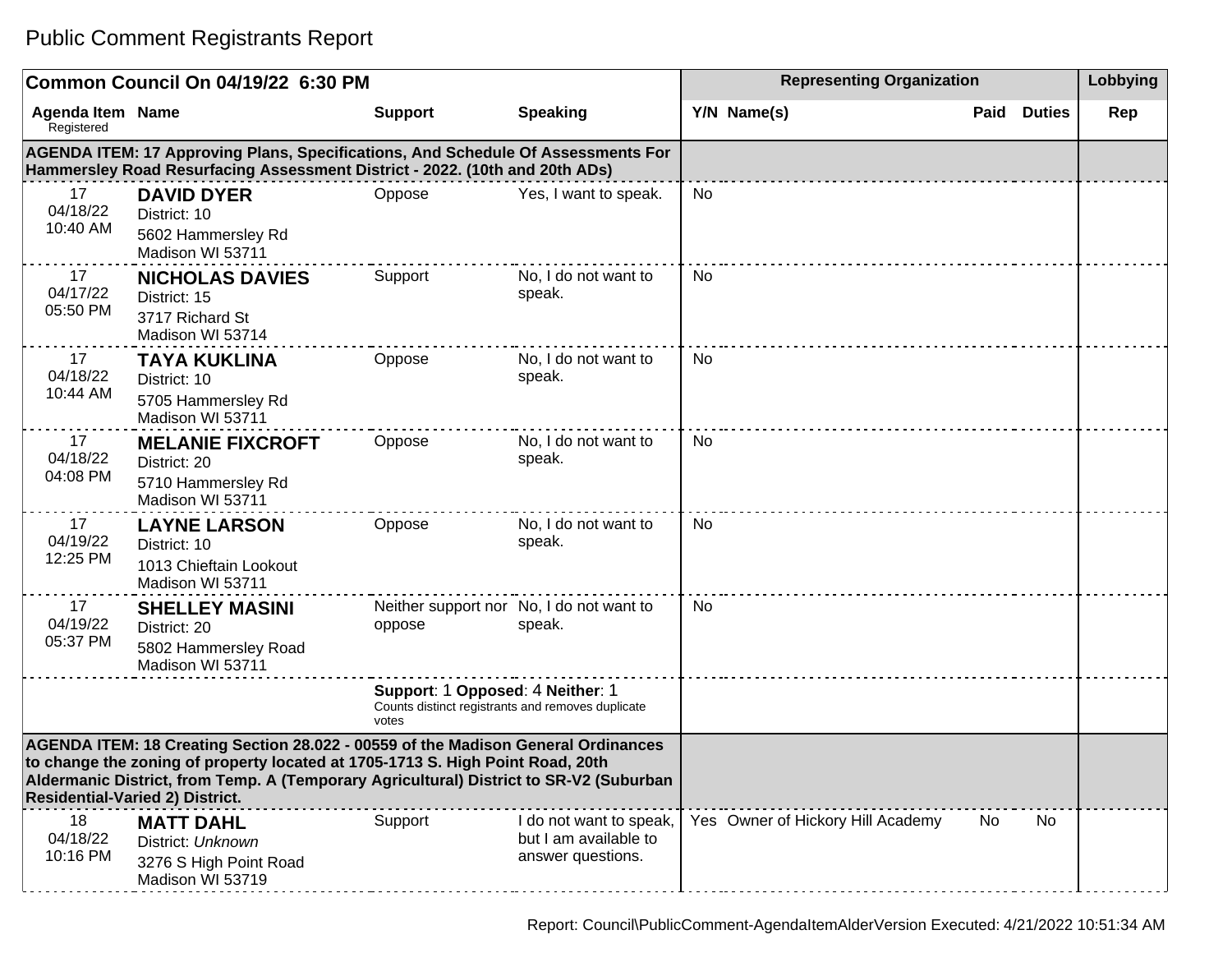|                                                                                                                                                                                                                                                                                                         | Common Council On 04/19/22 6:30 PM                                                                                                                                     |                                                                                                |                                                                       | <b>Representing Organization</b>  |                       | Lobbying |
|---------------------------------------------------------------------------------------------------------------------------------------------------------------------------------------------------------------------------------------------------------------------------------------------------------|------------------------------------------------------------------------------------------------------------------------------------------------------------------------|------------------------------------------------------------------------------------------------|-----------------------------------------------------------------------|-----------------------------------|-----------------------|----------|
| <b>Agenda Item Name</b><br>Registered                                                                                                                                                                                                                                                                   |                                                                                                                                                                        | <b>Support</b>                                                                                 | <b>Speaking</b>                                                       | Y/N Name(s)                       | Paid<br><b>Duties</b> | Rep      |
|                                                                                                                                                                                                                                                                                                         | <b>AGENDA ITEM: 17 Approving Plans, Specifications, And Schedule Of Assessments For</b><br>Hammersley Road Resurfacing Assessment District - 2022. (10th and 20th ADs) |                                                                                                |                                                                       |                                   |                       |          |
| 17<br>04/18/22<br>10:40 AM                                                                                                                                                                                                                                                                              | <b>DAVID DYER</b><br>District: 10<br>5602 Hammersley Rd<br>Madison WI 53711                                                                                            | Oppose                                                                                         | Yes, I want to speak.                                                 | No                                |                       |          |
| 17<br>04/17/22<br>05:50 PM                                                                                                                                                                                                                                                                              | <b>NICHOLAS DAVIES</b><br>District: 15<br>3717 Richard St<br>Madison WI 53714                                                                                          | Support                                                                                        | No, I do not want to<br>speak.                                        | No                                |                       |          |
| 17<br>04/18/22<br>10:44 AM                                                                                                                                                                                                                                                                              | <b>TAYA KUKLINA</b><br>District: 10<br>5705 Hammersley Rd<br>Madison WI 53711                                                                                          | Oppose                                                                                         | No, I do not want to<br>speak.                                        | No                                |                       |          |
| 17<br>04/18/22<br>04:08 PM                                                                                                                                                                                                                                                                              | <b>MELANIE FIXCROFT</b><br>District: 20<br>5710 Hammersley Rd<br>Madison WI 53711                                                                                      | Oppose                                                                                         | No, I do not want to<br>speak.                                        | No                                |                       |          |
| 17<br>04/19/22<br>12:25 PM                                                                                                                                                                                                                                                                              | <b>LAYNE LARSON</b><br>District: 10<br>1013 Chieftain Lookout<br>Madison WI 53711                                                                                      | Oppose                                                                                         | No, I do not want to<br>speak.                                        | <b>No</b>                         |                       |          |
| 17<br>04/19/22<br>05:37 PM                                                                                                                                                                                                                                                                              | <b>SHELLEY MASINI</b><br>District: 20<br>5802 Hammersley Road<br>Madison WI 53711                                                                                      | oppose                                                                                         | Neither support nor No, I do not want to<br>speak.                    | No                                |                       |          |
|                                                                                                                                                                                                                                                                                                         |                                                                                                                                                                        | Support: 1 Opposed: 4 Neither: 1<br>Counts distinct registrants and removes duplicate<br>votes |                                                                       |                                   |                       |          |
| AGENDA ITEM: 18 Creating Section 28.022 - 00559 of the Madison General Ordinances<br>to change the zoning of property located at 1705-1713 S. High Point Road, 20th<br>Aldermanic District, from Temp. A (Temporary Agricultural) District to SR-V2 (Suburban<br><b>Residential-Varied 2) District.</b> |                                                                                                                                                                        |                                                                                                |                                                                       |                                   |                       |          |
| 18<br>04/18/22<br>10:16 PM                                                                                                                                                                                                                                                                              | <b>MATT DAHL</b><br>District: Unknown<br>3276 S High Point Road<br>Madison WI 53719                                                                                    | Support                                                                                        | I do not want to speak,<br>but I am available to<br>answer questions. | Yes Owner of Hickory Hill Academy | No<br>No.             |          |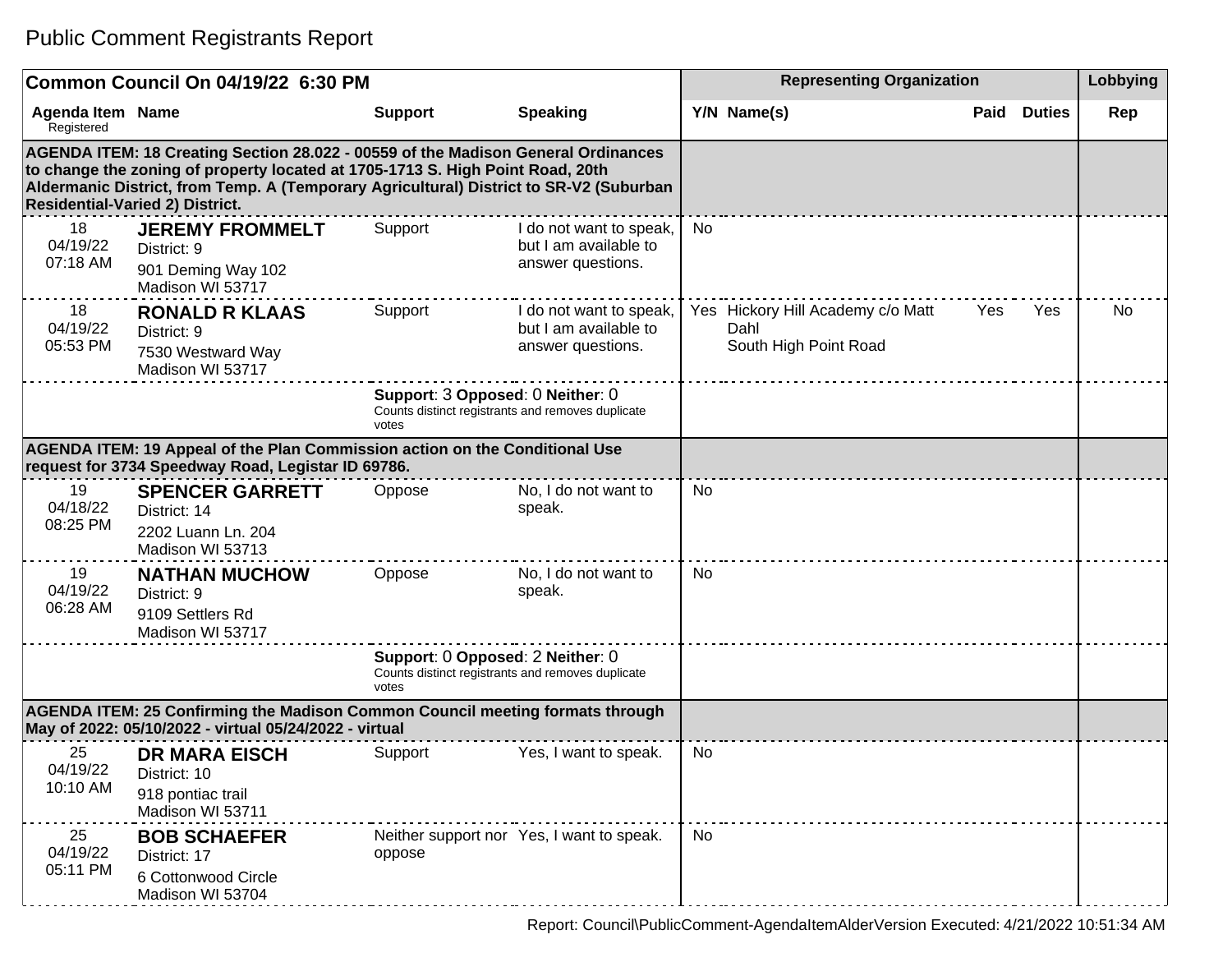|                                                                                                                                   | Common Council On 04/19/22 6:30 PM                                                                                                                                                                                                                                                                      |                |                                                                                       |    | Lobbying                                                           |      |               |     |
|-----------------------------------------------------------------------------------------------------------------------------------|---------------------------------------------------------------------------------------------------------------------------------------------------------------------------------------------------------------------------------------------------------------------------------------------------------|----------------|---------------------------------------------------------------------------------------|----|--------------------------------------------------------------------|------|---------------|-----|
| <b>Agenda Item Name</b><br>Registered                                                                                             |                                                                                                                                                                                                                                                                                                         | <b>Support</b> | <b>Speaking</b>                                                                       |    | Y/N Name(s)                                                        | Paid | <b>Duties</b> | Rep |
|                                                                                                                                   | AGENDA ITEM: 18 Creating Section 28.022 - 00559 of the Madison General Ordinances<br>to change the zoning of property located at 1705-1713 S. High Point Road, 20th<br>Aldermanic District, from Temp. A (Temporary Agricultural) District to SR-V2 (Suburban<br><b>Residential-Varied 2) District.</b> |                |                                                                                       |    |                                                                    |      |               |     |
| 18<br>04/19/22<br>07:18 AM                                                                                                        | <b>JEREMY FROMMELT</b><br>District: 9<br>901 Deming Way 102<br>Madison WI 53717                                                                                                                                                                                                                         | Support        | I do not want to speak,<br>but I am available to<br>answer questions.                 | No |                                                                    |      |               |     |
| 18<br>04/19/22<br>05:53 PM                                                                                                        | <b>RONALD R KLAAS</b><br>District: 9<br>7530 Westward Way<br>Madison WI 53717                                                                                                                                                                                                                           | Support        | I do not want to speak,<br>but I am available to<br>answer questions.                 |    | Yes Hickory Hill Academy c/o Matt<br>Dahl<br>South High Point Road | Yes  | Yes           | No. |
|                                                                                                                                   |                                                                                                                                                                                                                                                                                                         | votes          | Support: 3 Opposed: 0 Neither: 0<br>Counts distinct registrants and removes duplicate |    |                                                                    |      |               |     |
| AGENDA ITEM: 19 Appeal of the Plan Commission action on the Conditional Use<br>request for 3734 Speedway Road, Legistar ID 69786. |                                                                                                                                                                                                                                                                                                         |                |                                                                                       |    |                                                                    |      |               |     |
| 19<br>04/18/22<br>08:25 PM                                                                                                        | <b>SPENCER GARRETT</b><br>District: 14<br>2202 Luann Ln. 204<br>Madison WI 53713                                                                                                                                                                                                                        | Oppose         | No, I do not want to<br>speak.                                                        | No |                                                                    |      |               |     |
| 19<br>04/19/22<br>06:28 AM                                                                                                        | <b>NATHAN MUCHOW</b><br>District: 9<br>9109 Settlers Rd<br>Madison WI 53717                                                                                                                                                                                                                             | Oppose         | No, I do not want to<br>speak.                                                        | No |                                                                    |      |               |     |
|                                                                                                                                   |                                                                                                                                                                                                                                                                                                         | votes          | Support: 0 Opposed: 2 Neither: 0<br>Counts distinct registrants and removes duplicate |    |                                                                    |      |               |     |
|                                                                                                                                   | AGENDA ITEM: 25 Confirming the Madison Common Council meeting formats through<br>May of 2022: 05/10/2022 - virtual 05/24/2022 - virtual                                                                                                                                                                 |                |                                                                                       |    |                                                                    |      |               |     |
| 25<br>04/19/22<br>10:10 AM                                                                                                        | <b>DR MARA EISCH</b><br>District: 10<br>918 pontiac trail<br>Madison WI 53711                                                                                                                                                                                                                           | Support        | Yes, I want to speak.                                                                 | No |                                                                    |      |               |     |
| 25<br>04/19/22<br>05:11 PM                                                                                                        | <b>BOB SCHAEFER</b><br>District: 17<br>6 Cottonwood Circle<br>Madison WI 53704                                                                                                                                                                                                                          | oppose         | Neither support nor Yes, I want to speak.                                             | No |                                                                    |      |               |     |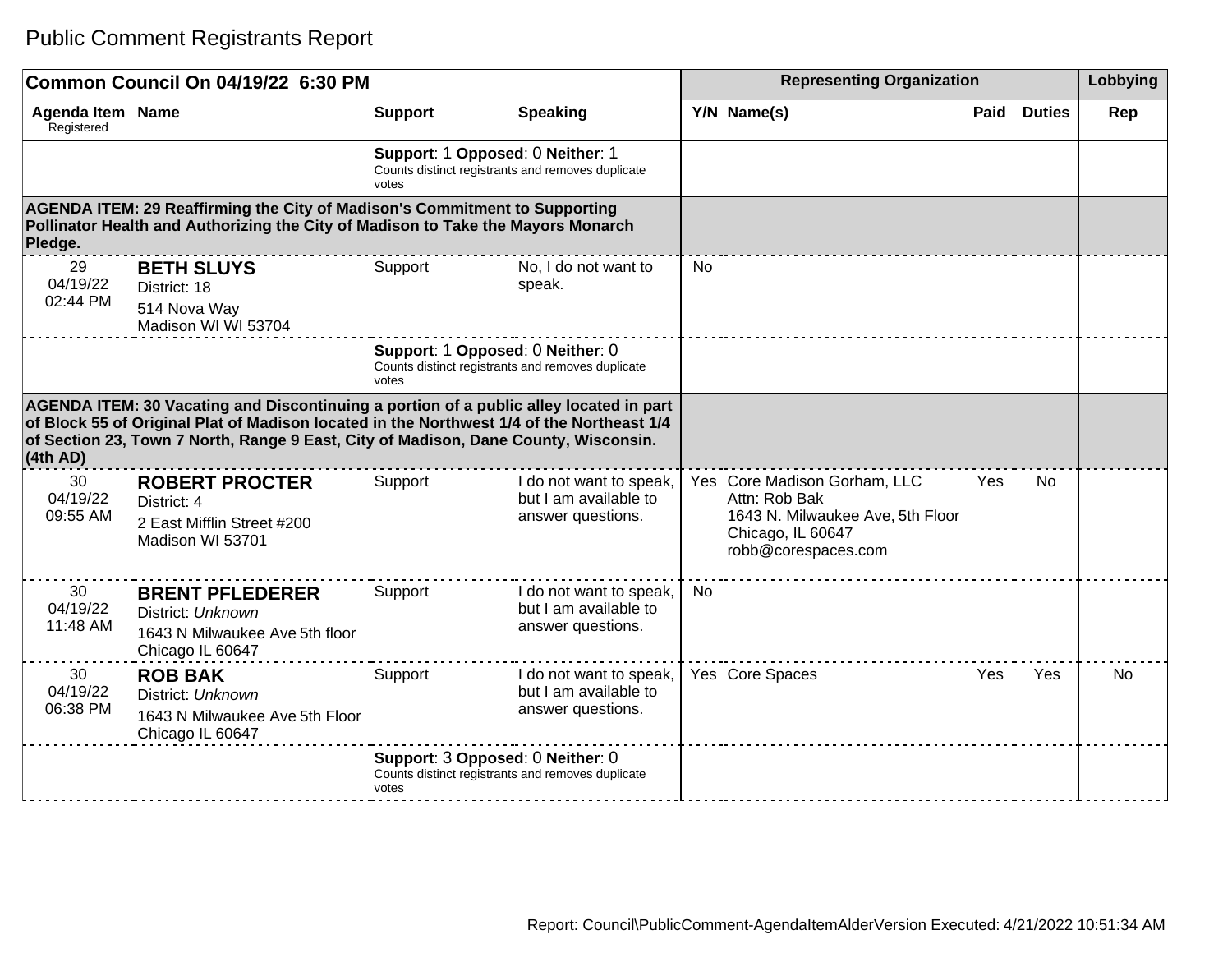|                                                                                                                                                                                                                                                                                        | Common Council On 04/19/22 6:30 PM                                                                                                                             |                                                                                                |                                                                       |    | <b>Representing Organization</b>                                                                                              |      |               | Lobbying |
|----------------------------------------------------------------------------------------------------------------------------------------------------------------------------------------------------------------------------------------------------------------------------------------|----------------------------------------------------------------------------------------------------------------------------------------------------------------|------------------------------------------------------------------------------------------------|-----------------------------------------------------------------------|----|-------------------------------------------------------------------------------------------------------------------------------|------|---------------|----------|
| <b>Agenda Item Name</b><br>Registered                                                                                                                                                                                                                                                  |                                                                                                                                                                | <b>Support</b>                                                                                 | <b>Speaking</b>                                                       |    | Y/N Name(s)                                                                                                                   | Paid | <b>Duties</b> | Rep      |
|                                                                                                                                                                                                                                                                                        |                                                                                                                                                                | Support: 1 Opposed: 0 Neither: 1<br>Counts distinct registrants and removes duplicate<br>votes |                                                                       |    |                                                                                                                               |      |               |          |
| Pledge.                                                                                                                                                                                                                                                                                | AGENDA ITEM: 29 Reaffirming the City of Madison's Commitment to Supporting<br>Pollinator Health and Authorizing the City of Madison to Take the Mayors Monarch |                                                                                                |                                                                       |    |                                                                                                                               |      |               |          |
| 29<br>04/19/22<br>02:44 PM                                                                                                                                                                                                                                                             | <b>BETH SLUYS</b><br>District: 18<br>514 Nova Way<br>Madison WI WI 53704                                                                                       | Support                                                                                        | No, I do not want to<br>speak.                                        | No |                                                                                                                               |      |               |          |
|                                                                                                                                                                                                                                                                                        |                                                                                                                                                                | Support: 1 Opposed: 0 Neither: 0<br>Counts distinct registrants and removes duplicate<br>votes |                                                                       |    |                                                                                                                               |      |               |          |
| AGENDA ITEM: 30 Vacating and Discontinuing a portion of a public alley located in part<br>of Block 55 of Original Plat of Madison located in the Northwest 1/4 of the Northeast 1/4<br>of Section 23, Town 7 North, Range 9 East, City of Madison, Dane County, Wisconsin.<br>(4th AD) |                                                                                                                                                                |                                                                                                |                                                                       |    |                                                                                                                               |      |               |          |
| 30<br>04/19/22<br>09:55 AM                                                                                                                                                                                                                                                             | <b>ROBERT PROCTER</b><br>District: 4<br>2 East Mifflin Street #200<br>Madison WI 53701                                                                         | Support                                                                                        | I do not want to speak,<br>but I am available to<br>answer questions. |    | Yes Core Madison Gorham, LLC<br>Attn: Rob Bak<br>1643 N. Milwaukee Ave, 5th Floor<br>Chicago, IL 60647<br>robb@corespaces.com | Yes  | No.           |          |
| 30<br>04/19/22<br>11:48 AM                                                                                                                                                                                                                                                             | <b>BRENT PFLEDERER</b><br>District: Unknown<br>1643 N Milwaukee Ave 5th floor<br>Chicago IL 60647                                                              | Support                                                                                        | I do not want to speak,<br>but I am available to<br>answer questions. | No |                                                                                                                               |      |               |          |
| 30<br>04/19/22<br>06:38 PM                                                                                                                                                                                                                                                             | <b>ROB BAK</b><br>District: Unknown<br>1643 N Milwaukee Ave 5th Floor<br>Chicago IL 60647                                                                      | Support                                                                                        | I do not want to speak,<br>but I am available to<br>answer questions. |    | Yes Core Spaces                                                                                                               | Yes  | Yes           | No.      |
|                                                                                                                                                                                                                                                                                        |                                                                                                                                                                | Support: 3 Opposed: 0 Neither: 0<br>Counts distinct registrants and removes duplicate<br>votes |                                                                       |    |                                                                                                                               |      |               |          |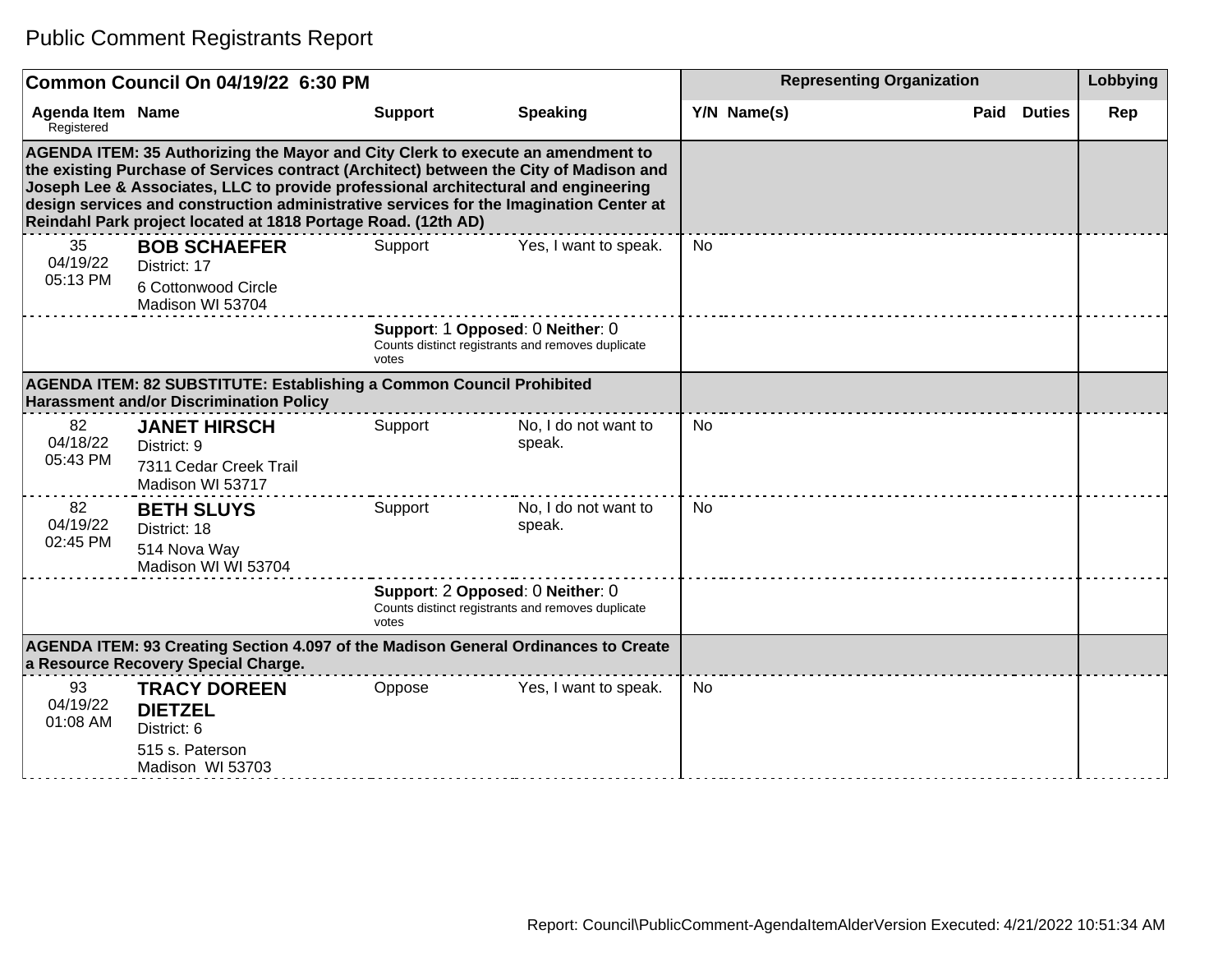|                                | Common Council On 04/19/22 6:30 PM                                                                                                                                                                                                                                                                                                                                                                                                                                   |                                           |                                                   | <b>Representing Organization</b> |             |  |                    | Lobbying |
|--------------------------------|----------------------------------------------------------------------------------------------------------------------------------------------------------------------------------------------------------------------------------------------------------------------------------------------------------------------------------------------------------------------------------------------------------------------------------------------------------------------|-------------------------------------------|---------------------------------------------------|----------------------------------|-------------|--|--------------------|----------|
| Agenda Item Name<br>Registered |                                                                                                                                                                                                                                                                                                                                                                                                                                                                      | <b>Support</b>                            | <b>Speaking</b>                                   |                                  | Y/N Name(s) |  | <b>Paid Duties</b> | Rep      |
|                                | AGENDA ITEM: 35 Authorizing the Mayor and City Clerk to execute an amendment to<br>the existing Purchase of Services contract (Architect) between the City of Madison and<br>Joseph Lee & Associates, LLC to provide professional architectural and engineering<br>design services and construction administrative services for the Imagination Center at<br>Reindahl Park project located at 1818 Portage Road. (12th AD)<br>Yes, I want to speak.<br>35<br>Support |                                           |                                                   |                                  |             |  |                    |          |
| 04/19/22<br>05:13 PM           | <b>BOB SCHAEFER</b><br>District: 17<br>6 Cottonwood Circle<br>Madison WI 53704                                                                                                                                                                                                                                                                                                                                                                                       |                                           |                                                   | <b>No</b>                        |             |  |                    |          |
|                                |                                                                                                                                                                                                                                                                                                                                                                                                                                                                      | Support: 1 Opposed: 0 Neither: 0<br>votes | Counts distinct registrants and removes duplicate |                                  |             |  |                    |          |
|                                | AGENDA ITEM: 82 SUBSTITUTE: Establishing a Common Council Prohibited<br><b>Harassment and/or Discrimination Policy</b>                                                                                                                                                                                                                                                                                                                                               |                                           |                                                   |                                  |             |  |                    |          |
| 82<br>04/18/22<br>05:43 PM     | <b>JANET HIRSCH</b><br>District: 9<br>7311 Cedar Creek Trail<br>Madison WI 53717                                                                                                                                                                                                                                                                                                                                                                                     | Support                                   | No, I do not want to<br>speak.                    | <b>No</b>                        |             |  |                    |          |
| 82<br>04/19/22<br>02:45 PM     | <b>BETH SLUYS</b><br>District: 18<br>514 Nova Way<br>Madison WI WI 53704                                                                                                                                                                                                                                                                                                                                                                                             | Support                                   | No, I do not want to<br>speak.                    | No                               |             |  |                    |          |
|                                |                                                                                                                                                                                                                                                                                                                                                                                                                                                                      | Support: 2 Opposed: 0 Neither: 0<br>votes | Counts distinct registrants and removes duplicate |                                  |             |  |                    |          |
|                                | AGENDA ITEM: 93 Creating Section 4.097 of the Madison General Ordinances to Create<br>a Resource Recovery Special Charge.                                                                                                                                                                                                                                                                                                                                            |                                           |                                                   |                                  |             |  |                    |          |
| 93<br>04/19/22<br>01:08 AM     | <b>TRACY DOREEN</b><br><b>DIETZEL</b><br>District: 6<br>515 s. Paterson<br>Madison WI 53703                                                                                                                                                                                                                                                                                                                                                                          | Oppose                                    | Yes, I want to speak.                             | No                               |             |  |                    |          |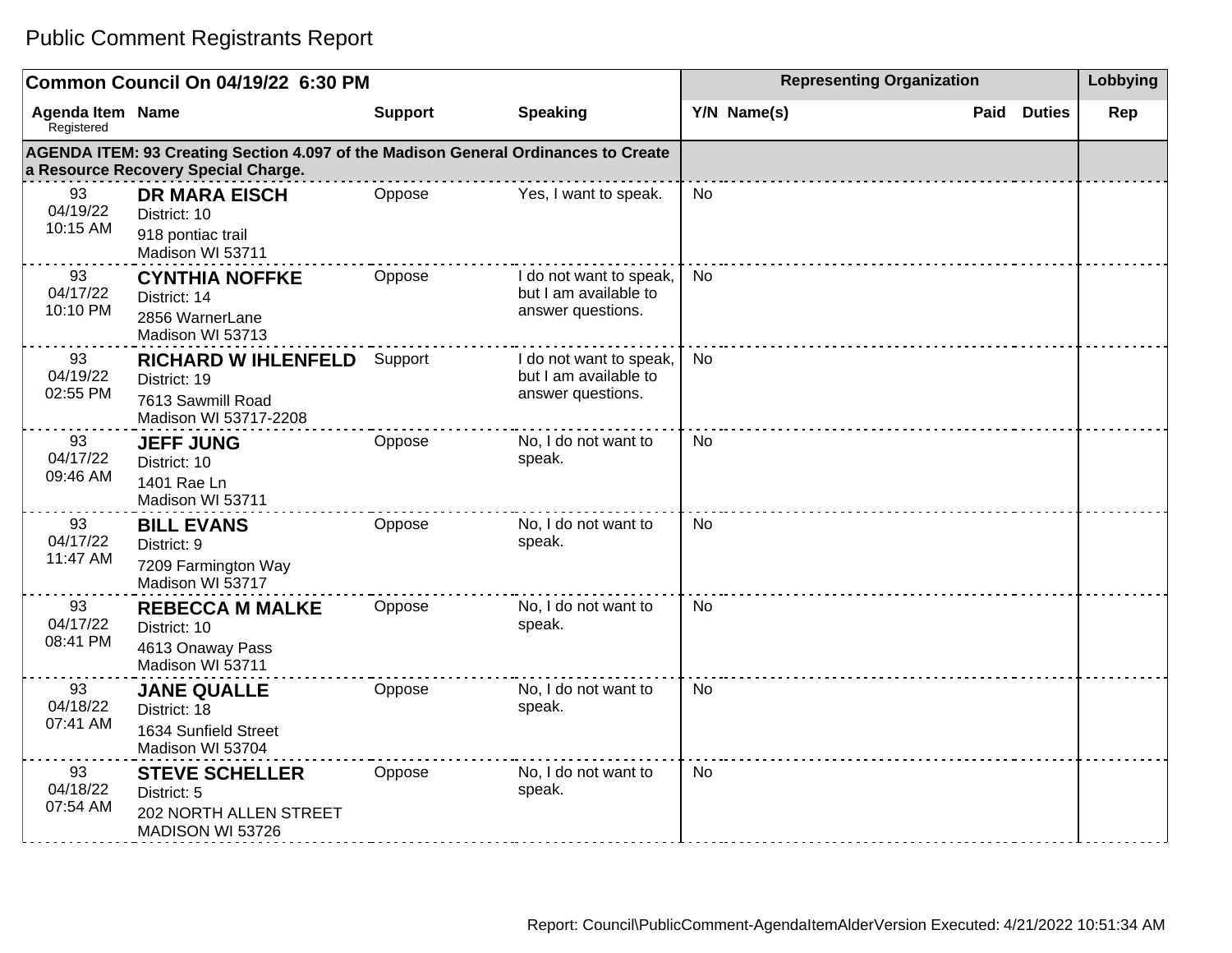|                                       | Common Council On 04/19/22 6:30 PM                                                                                        |                |                                                                       | <b>Representing Organization</b> | Lobbying              |     |
|---------------------------------------|---------------------------------------------------------------------------------------------------------------------------|----------------|-----------------------------------------------------------------------|----------------------------------|-----------------------|-----|
| <b>Agenda Item Name</b><br>Registered |                                                                                                                           | <b>Support</b> | <b>Speaking</b>                                                       | Y/N Name(s)                      | Paid<br><b>Duties</b> | Rep |
|                                       | AGENDA ITEM: 93 Creating Section 4.097 of the Madison General Ordinances to Create<br>a Resource Recovery Special Charge. |                |                                                                       |                                  |                       |     |
| 93<br>04/19/22<br>10:15 AM            | <b>DR MARA EISCH</b><br>District: 10<br>918 pontiac trail<br>Madison WI 53711                                             | Oppose         | Yes, I want to speak.                                                 | No                               |                       |     |
| 93<br>04/17/22<br>10:10 PM            | <b>CYNTHIA NOFFKE</b><br>District: 14<br>2856 WarnerLane<br>Madison WI 53713                                              | Oppose         | I do not want to speak,<br>but I am available to<br>answer questions. | <b>No</b>                        |                       |     |
| 93<br>04/19/22<br>02:55 PM            | <b>RICHARD W IHLENFELD</b><br>District: 19<br>7613 Sawmill Road<br>Madison WI 53717-2208                                  | Support        | I do not want to speak,<br>but I am available to<br>answer questions. | <b>No</b>                        |                       |     |
| 93<br>04/17/22<br>09:46 AM            | <b>JEFF JUNG</b><br>District: 10<br>1401 Rae Ln<br>Madison WI 53711                                                       | Oppose         | No, I do not want to<br>speak.                                        | No.                              |                       |     |
| 93<br>04/17/22<br>11:47 AM            | <b>BILL EVANS</b><br>District: 9<br>7209 Farmington Way<br>Madison WI 53717                                               | Oppose         | No, I do not want to<br>speak.                                        | No                               |                       |     |
| 93<br>04/17/22<br>08:41 PM            | <b>REBECCA M MALKE</b><br>District: 10<br>4613 Onaway Pass<br>Madison WI 53711                                            | Oppose         | No, I do not want to<br>speak.                                        | No                               |                       |     |
| 93<br>04/18/22<br>07:41 AM            | <b>JANE QUALLE</b><br>District: 18<br>1634 Sunfield Street<br>Madison WI 53704                                            | Oppose         | No, I do not want to<br>speak.                                        | <b>No</b>                        |                       |     |
| 93<br>04/18/22<br>07:54 AM            | <b>STEVE SCHELLER</b><br>District: 5<br>202 NORTH ALLEN STREET<br>MADISON WI 53726                                        | Oppose         | No, I do not want to<br>speak.                                        | <b>No</b>                        |                       |     |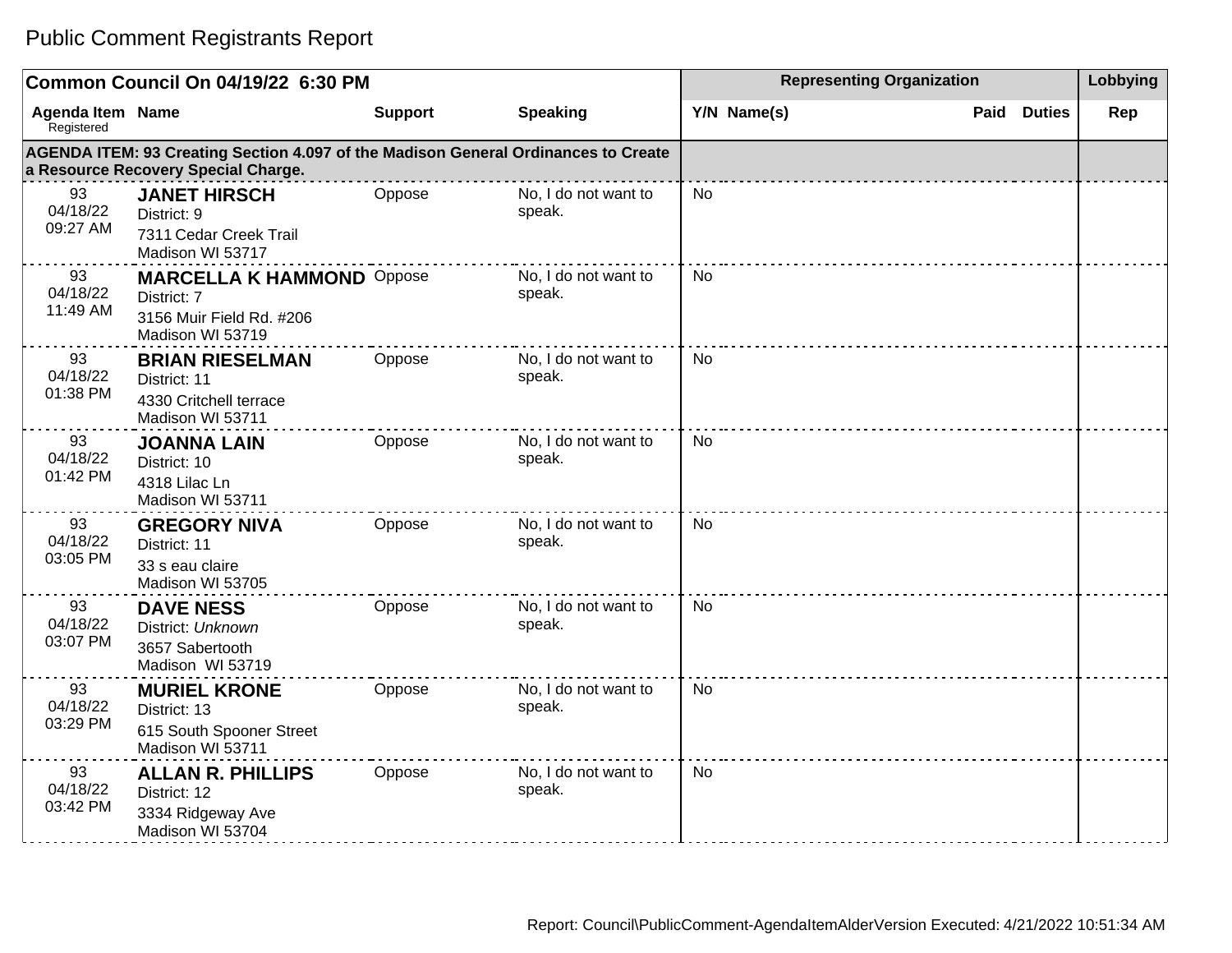|                                       | Common Council On 04/19/22 6:30 PM                                                                                        |                |                                | <b>Representing Organization</b> | Lobbying           |     |
|---------------------------------------|---------------------------------------------------------------------------------------------------------------------------|----------------|--------------------------------|----------------------------------|--------------------|-----|
| <b>Agenda Item Name</b><br>Registered |                                                                                                                           | <b>Support</b> | <b>Speaking</b>                | Y/N Name(s)                      | <b>Paid Duties</b> | Rep |
|                                       | AGENDA ITEM: 93 Creating Section 4.097 of the Madison General Ordinances to Create<br>a Resource Recovery Special Charge. |                |                                |                                  |                    |     |
| 93<br>04/18/22<br>09:27 AM            | <b>JANET HIRSCH</b><br>District: 9<br>7311 Cedar Creek Trail<br>Madison WI 53717                                          | Oppose         | No, I do not want to<br>speak. | <b>No</b>                        |                    |     |
| 93<br>04/18/22<br>11:49 AM            | <b>MARCELLA K HAMMOND Oppose</b><br>District: 7<br>3156 Muir Field Rd. #206<br>Madison WI 53719                           |                | No, I do not want to<br>speak. | <b>No</b>                        |                    |     |
| 93<br>04/18/22<br>01:38 PM            | <b>BRIAN RIESELMAN</b><br>District: 11<br>4330 Critchell terrace<br>Madison WI 53711                                      | Oppose         | No, I do not want to<br>speak. | <b>No</b>                        |                    |     |
| 93<br>04/18/22<br>01:42 PM            | <b>JOANNA LAIN</b><br>District: 10<br>4318 Lilac Ln<br>Madison WI 53711                                                   | Oppose         | No, I do not want to<br>speak. | <b>No</b>                        |                    |     |
| 93<br>04/18/22<br>03:05 PM            | <b>GREGORY NIVA</b><br>District: 11<br>33 s eau claire<br>Madison WI 53705                                                | Oppose         | No, I do not want to<br>speak. | No                               |                    |     |
| 93<br>04/18/22<br>03:07 PM            | <b>DAVE NESS</b><br>District: Unknown<br>3657 Sabertooth<br>Madison WI 53719                                              | Oppose         | No, I do not want to<br>speak. | No                               |                    |     |
| 93<br>04/18/22<br>03:29 PM            | <b>MURIEL KRONE</b><br>District: 13<br>615 South Spooner Street<br>Madison WI 53711                                       | Oppose         | No, I do not want to<br>speak. | No                               |                    |     |
| 93<br>04/18/22<br>03:42 PM            | <b>ALLAN R. PHILLIPS</b><br>District: 12<br>3334 Ridgeway Ave<br>Madison WI 53704                                         | Oppose         | No, I do not want to<br>speak. | No                               |                    |     |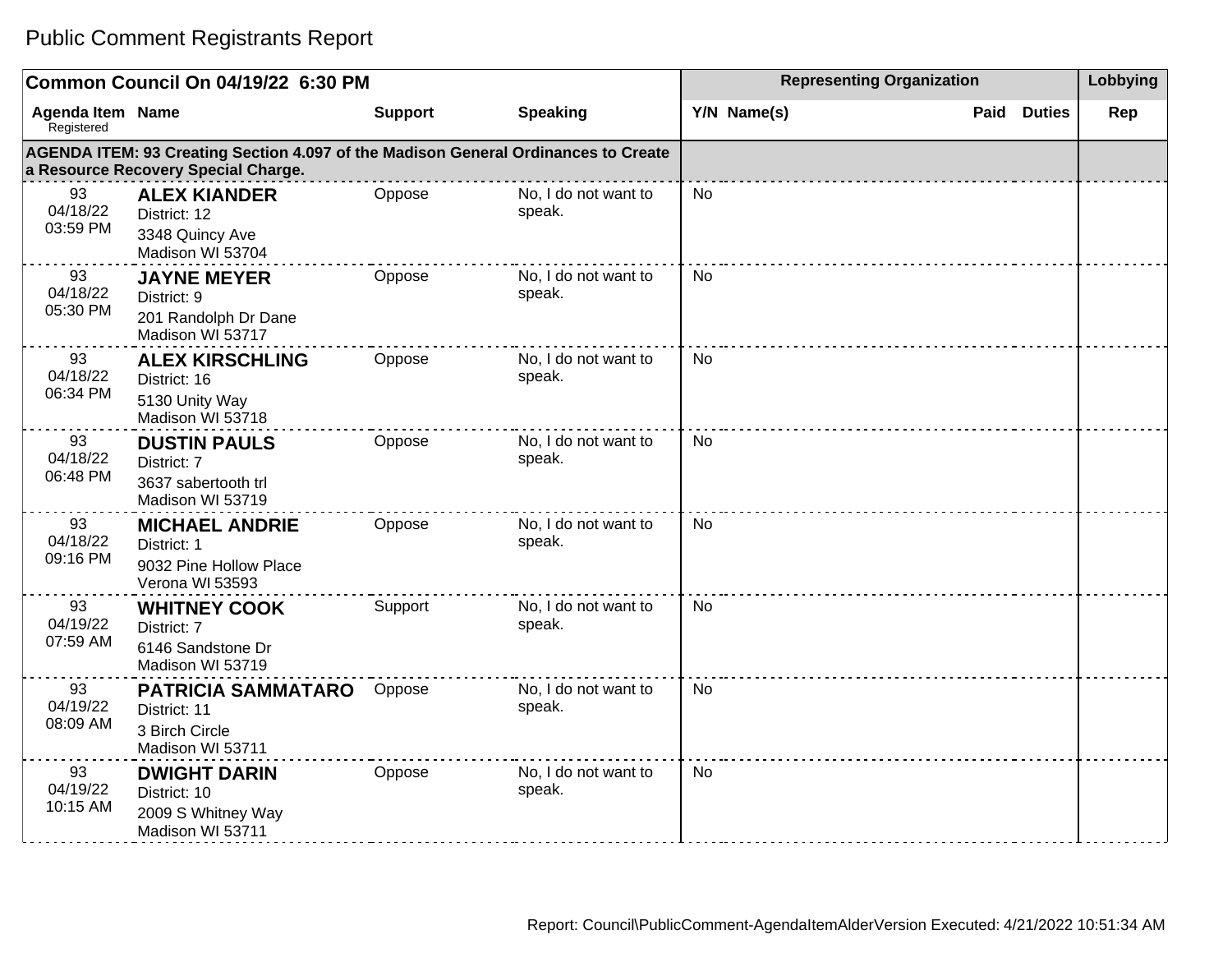|                                       | Common Council On 04/19/22 6:30 PM                                                                                        |                |                                | <b>Representing Organization</b> | Lobbying           |     |
|---------------------------------------|---------------------------------------------------------------------------------------------------------------------------|----------------|--------------------------------|----------------------------------|--------------------|-----|
| <b>Agenda Item Name</b><br>Registered |                                                                                                                           | <b>Support</b> | <b>Speaking</b>                | Y/N Name(s)                      | <b>Paid Duties</b> | Rep |
|                                       | AGENDA ITEM: 93 Creating Section 4.097 of the Madison General Ordinances to Create<br>a Resource Recovery Special Charge. |                |                                |                                  |                    |     |
| 93<br>04/18/22<br>03:59 PM            | <b>ALEX KIANDER</b><br>District: 12<br>3348 Quincy Ave<br>Madison WI 53704                                                | Oppose         | No, I do not want to<br>speak. | No                               |                    |     |
| 93<br>04/18/22<br>05:30 PM            | <b>JAYNE MEYER</b><br>District: 9<br>201 Randolph Dr Dane<br>Madison WI 53717                                             | Oppose         | No, I do not want to<br>speak. | No.                              |                    |     |
| 93<br>04/18/22<br>06:34 PM            | <b>ALEX KIRSCHLING</b><br>District: 16<br>5130 Unity Way<br>Madison WI 53718                                              | Oppose         | No, I do not want to<br>speak. | No.                              |                    |     |
| 93<br>04/18/22<br>06:48 PM            | <b>DUSTIN PAULS</b><br>District: 7<br>3637 sabertooth trl<br>Madison WI 53719                                             | Oppose         | No, I do not want to<br>speak. | No.                              |                    |     |
| 93<br>04/18/22<br>09:16 PM            | <b>MICHAEL ANDRIE</b><br>District: 1<br>9032 Pine Hollow Place<br>Verona WI 53593                                         | Oppose         | No, I do not want to<br>speak. | <b>No</b>                        |                    |     |
| 93<br>04/19/22<br>07:59 AM            | <b>WHITNEY COOK</b><br>District: 7<br>6146 Sandstone Dr<br>Madison WI 53719                                               | Support        | No, I do not want to<br>speak. | No                               |                    |     |
| 93<br>04/19/22<br>08:09 AM            | <b>PATRICIA SAMMATARO</b><br>District: 11<br>3 Birch Circle<br>Madison WI 53711                                           | Oppose         | No, I do not want to<br>speak. | <b>No</b>                        |                    |     |
| 93<br>04/19/22<br>10:15 AM            | <b>DWIGHT DARIN</b><br>District: 10<br>2009 S Whitney Way<br>Madison WI 53711                                             | Oppose         | No, I do not want to<br>speak. | No.                              |                    |     |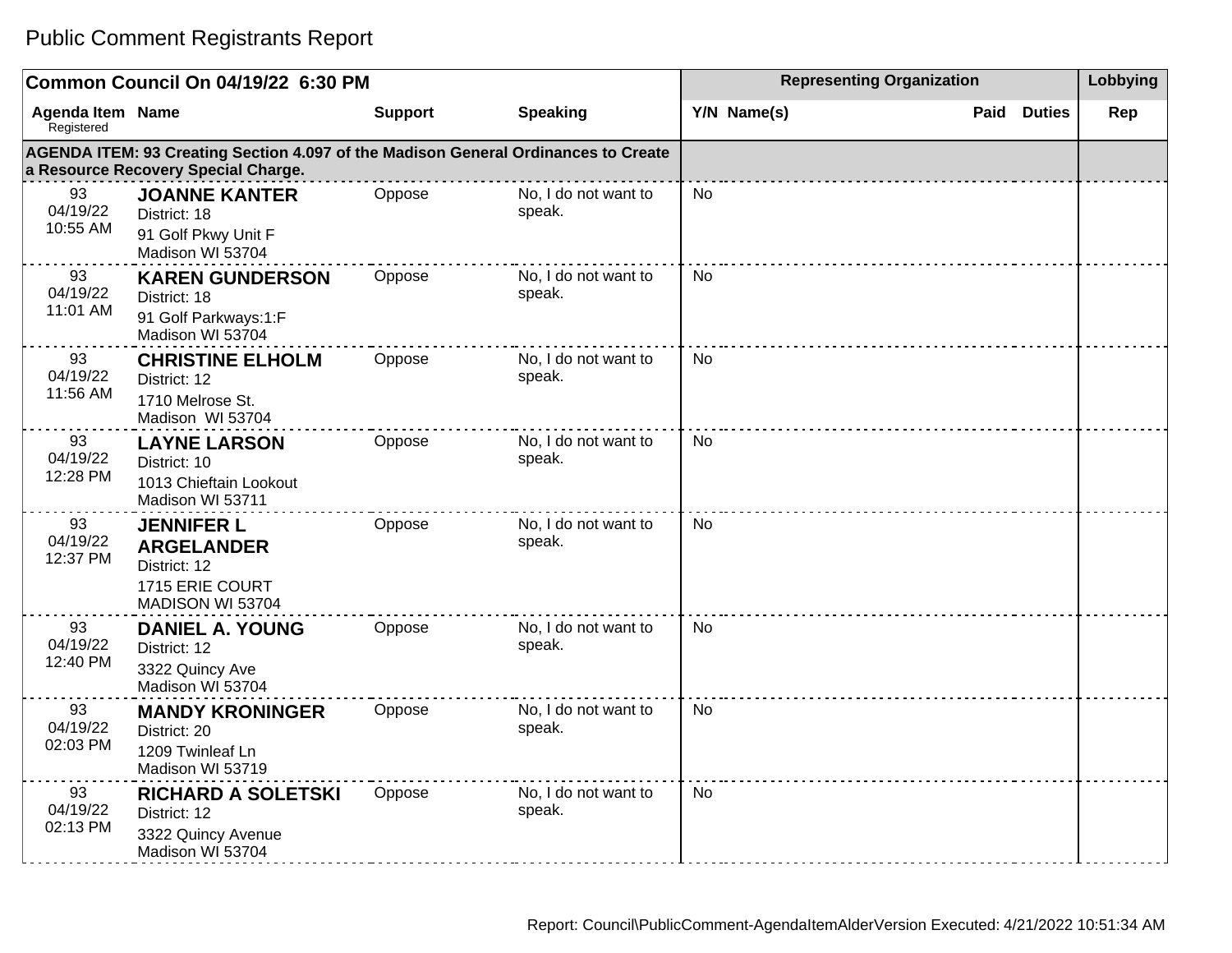|                                       | Common Council On 04/19/22 6:30 PM                                                                                        |                |                                | <b>Representing Organization</b> | Lobbying              |     |
|---------------------------------------|---------------------------------------------------------------------------------------------------------------------------|----------------|--------------------------------|----------------------------------|-----------------------|-----|
| <b>Agenda Item Name</b><br>Registered |                                                                                                                           | <b>Support</b> | <b>Speaking</b>                | Y/N Name(s)                      | Paid<br><b>Duties</b> | Rep |
|                                       | AGENDA ITEM: 93 Creating Section 4.097 of the Madison General Ordinances to Create<br>a Resource Recovery Special Charge. |                |                                |                                  |                       |     |
| 93<br>04/19/22<br>10:55 AM            | <b>JOANNE KANTER</b><br>District: 18<br>91 Golf Pkwy Unit F<br>Madison WI 53704                                           | Oppose         | No, I do not want to<br>speak. | No                               |                       |     |
| 93<br>04/19/22<br>11:01 AM            | <b>KAREN GUNDERSON</b><br>District: 18<br>91 Golf Parkways:1:F<br>Madison WI 53704                                        | Oppose         | No, I do not want to<br>speak. | <b>No</b>                        |                       |     |
| 93<br>04/19/22<br>11:56 AM            | <b>CHRISTINE ELHOLM</b><br>District: 12<br>1710 Melrose St.<br>Madison WI 53704                                           | Oppose         | No, I do not want to<br>speak. | <b>No</b>                        |                       |     |
| 93<br>04/19/22<br>12:28 PM            | <b>LAYNE LARSON</b><br>District: 10<br>1013 Chieftain Lookout<br>Madison WI 53711                                         | Oppose         | No, I do not want to<br>speak. | <b>No</b>                        |                       |     |
| 93<br>04/19/22<br>12:37 PM            | <b>JENNIFER L</b><br><b>ARGELANDER</b><br>District: 12<br>1715 ERIE COURT<br>MADISON WI 53704                             | Oppose         | No, I do not want to<br>speak. | <b>No</b>                        |                       |     |
| 93<br>04/19/22<br>12:40 PM            | <b>DANIEL A. YOUNG</b><br>District: 12<br>3322 Quincy Ave<br>Madison WI 53704                                             | Oppose         | No, I do not want to<br>speak. | <b>No</b>                        |                       |     |
| 93<br>04/19/22<br>02:03 PM            | <b>MANDY KRONINGER</b><br>District: 20<br>1209 Twinleaf Ln<br>Madison WI 53719                                            | Oppose         | No, I do not want to<br>speak. | <b>No</b>                        |                       |     |
| 93<br>04/19/22<br>02:13 PM            | <b>RICHARD A SOLETSKI</b><br>District: 12<br>3322 Quincy Avenue<br>Madison WI 53704                                       | Oppose         | No, I do not want to<br>speak. | <b>No</b>                        |                       |     |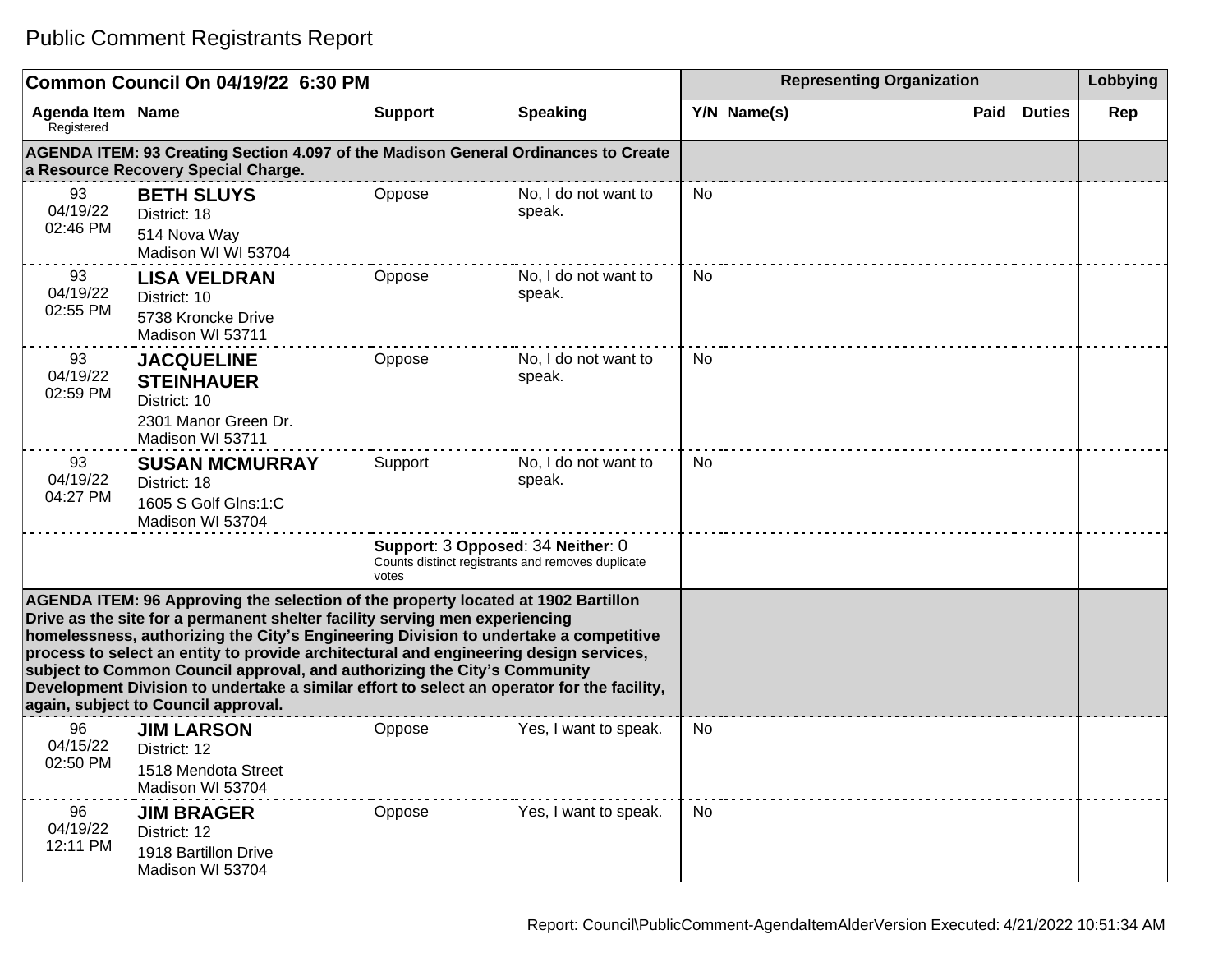| Common Council On 04/19/22 6:30 PM    |                                                                                                                                                                                                                                                                                                                                                                                                                                                                                                                                                                    |                |                                                                                        | <b>Representing Organization</b> | Lobbying           |     |
|---------------------------------------|--------------------------------------------------------------------------------------------------------------------------------------------------------------------------------------------------------------------------------------------------------------------------------------------------------------------------------------------------------------------------------------------------------------------------------------------------------------------------------------------------------------------------------------------------------------------|----------------|----------------------------------------------------------------------------------------|----------------------------------|--------------------|-----|
| <b>Agenda Item Name</b><br>Registered |                                                                                                                                                                                                                                                                                                                                                                                                                                                                                                                                                                    | <b>Support</b> | <b>Speaking</b>                                                                        | Y/N Name(s)                      | <b>Paid Duties</b> | Rep |
|                                       | AGENDA ITEM: 93 Creating Section 4.097 of the Madison General Ordinances to Create<br>a Resource Recovery Special Charge.                                                                                                                                                                                                                                                                                                                                                                                                                                          |                |                                                                                        |                                  |                    |     |
| 93<br>04/19/22<br>02:46 PM            | <b>BETH SLUYS</b><br>District: 18<br>514 Nova Way<br>Madison WI WI 53704                                                                                                                                                                                                                                                                                                                                                                                                                                                                                           | Oppose         | No, I do not want to<br>speak.                                                         | No                               |                    |     |
| 93<br>04/19/22<br>02:55 PM            | <b>LISA VELDRAN</b><br>District: 10<br>5738 Kroncke Drive<br>Madison WI 53711                                                                                                                                                                                                                                                                                                                                                                                                                                                                                      | Oppose         | No, I do not want to<br>speak.                                                         | No                               |                    |     |
| 93<br>04/19/22<br>02:59 PM            | <b>JACQUELINE</b><br><b>STEINHAUER</b><br>District: 10<br>2301 Manor Green Dr.<br>Madison WI 53711                                                                                                                                                                                                                                                                                                                                                                                                                                                                 | Oppose         | No, I do not want to<br>speak.                                                         | No                               |                    |     |
| 93<br>04/19/22<br>04:27 PM            | <b>SUSAN MCMURRAY</b><br>District: 18<br>1605 S Golf Glns:1:C<br>Madison WI 53704                                                                                                                                                                                                                                                                                                                                                                                                                                                                                  | Support        | No, I do not want to<br>speak.                                                         | No.                              |                    |     |
|                                       |                                                                                                                                                                                                                                                                                                                                                                                                                                                                                                                                                                    | votes          | Support: 3 Opposed: 34 Neither: 0<br>Counts distinct registrants and removes duplicate |                                  |                    |     |
|                                       | AGENDA ITEM: 96 Approving the selection of the property located at 1902 Bartillon<br>Drive as the site for a permanent shelter facility serving men experiencing<br>homelessness, authorizing the City's Engineering Division to undertake a competitive<br>process to select an entity to provide architectural and engineering design services,<br>subject to Common Council approval, and authorizing the City's Community<br>Development Division to undertake a similar effort to select an operator for the facility,<br>again, subject to Council approval. |                |                                                                                        |                                  |                    |     |
| 96<br>04/15/22<br>02:50 PM            | <b>JIM LARSON</b><br>District: 12<br>1518 Mendota Street<br>Madison WI 53704                                                                                                                                                                                                                                                                                                                                                                                                                                                                                       | Oppose         | Yes, I want to speak.                                                                  | No                               |                    |     |
| 96<br>04/19/22<br>12:11 PM            | <b>JIM BRAGER</b><br>District: 12<br>1918 Bartillon Drive<br>Madison WI 53704                                                                                                                                                                                                                                                                                                                                                                                                                                                                                      | Oppose         | Yes, I want to speak.                                                                  | No                               |                    |     |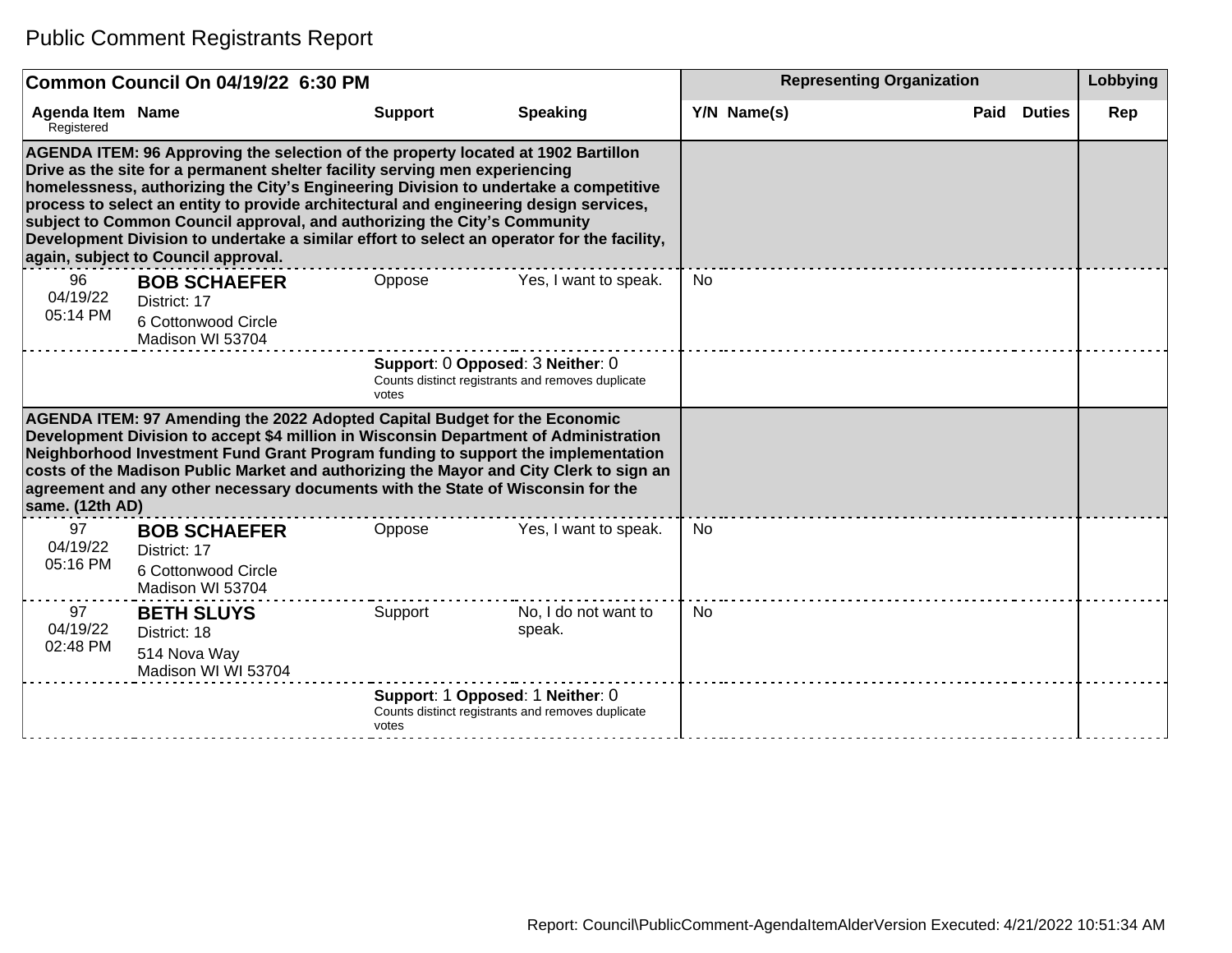|                                       | Common Council On 04/19/22 6:30 PM                                                                                                                                                                                                                                                                                                                                                                                                                                                                                                                                 |                |                                                                                       | <b>Representing Organization</b> |                       |     |  |  |
|---------------------------------------|--------------------------------------------------------------------------------------------------------------------------------------------------------------------------------------------------------------------------------------------------------------------------------------------------------------------------------------------------------------------------------------------------------------------------------------------------------------------------------------------------------------------------------------------------------------------|----------------|---------------------------------------------------------------------------------------|----------------------------------|-----------------------|-----|--|--|
| <b>Agenda Item Name</b><br>Registered |                                                                                                                                                                                                                                                                                                                                                                                                                                                                                                                                                                    | <b>Support</b> | <b>Speaking</b>                                                                       | Y/N Name(s)                      | Paid<br><b>Duties</b> | Rep |  |  |
|                                       | AGENDA ITEM: 96 Approving the selection of the property located at 1902 Bartillon<br>Drive as the site for a permanent shelter facility serving men experiencing<br>homelessness, authorizing the City's Engineering Division to undertake a competitive<br>process to select an entity to provide architectural and engineering design services,<br>subject to Common Council approval, and authorizing the City's Community<br>Development Division to undertake a similar effort to select an operator for the facility,<br>again, subject to Council approval. |                |                                                                                       |                                  |                       |     |  |  |
| 96<br>04/19/22<br>05:14 PM            | <b>BOB SCHAEFER</b><br>District: 17<br>6 Cottonwood Circle<br>Madison WI 53704                                                                                                                                                                                                                                                                                                                                                                                                                                                                                     | Oppose         | Yes, I want to speak.                                                                 | No                               |                       |     |  |  |
|                                       |                                                                                                                                                                                                                                                                                                                                                                                                                                                                                                                                                                    | votes          | Support: 0 Opposed: 3 Neither: 0<br>Counts distinct registrants and removes duplicate |                                  |                       |     |  |  |
| same. (12th AD)                       | AGENDA ITEM: 97 Amending the 2022 Adopted Capital Budget for the Economic<br>Development Division to accept \$4 million in Wisconsin Department of Administration<br>Neighborhood Investment Fund Grant Program funding to support the implementation<br>costs of the Madison Public Market and authorizing the Mayor and City Clerk to sign an<br>agreement and any other necessary documents with the State of Wisconsin for the                                                                                                                                 |                |                                                                                       |                                  |                       |     |  |  |
| 97<br>04/19/22<br>05:16 PM            | <b>BOB SCHAEFER</b><br>District: 17<br>6 Cottonwood Circle<br>Madison WI 53704                                                                                                                                                                                                                                                                                                                                                                                                                                                                                     | Oppose         | Yes, I want to speak.                                                                 | No                               |                       |     |  |  |
| 97<br>04/19/22<br>02:48 PM            | <b>BETH SLUYS</b><br>District: 18<br>514 Nova Way<br>Madison WI WI 53704                                                                                                                                                                                                                                                                                                                                                                                                                                                                                           | Support        | No, I do not want to<br>speak.                                                        | No                               |                       |     |  |  |
|                                       |                                                                                                                                                                                                                                                                                                                                                                                                                                                                                                                                                                    | votes          | Support: 1 Opposed: 1 Neither: 0<br>Counts distinct registrants and removes duplicate |                                  |                       |     |  |  |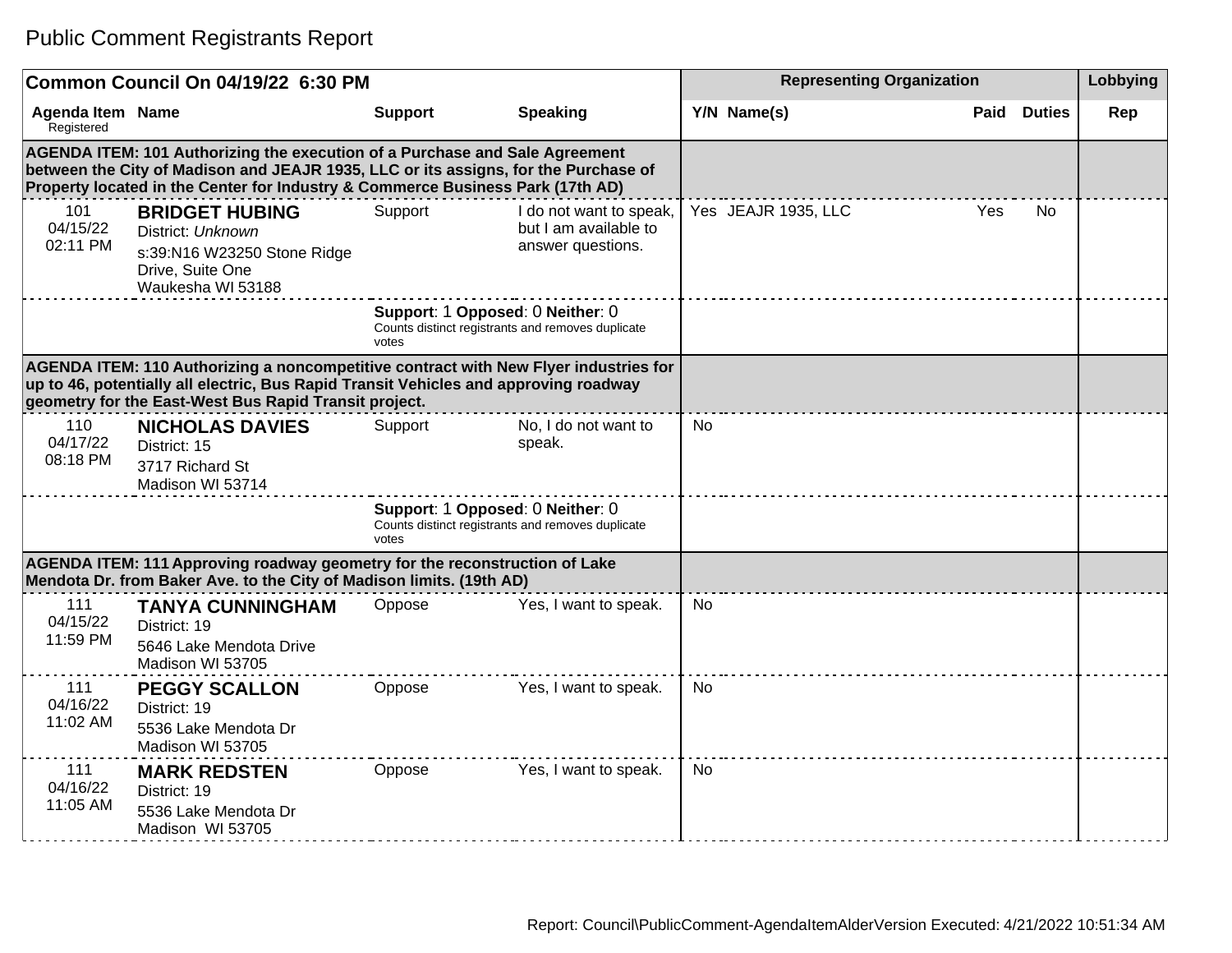|                                       | Common Council On 04/19/22 6:30 PM                                                                                                                                                                                                                   |                                           |                                                                       | Lobbying  |                     |            |               |     |
|---------------------------------------|------------------------------------------------------------------------------------------------------------------------------------------------------------------------------------------------------------------------------------------------------|-------------------------------------------|-----------------------------------------------------------------------|-----------|---------------------|------------|---------------|-----|
| <b>Agenda Item Name</b><br>Registered |                                                                                                                                                                                                                                                      | <b>Support</b>                            | <b>Speaking</b>                                                       |           | Y/N Name(s)         | Paid       | <b>Duties</b> | Rep |
|                                       | AGENDA ITEM: 101 Authorizing the execution of a Purchase and Sale Agreement<br>between the City of Madison and JEAJR 1935, LLC or its assigns, for the Purchase of<br>Property located in the Center for Industry & Commerce Business Park (17th AD) |                                           |                                                                       |           |                     |            |               |     |
| 101<br>04/15/22<br>02:11 PM           | <b>BRIDGET HUBING</b><br>District: Unknown<br>s:39:N16 W23250 Stone Ridge<br>Drive, Suite One<br>Waukesha WI 53188                                                                                                                                   | Support                                   | I do not want to speak,<br>but I am available to<br>answer questions. |           | Yes JEAJR 1935, LLC | <b>Yes</b> | <b>No</b>     |     |
|                                       |                                                                                                                                                                                                                                                      | Support: 1 Opposed: 0 Neither: 0<br>votes | Counts distinct registrants and removes duplicate                     |           |                     |            |               |     |
|                                       | AGENDA ITEM: 110 Authorizing a noncompetitive contract with New Flyer industries for<br>up to 46, potentially all electric, Bus Rapid Transit Vehicles and approving roadway<br>geometry for the East-West Bus Rapid Transit project.                |                                           |                                                                       |           |                     |            |               |     |
| 110<br>04/17/22<br>08:18 PM           | <b>NICHOLAS DAVIES</b><br>District: 15<br>3717 Richard St<br>Madison WI 53714                                                                                                                                                                        | Support                                   | No, I do not want to<br>speak.                                        | <b>No</b> |                     |            |               |     |
|                                       |                                                                                                                                                                                                                                                      | Support: 1 Opposed: 0 Neither: 0<br>votes | Counts distinct registrants and removes duplicate                     |           |                     |            |               |     |
|                                       | AGENDA ITEM: 111 Approving roadway geometry for the reconstruction of Lake<br>Mendota Dr. from Baker Ave. to the City of Madison limits. (19th AD)                                                                                                   |                                           |                                                                       |           |                     |            |               |     |
| 111<br>04/15/22<br>11:59 PM           | <b>TANYA CUNNINGHAM</b><br>District: 19<br>5646 Lake Mendota Drive<br>Madison WI 53705                                                                                                                                                               | Oppose                                    | Yes, I want to speak.                                                 | <b>No</b> |                     |            |               |     |
| 111<br>04/16/22<br>11:02 AM           | <b>PEGGY SCALLON</b><br>District: 19<br>5536 Lake Mendota Dr<br>Madison WI 53705                                                                                                                                                                     | Oppose                                    | Yes, I want to speak.                                                 | No.       |                     |            |               |     |
| 111<br>04/16/22<br>$11:05$ AM         | <b>MARK REDSTEN</b><br>District: 19<br>5536 Lake Mendota Dr<br>Madison WI 53705                                                                                                                                                                      | Oppose                                    | Yes, I want to speak.                                                 | <b>No</b> |                     |            |               |     |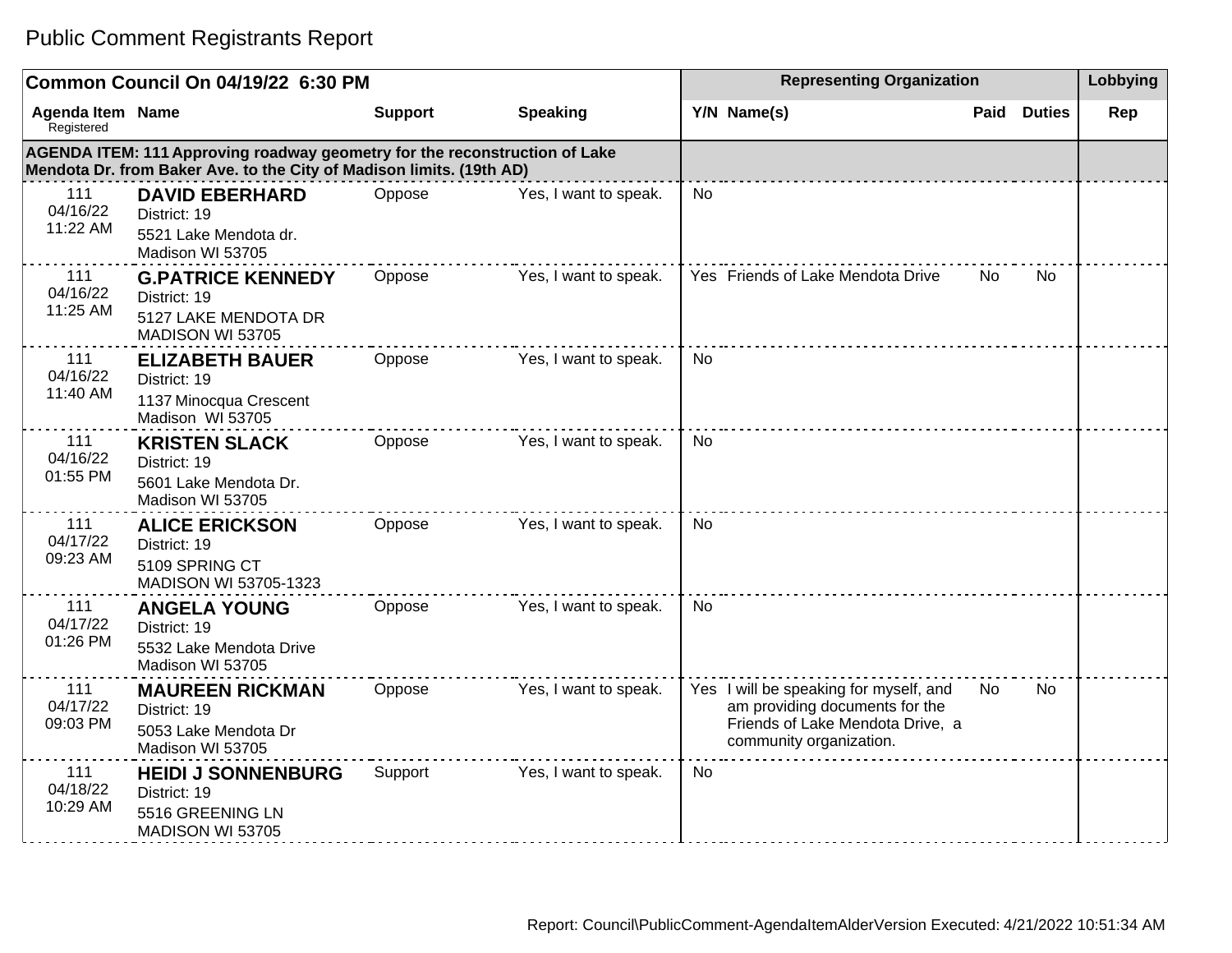|                                       | Common Council On 04/19/22 6:30 PM                                                                                                                 | <b>Representing Organization</b> | Lobbying              |                                                                                                                                         |      |               |     |
|---------------------------------------|----------------------------------------------------------------------------------------------------------------------------------------------------|----------------------------------|-----------------------|-----------------------------------------------------------------------------------------------------------------------------------------|------|---------------|-----|
| <b>Agenda Item Name</b><br>Registered |                                                                                                                                                    | <b>Support</b>                   | <b>Speaking</b>       | Y/N Name(s)                                                                                                                             | Paid | <b>Duties</b> | Rep |
|                                       | AGENDA ITEM: 111 Approving roadway geometry for the reconstruction of Lake<br>Mendota Dr. from Baker Ave. to the City of Madison limits. (19th AD) |                                  |                       |                                                                                                                                         |      |               |     |
| 111<br>04/16/22<br>11:22 AM           | <b>DAVID EBERHARD</b><br>District: 19<br>5521 Lake Mendota dr.<br>Madison WI 53705                                                                 | Oppose                           | Yes, I want to speak. | No                                                                                                                                      |      |               |     |
| 111<br>04/16/22<br>11:25 AM           | <b>G.PATRICE KENNEDY</b><br>District: 19<br>5127 LAKE MENDOTA DR<br>MADISON WI 53705                                                               | Oppose                           | Yes, I want to speak. | Yes Friends of Lake Mendota Drive                                                                                                       | No.  | <b>No</b>     |     |
| 111<br>04/16/22<br>11:40 AM           | <b>ELIZABETH BAUER</b><br>District: 19<br>1137 Minocqua Crescent<br>Madison WI 53705                                                               | Oppose                           | Yes, I want to speak. | <b>No</b>                                                                                                                               |      |               |     |
| 111<br>04/16/22<br>01:55 PM           | <b>KRISTEN SLACK</b><br>District: 19<br>5601 Lake Mendota Dr.<br>Madison WI 53705                                                                  | Oppose                           | Yes, I want to speak. | <b>No</b>                                                                                                                               |      |               |     |
| 111<br>04/17/22<br>09:23 AM           | <b>ALICE ERICKSON</b><br>District: 19<br>5109 SPRING CT<br>MADISON WI 53705-1323                                                                   | Oppose                           | Yes, I want to speak. | <b>No</b>                                                                                                                               |      |               |     |
| 111<br>04/17/22<br>01:26 PM           | <b>ANGELA YOUNG</b><br>District: 19<br>5532 Lake Mendota Drive<br>Madison WI 53705                                                                 | Oppose                           | Yes, I want to speak. | <b>No</b>                                                                                                                               |      |               |     |
| 111<br>04/17/22<br>09:03 PM           | <b>MAUREEN RICKMAN</b><br>District: 19<br>5053 Lake Mendota Dr<br>Madison WI 53705                                                                 | Oppose                           | Yes, I want to speak. | Yes I will be speaking for myself, and<br>am providing documents for the<br>Friends of Lake Mendota Drive, a<br>community organization. | No.  | <b>No</b>     |     |
| 111<br>04/18/22<br>10:29 AM           | <b>HEIDI J SONNENBURG</b><br>District: 19<br>5516 GREENING LN<br>MADISON WI 53705                                                                  | Support                          | Yes, I want to speak. | No                                                                                                                                      |      |               |     |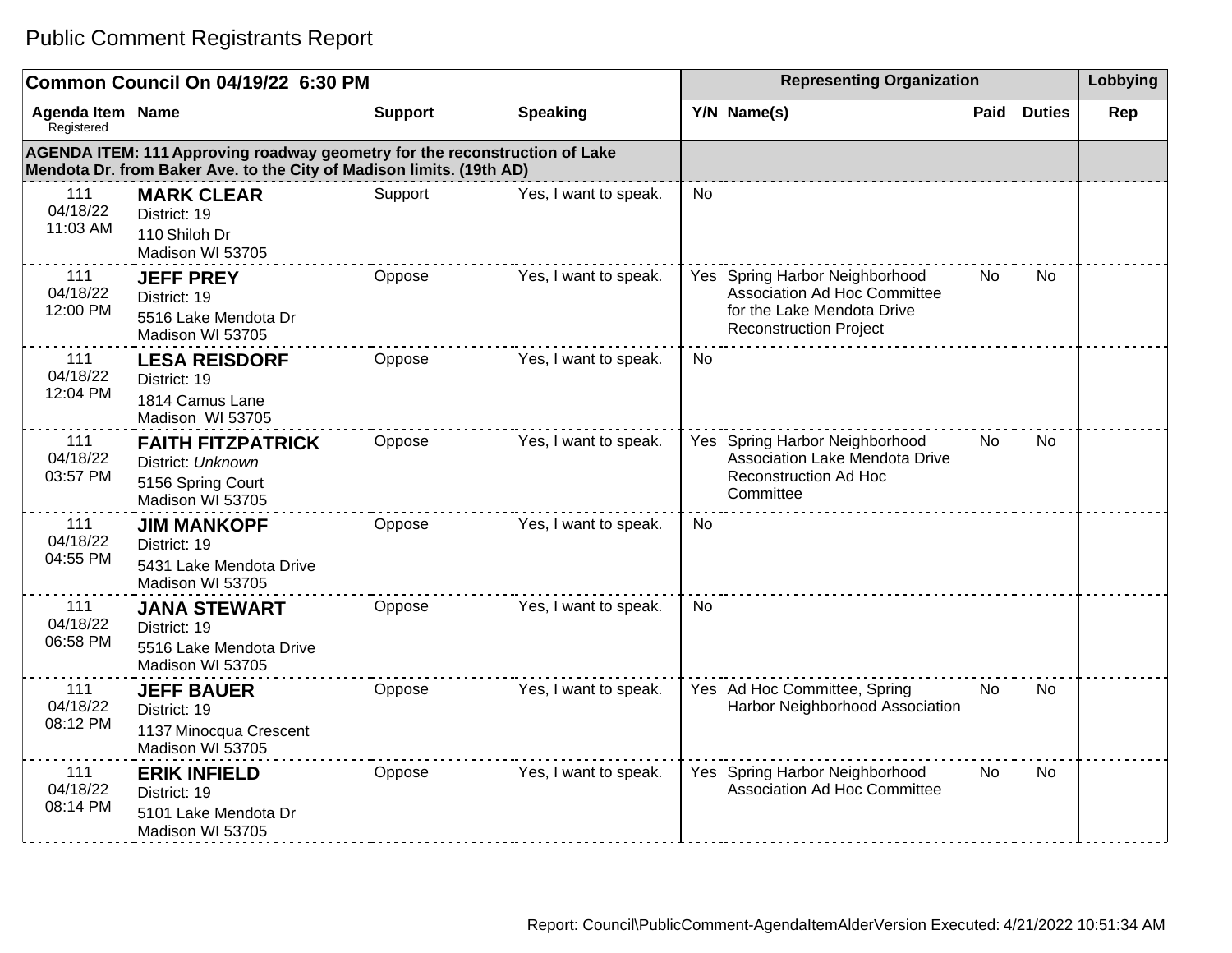|                                       | Common Council On 04/19/22 6:30 PM                                                                                                                 | <b>Representing Organization</b> |                       |           |                                                                                                                                      | Lobbying |               |     |
|---------------------------------------|----------------------------------------------------------------------------------------------------------------------------------------------------|----------------------------------|-----------------------|-----------|--------------------------------------------------------------------------------------------------------------------------------------|----------|---------------|-----|
| <b>Agenda Item Name</b><br>Registered |                                                                                                                                                    | <b>Support</b>                   | <b>Speaking</b>       |           | Y/N Name(s)                                                                                                                          | Paid     | <b>Duties</b> | Rep |
|                                       | AGENDA ITEM: 111 Approving roadway geometry for the reconstruction of Lake<br>Mendota Dr. from Baker Ave. to the City of Madison limits. (19th AD) |                                  |                       |           |                                                                                                                                      |          |               |     |
| 111<br>04/18/22<br>11:03 AM           | <b>MARK CLEAR</b><br>District: 19<br>110 Shiloh Dr<br>Madison WI 53705                                                                             | Support                          | Yes, I want to speak. | No        |                                                                                                                                      |          |               |     |
| 111<br>04/18/22<br>12:00 PM           | <b>JEFF PREY</b><br>District: 19<br>5516 Lake Mendota Dr<br>Madison WI 53705                                                                       | Oppose                           | Yes, I want to speak. |           | Yes Spring Harbor Neighborhood<br><b>Association Ad Hoc Committee</b><br>for the Lake Mendota Drive<br><b>Reconstruction Project</b> | No       | <b>No</b>     |     |
| 111<br>04/18/22<br>12:04 PM           | <b>LESA REISDORF</b><br>District: 19<br>1814 Camus Lane<br>Madison WI 53705                                                                        | Oppose                           | Yes, I want to speak. | <b>No</b> |                                                                                                                                      |          |               |     |
| 111<br>04/18/22<br>03:57 PM           | <b>FAITH FITZPATRICK</b><br>District: Unknown<br>5156 Spring Court<br>Madison WI 53705                                                             | Oppose                           | Yes, I want to speak. |           | Yes Spring Harbor Neighborhood<br>Association Lake Mendota Drive<br><b>Reconstruction Ad Hoc</b><br>Committee                        | No       | <b>No</b>     |     |
| 111<br>04/18/22<br>04:55 PM           | <b>JIM MANKOPF</b><br>District: 19<br>5431 Lake Mendota Drive<br>Madison WI 53705                                                                  | Oppose                           | Yes, I want to speak. | <b>No</b> |                                                                                                                                      |          |               |     |
| 111<br>04/18/22<br>06:58 PM           | <b>JANA STEWART</b><br>District: 19<br>5516 Lake Mendota Drive<br>Madison WI 53705                                                                 | Oppose                           | Yes, I want to speak. | <b>No</b> |                                                                                                                                      |          |               |     |
| 111<br>04/18/22<br>08:12 PM           | <b>JEFF BAUER</b><br>District: 19<br>1137 Minocqua Crescent<br>Madison WI 53705                                                                    | Oppose                           | Yes, I want to speak. |           | Yes Ad Hoc Committee, Spring<br>Harbor Neighborhood Association                                                                      | No       | <b>No</b>     |     |
| 111<br>04/18/22<br>08:14 PM           | <b>ERIK INFIELD</b><br>District: 19<br>5101 Lake Mendota Dr<br>Madison WI 53705                                                                    | Oppose                           | Yes, I want to speak. |           | Yes Spring Harbor Neighborhood<br>Association Ad Hoc Committee                                                                       | No.      | No.           |     |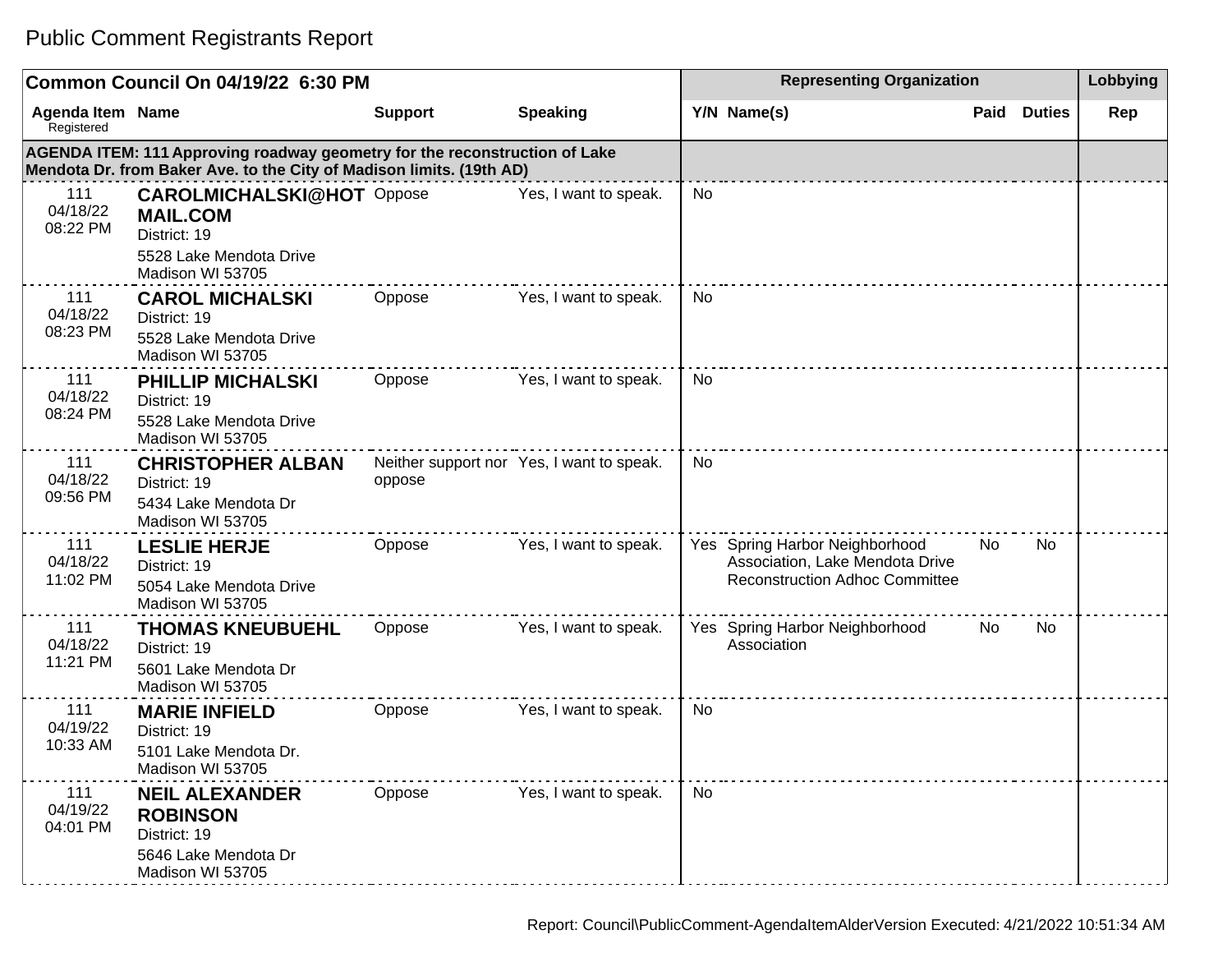|                                | Common Council On 04/19/22 6:30 PM                                                                                                                 | <b>Representing Organization</b> |                                           |                |                                                                                                            | Lobbying |                    |     |
|--------------------------------|----------------------------------------------------------------------------------------------------------------------------------------------------|----------------------------------|-------------------------------------------|----------------|------------------------------------------------------------------------------------------------------------|----------|--------------------|-----|
| Agenda Item Name<br>Registered |                                                                                                                                                    | <b>Support</b>                   | <b>Speaking</b>                           |                | Y/N Name(s)                                                                                                |          | <b>Paid Duties</b> | Rep |
|                                | AGENDA ITEM: 111 Approving roadway geometry for the reconstruction of Lake<br>Mendota Dr. from Baker Ave. to the City of Madison limits. (19th AD) |                                  |                                           |                |                                                                                                            |          |                    |     |
| 111<br>04/18/22<br>08:22 PM    | <b>CAROLMICHALSKI@HOT</b> Oppose<br><b>MAIL.COM</b><br>District: 19<br>5528 Lake Mendota Drive<br>Madison WI 53705                                 |                                  | Yes, I want to speak.                     | No             |                                                                                                            |          |                    |     |
| 111<br>04/18/22<br>08:23 PM    | <b>CAROL MICHALSKI</b><br>District: 19<br>5528 Lake Mendota Drive<br>Madison WI 53705                                                              | Oppose                           | Yes, I want to speak.                     | No             |                                                                                                            |          |                    |     |
| 111<br>04/18/22<br>08:24 PM    | <b>PHILLIP MICHALSKI</b><br>District: 19<br>5528 Lake Mendota Drive<br>Madison WI 53705                                                            | Oppose                           | Yes, I want to speak.                     | No             |                                                                                                            |          |                    |     |
| 111<br>04/18/22<br>09:56 PM    | <b>CHRISTOPHER ALBAN</b><br>District: 19<br>5434 Lake Mendota Dr<br>Madison WI 53705                                                               | oppose                           | Neither support nor Yes, I want to speak. | N <sub>0</sub> |                                                                                                            |          |                    |     |
| 111<br>04/18/22<br>11:02 PM    | <b>LESLIE HERJE</b><br>District: 19<br>5054 Lake Mendota Drive<br>Madison WI 53705                                                                 | Oppose                           | Yes, I want to speak.                     |                | Yes Spring Harbor Neighborhood<br>Association, Lake Mendota Drive<br><b>Reconstruction Adhoc Committee</b> | No.      | No.                |     |
| 111<br>04/18/22<br>11:21 PM    | <b>THOMAS KNEUBUEHL</b><br>District: 19<br>5601 Lake Mendota Dr<br>Madison WI 53705                                                                | Oppose                           | Yes, I want to speak.                     |                | Yes Spring Harbor Neighborhood<br>Association                                                              | No.      | No                 |     |
| 111<br>04/19/22<br>10:33 AM    | <b>MARIE INFIELD</b><br>District: 19<br>5101 Lake Mendota Dr.<br>Madison WI 53705                                                                  | Oppose                           | Yes, I want to speak.                     | <b>No</b>      |                                                                                                            |          |                    |     |
| 111<br>04/19/22<br>04:01 PM    | <b>NEIL ALEXANDER</b><br><b>ROBINSON</b><br>District: 19<br>5646 Lake Mendota Dr<br>Madison WI 53705                                               | Oppose                           | Yes, I want to speak.                     | <b>No</b>      |                                                                                                            |          |                    |     |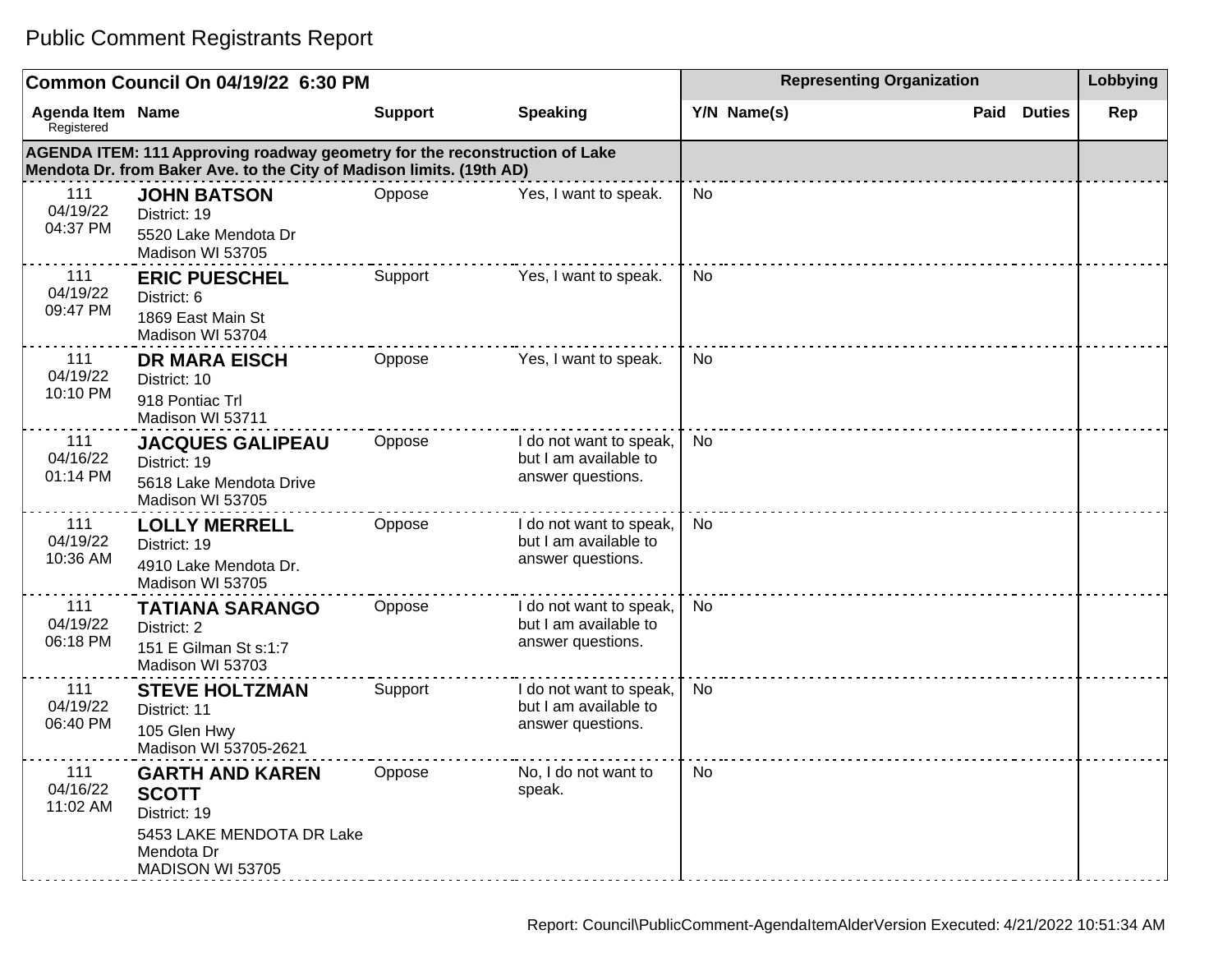|                                       | Common Council On 04/19/22 6:30 PM                                                                                                                 |                |                                                                       |           |             | <b>Representing Organization</b> |               |     |  |
|---------------------------------------|----------------------------------------------------------------------------------------------------------------------------------------------------|----------------|-----------------------------------------------------------------------|-----------|-------------|----------------------------------|---------------|-----|--|
| <b>Agenda Item Name</b><br>Registered |                                                                                                                                                    | <b>Support</b> | <b>Speaking</b>                                                       |           | Y/N Name(s) | Paid                             | <b>Duties</b> | Rep |  |
|                                       | AGENDA ITEM: 111 Approving roadway geometry for the reconstruction of Lake<br>Mendota Dr. from Baker Ave. to the City of Madison limits. (19th AD) |                |                                                                       |           |             |                                  |               |     |  |
| 111<br>04/19/22<br>04:37 PM           | <b>JOHN BATSON</b><br>District: 19<br>5520 Lake Mendota Dr<br>Madison WI 53705                                                                     | Oppose         | Yes, I want to speak.                                                 | <b>No</b> |             |                                  |               |     |  |
| 111<br>04/19/22<br>09:47 PM           | <b>ERIC PUESCHEL</b><br>District: 6<br>1869 East Main St<br>Madison WI 53704                                                                       | Support        | Yes, I want to speak.                                                 | No        |             |                                  |               |     |  |
| 111<br>04/19/22<br>10:10 PM           | <b>DR MARA EISCH</b><br>District: 10<br>918 Pontiac Trl<br>Madison WI 53711                                                                        | Oppose         | Yes, I want to speak.                                                 | No        |             |                                  |               |     |  |
| 111<br>04/16/22<br>01:14 PM           | <b>JACQUES GALIPEAU</b><br>District: 19<br>5618 Lake Mendota Drive<br>Madison WI 53705                                                             | Oppose         | I do not want to speak,<br>but I am available to<br>answer questions. | No        |             |                                  |               |     |  |
| 111<br>04/19/22<br>10:36 AM           | <b>LOLLY MERRELL</b><br>District: 19<br>4910 Lake Mendota Dr.<br>Madison WI 53705                                                                  | Oppose         | I do not want to speak,<br>but I am available to<br>answer questions. | No        |             |                                  |               |     |  |
| 111<br>04/19/22<br>06:18 PM           | <b>TATIANA SARANGO</b><br>District: 2<br>151 E Gilman St s:1:7<br>Madison WI 53703                                                                 | Oppose         | I do not want to speak,<br>but I am available to<br>answer questions. | No        |             |                                  |               |     |  |
| 111<br>04/19/22<br>06:40 PM           | <b>STEVE HOLTZMAN</b><br>District: 11<br>105 Glen Hwy<br>Madison WI 53705-2621                                                                     | Support        | I do not want to speak,<br>but I am available to<br>answer questions. | No        |             |                                  |               |     |  |
| 111<br>04/16/22<br>11:02 AM           | <b>GARTH AND KAREN</b><br><b>SCOTT</b><br>District: 19<br>5453 LAKE MENDOTA DR Lake<br>Mendota Dr<br>MADISON WI 53705                              | Oppose         | No, I do not want to<br>speak.                                        | No        |             |                                  |               |     |  |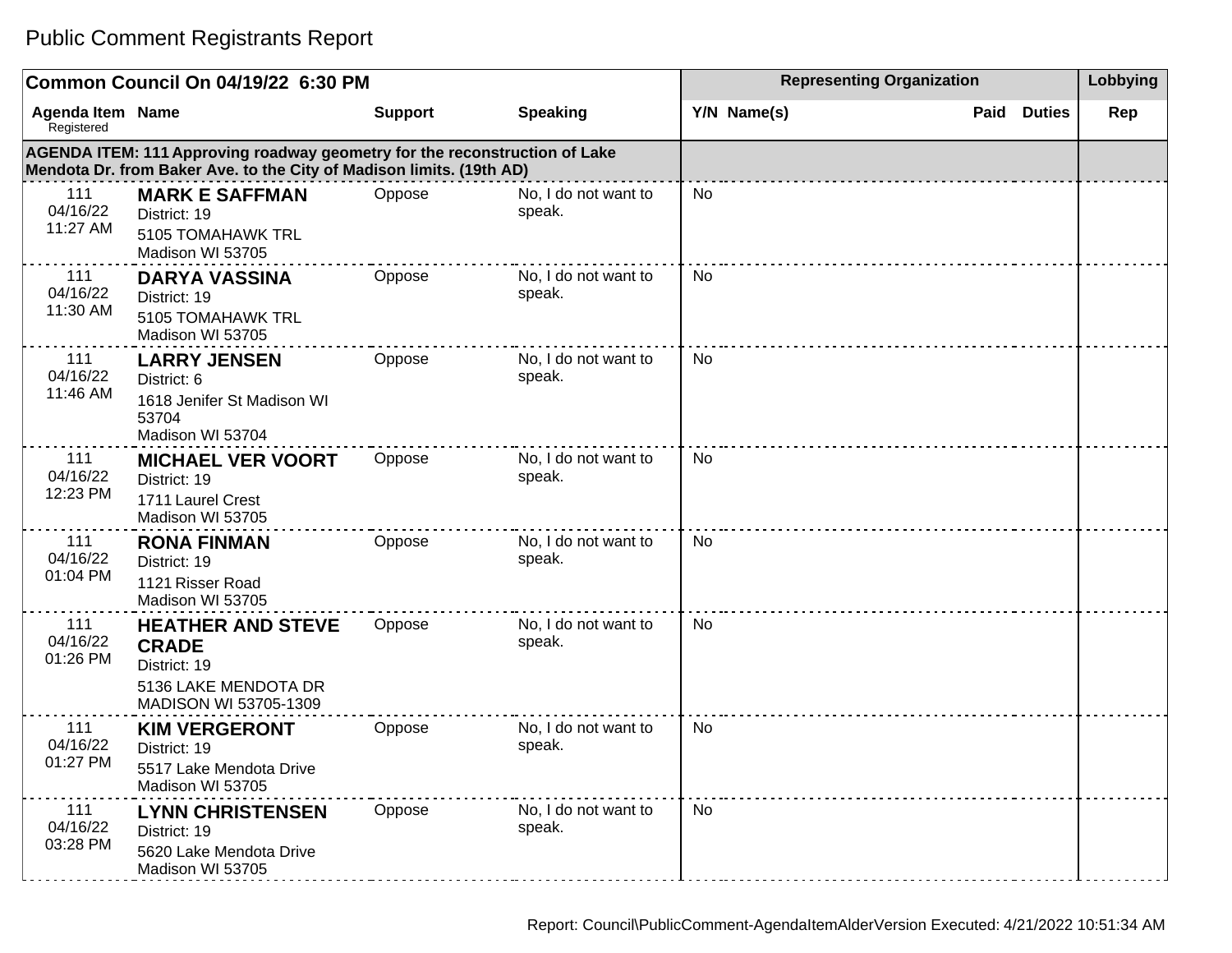#### **Common Council On 04/19/22 6:30 PM Representing Organization Representing Organization Representing Organization Agenda Item** Registered **Name Support Speaking Y/N Name(s) Paid Duties Rep AGENDA ITEM: 111 Approving roadway geometry for the reconstruction of Lake Mendota Dr. from Baker Ave. to the City of Madison limits. (19th AD)** 111 04/16/22 11:27 AM **MARK E SAFFMAN** District: 19 5105 TOMAHAWK TRL Madison WI 53705 Oppose No, I do not want to speak. No 111 04/16/22 11:30 AM **DARYA VASSINA** District: 19 5105 TOMAHAWK TRL Madison WI 53705 Oppose No, I do not want to speak. No 111 04/16/22 11:46 AM **LARRY JENSEN** District: 6 1618 Jenifer St Madison WI 53704 Madison WI 53704 Oppose No, I do not want to speak. No 111 04/16/22 12:23 PM **MICHAEL VER VOORT** District: 19 1711 Laurel Crest Madison WI 53705 Oppose No, I do not want to speak. No 111 04/16/22 01:04 PM **RONA FINMAN** District: 19 1121 Risser Road Madison WI 53705 Oppose No, I do not want to speak. No 111 04/16/22 01:26 PM **HEATHER AND STEVE CRADE** District: 19 5136 LAKE MENDOTA DR MADISON WI 53705-1309 Oppose No, I do not want to speak. No 111 04/16/22 01:27 PM **KIM VERGERONT** District: 19 5517 Lake Mendota Drive Madison WI 53705 Oppose No, I do not want to speak. No 111 04/16/22 03:28 PM **LYNN CHRISTENSEN** District: 19 5620 Lake Mendota Drive Madison WI 53705 Oppose No, I do not want to speak. No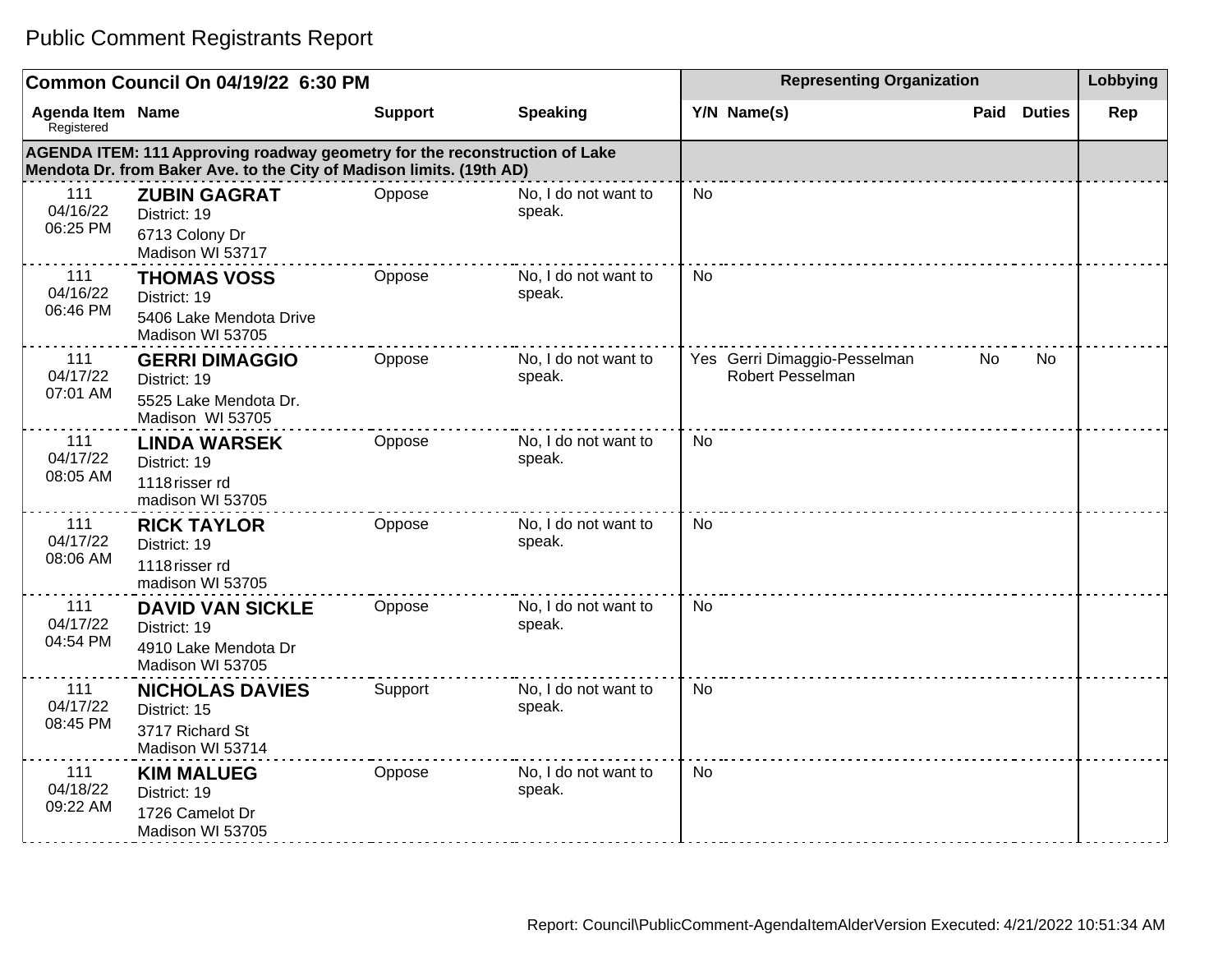|                                       | Common Council On 04/19/22 6:30 PM                                                                                                                 |                | <b>Representing Organization</b> | Lobbying                                         |                       |     |
|---------------------------------------|----------------------------------------------------------------------------------------------------------------------------------------------------|----------------|----------------------------------|--------------------------------------------------|-----------------------|-----|
| <b>Agenda Item Name</b><br>Registered |                                                                                                                                                    | <b>Support</b> | <b>Speaking</b>                  | Y/N Name(s)                                      | <b>Duties</b><br>Paid | Rep |
|                                       | AGENDA ITEM: 111 Approving roadway geometry for the reconstruction of Lake<br>Mendota Dr. from Baker Ave. to the City of Madison limits. (19th AD) |                |                                  |                                                  |                       |     |
| 111<br>04/16/22<br>06:25 PM           | <b>ZUBIN GAGRAT</b><br>District: 19<br>6713 Colony Dr<br>Madison WI 53717                                                                          | Oppose         | No, I do not want to<br>speak.   | <b>No</b>                                        |                       |     |
| 111<br>04/16/22<br>06:46 PM           | <b>THOMAS VOSS</b><br>District: 19<br>5406 Lake Mendota Drive<br>Madison WI 53705                                                                  | Oppose         | No, I do not want to<br>speak.   | <b>No</b>                                        |                       |     |
| 111<br>04/17/22<br>07:01 AM           | <b>GERRI DIMAGGIO</b><br>District: 19<br>5525 Lake Mendota Dr.<br>Madison WI 53705                                                                 | Oppose         | No, I do not want to<br>speak.   | Yes Gerri Dimaggio-Pesselman<br>Robert Pesselman | No<br><b>No</b>       |     |
| 111<br>04/17/22<br>08:05 AM           | <b>LINDA WARSEK</b><br>District: 19<br>1118 risser rd<br>madison WI 53705                                                                          | Oppose         | No, I do not want to<br>speak.   | <b>No</b>                                        |                       |     |
| 111<br>04/17/22<br>08:06 AM           | <b>RICK TAYLOR</b><br>District: 19<br>1118 risser rd<br>madison WI 53705                                                                           | Oppose         | No, I do not want to<br>speak.   | <b>No</b>                                        |                       |     |
| 111<br>04/17/22<br>04:54 PM           | <b>DAVID VAN SICKLE</b><br>District: 19<br>4910 Lake Mendota Dr<br>Madison WI 53705                                                                | Oppose         | No, I do not want to<br>speak.   | <b>No</b>                                        |                       |     |
| 111<br>04/17/22<br>08:45 PM           | <b>NICHOLAS DAVIES</b><br>District: 15<br>3717 Richard St<br>Madison WI 53714                                                                      | Support        | No, I do not want to<br>speak.   | <b>No</b>                                        |                       |     |
| 111<br>04/18/22<br>09:22 AM           | <b>KIM MALUEG</b><br>District: 19<br>1726 Camelot Dr<br>Madison WI 53705                                                                           | Oppose         | No, I do not want to<br>speak.   | <b>No</b>                                        |                       |     |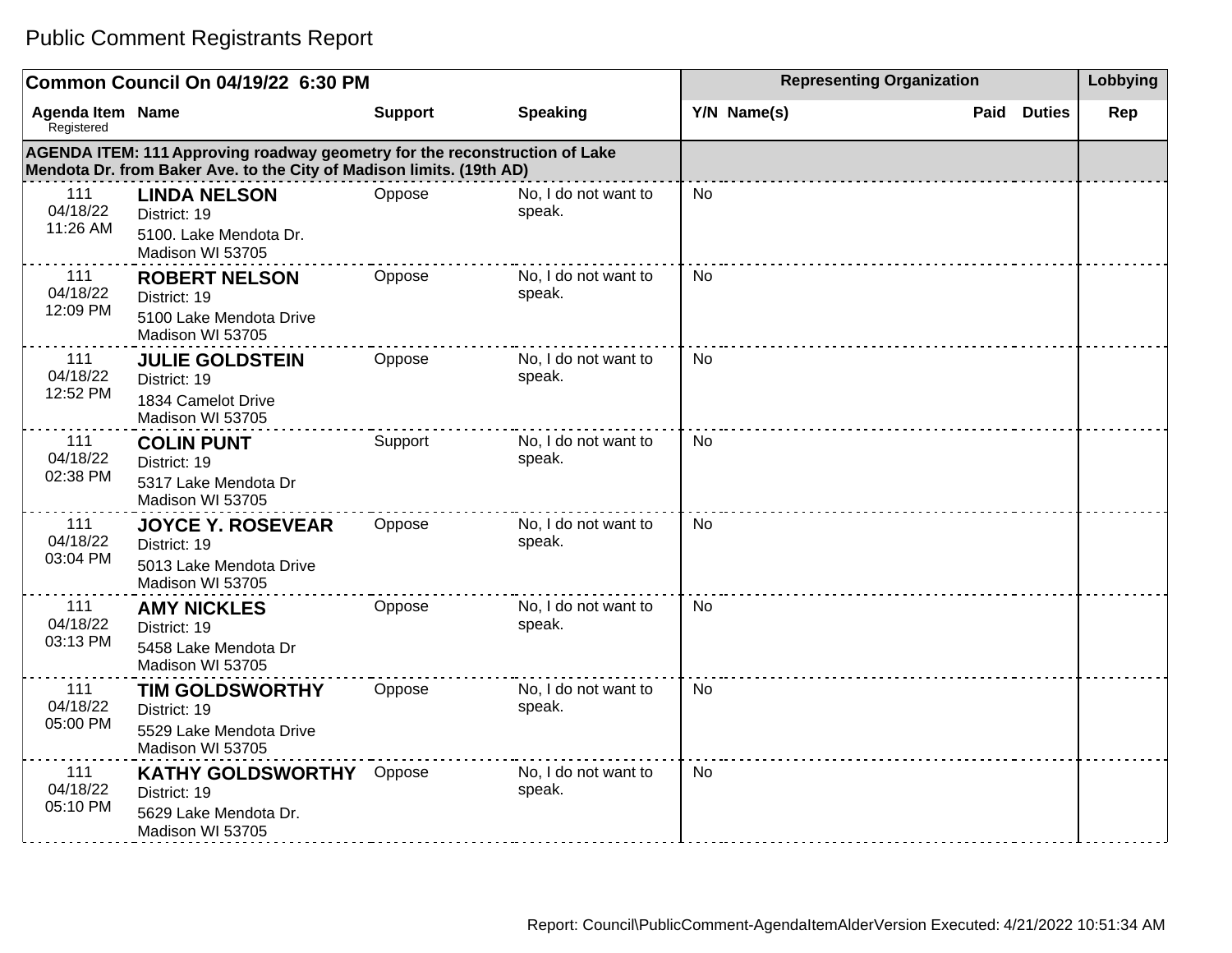|                                       | Common Council On 04/19/22 6:30 PM                                                                                                                 |                | <b>Representing Organization</b> | Lobbying    |                       |     |
|---------------------------------------|----------------------------------------------------------------------------------------------------------------------------------------------------|----------------|----------------------------------|-------------|-----------------------|-----|
| <b>Agenda Item Name</b><br>Registered |                                                                                                                                                    | <b>Support</b> | <b>Speaking</b>                  | Y/N Name(s) | <b>Duties</b><br>Paid | Rep |
|                                       | AGENDA ITEM: 111 Approving roadway geometry for the reconstruction of Lake<br>Mendota Dr. from Baker Ave. to the City of Madison limits. (19th AD) |                |                                  |             |                       |     |
| 111<br>04/18/22<br>11:26 AM           | <b>LINDA NELSON</b><br>District: 19<br>5100. Lake Mendota Dr.<br>Madison WI 53705                                                                  | Oppose         | No, I do not want to<br>speak.   | No          |                       |     |
| 111<br>04/18/22<br>12:09 PM           | <b>ROBERT NELSON</b><br>District: 19<br>5100 Lake Mendota Drive<br>Madison WI 53705                                                                | Oppose         | No, I do not want to<br>speak.   | <b>No</b>   |                       |     |
| 111<br>04/18/22<br>12:52 PM           | <b>JULIE GOLDSTEIN</b><br>District: 19<br>1834 Camelot Drive<br>Madison WI 53705                                                                   | Oppose         | No, I do not want to<br>speak.   | <b>No</b>   |                       |     |
| 111<br>04/18/22<br>02:38 PM           | <b>COLIN PUNT</b><br>District: 19<br>5317 Lake Mendota Dr<br>Madison WI 53705                                                                      | Support        | No, I do not want to<br>speak.   | <b>No</b>   |                       |     |
| 111<br>04/18/22<br>03:04 PM           | <b>JOYCE Y. ROSEVEAR</b><br>District: 19<br>5013 Lake Mendota Drive<br>Madison WI 53705                                                            | Oppose         | No, I do not want to<br>speak.   | <b>No</b>   |                       |     |
| 111<br>04/18/22<br>03:13 PM           | <b>AMY NICKLES</b><br>District: 19<br>5458 Lake Mendota Dr<br>Madison WI 53705                                                                     | Oppose         | No, I do not want to<br>speak.   | <b>No</b>   |                       |     |
| 111<br>04/18/22<br>05:00 PM           | <b>TIM GOLDSWORTHY</b><br>District: 19<br>5529 Lake Mendota Drive<br>Madison WI 53705                                                              | Oppose         | No, I do not want to<br>speak.   | No          |                       |     |
| 111<br>04/18/22<br>05:10 PM           | <b>KATHY GOLDSWORTHY</b><br>District: 19<br>5629 Lake Mendota Dr.<br>Madison WI 53705                                                              | Oppose         | No, I do not want to<br>speak.   | <b>No</b>   |                       |     |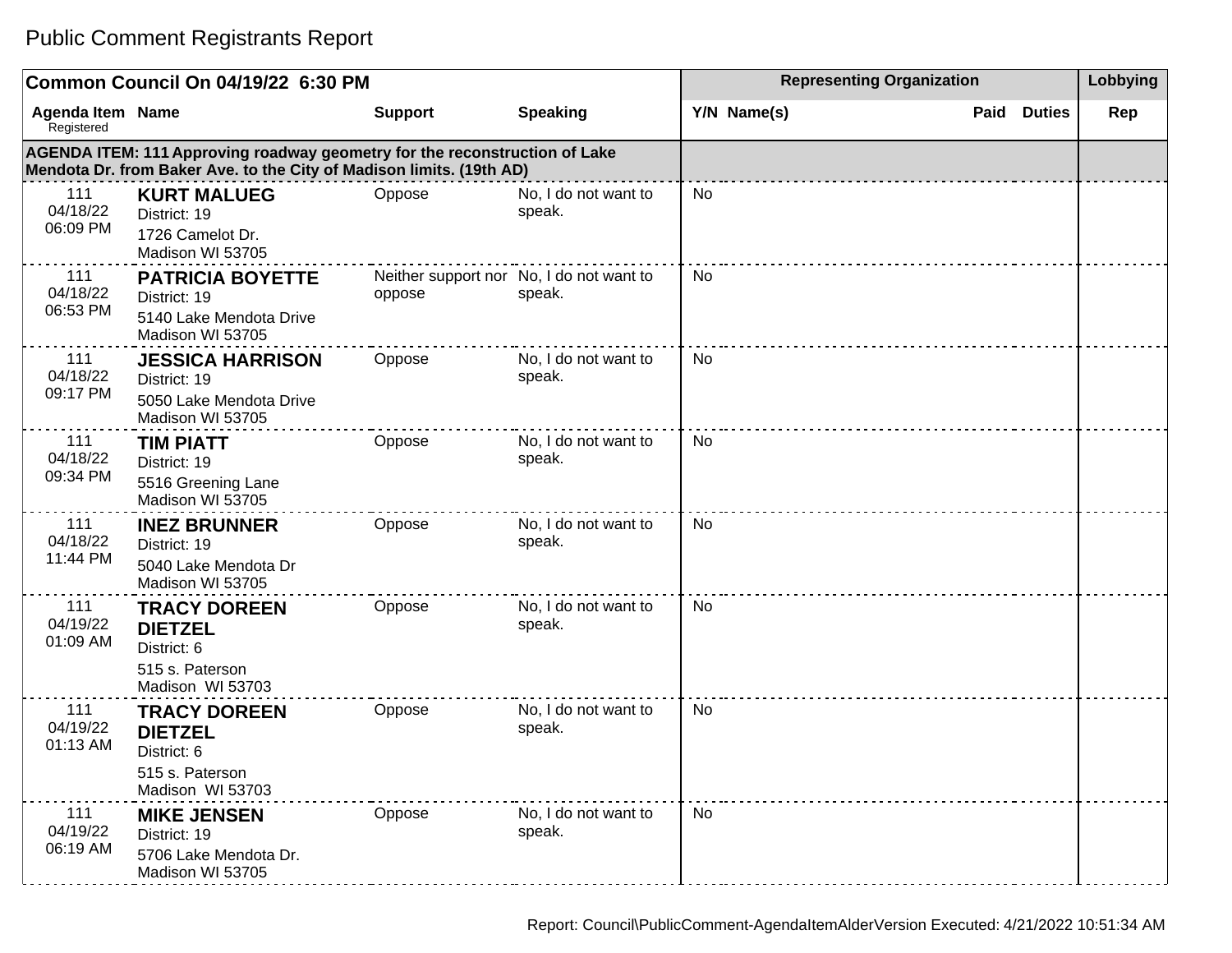|                                | Common Council On 04/19/22 6:30 PM                                                                                                                 |                | <b>Representing Organization</b>                   | Lobbying    |                       |     |
|--------------------------------|----------------------------------------------------------------------------------------------------------------------------------------------------|----------------|----------------------------------------------------|-------------|-----------------------|-----|
| Agenda Item Name<br>Registered |                                                                                                                                                    | <b>Support</b> | <b>Speaking</b>                                    | Y/N Name(s) | Paid<br><b>Duties</b> | Rep |
|                                | AGENDA ITEM: 111 Approving roadway geometry for the reconstruction of Lake<br>Mendota Dr. from Baker Ave. to the City of Madison limits. (19th AD) |                |                                                    |             |                       |     |
| 111<br>04/18/22<br>06:09 PM    | <b>KURT MALUEG</b><br>District: 19<br>1726 Camelot Dr.<br>Madison WI 53705                                                                         | Oppose         | No, I do not want to<br>speak.                     | <b>No</b>   |                       |     |
| 111<br>04/18/22<br>06:53 PM    | <b>PATRICIA BOYETTE</b><br>District: 19<br>5140 Lake Mendota Drive<br>Madison WI 53705                                                             | oppose         | Neither support nor No, I do not want to<br>speak. | No          |                       |     |
| 111<br>04/18/22<br>09:17 PM    | <b>JESSICA HARRISON</b><br>District: 19<br>5050 Lake Mendota Drive<br>Madison WI 53705                                                             | Oppose         | No, I do not want to<br>speak.                     | No          |                       |     |
| 111<br>04/18/22<br>09:34 PM    | <b>TIM PIATT</b><br>District: 19<br>5516 Greening Lane<br>Madison WI 53705                                                                         | Oppose         | No, I do not want to<br>speak.                     | No          |                       |     |
| 111<br>04/18/22<br>11:44 PM    | <b>INEZ BRUNNER</b><br>District: 19<br>5040 Lake Mendota Dr<br>Madison WI 53705                                                                    | Oppose         | No, I do not want to<br>speak.                     | No          |                       |     |
| 111<br>04/19/22<br>01:09 AM    | <b>TRACY DOREEN</b><br><b>DIETZEL</b><br>District: 6<br>515 s. Paterson<br>Madison WI 53703                                                        | Oppose         | No, I do not want to<br>speak.                     | No          |                       |     |
| 111<br>04/19/22<br>01:13 AM    | <b>TRACY DOREEN</b><br><b>DIETZEL</b><br>District: 6<br>515 s. Paterson<br>Madison WI 53703                                                        | Oppose         | No, I do not want to<br>speak.                     | <b>No</b>   |                       |     |
| 111<br>04/19/22<br>06:19 AM    | <b>MIKE JENSEN</b><br>District: 19<br>5706 Lake Mendota Dr.<br>Madison WI 53705                                                                    | Oppose         | No, I do not want to<br>speak.                     | No          |                       |     |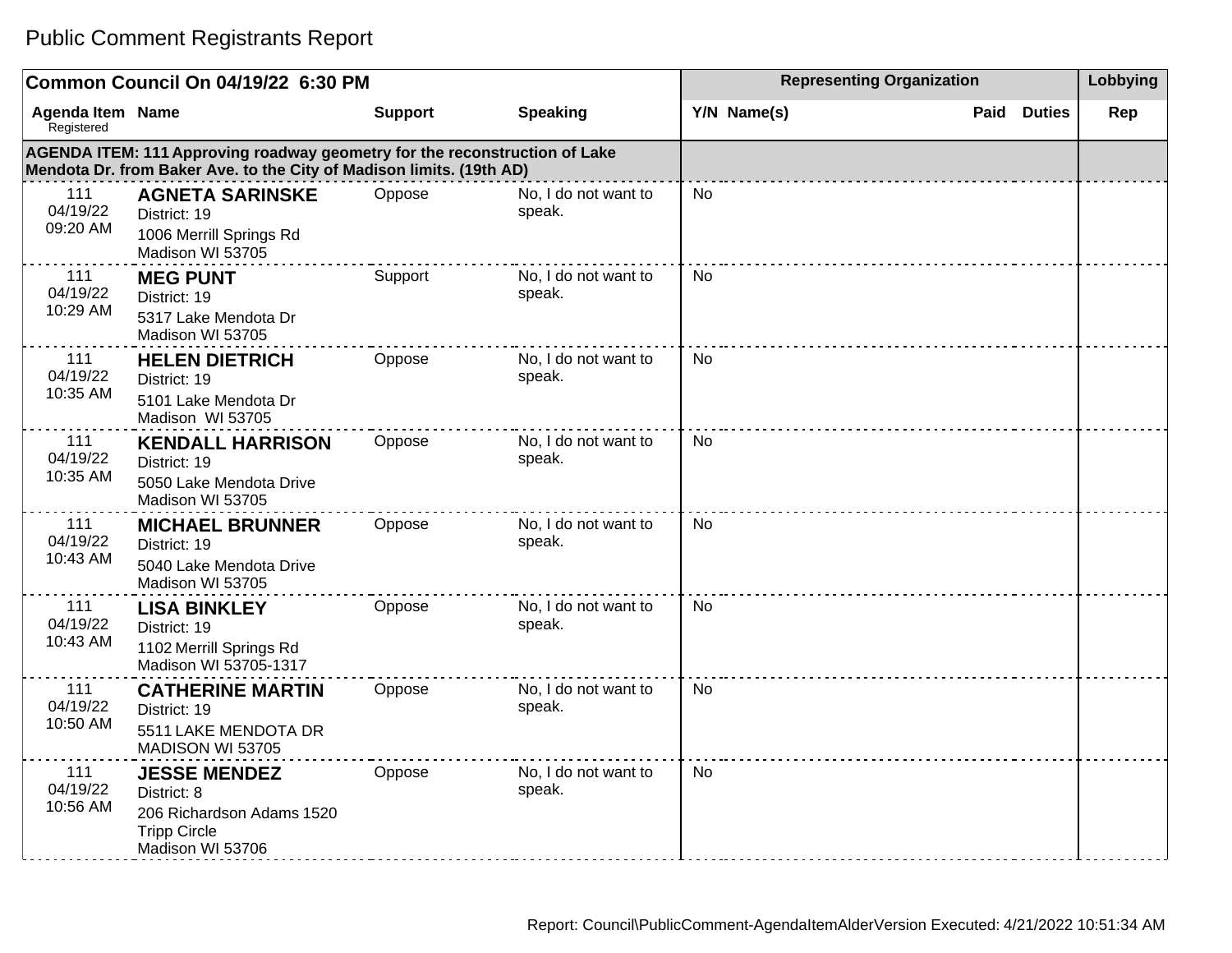#### **Common Council On 04/19/22 6:30 PM Representing Organization Representing Organization Representing Organization Agenda Item** Registered **Name Support Speaking Y/N Name(s) Paid Duties Rep AGENDA ITEM: 111 Approving roadway geometry for the reconstruction of Lake Mendota Dr. from Baker Ave. to the City of Madison limits. (19th AD)** 111 04/19/22 09:20 AM **AGNETA SARINSKE** District: 19 1006 Merrill Springs Rd Madison WI 53705 Oppose No, I do not want to speak. No 111 04/19/22 10:29 AM **MEG PUNT** District: 19 5317 Lake Mendota Dr Madison WI 53705 Support No, I do not want to speak. No 111 04/19/22 10:35 AM **HELEN DIETRICH**  District: 19 5101 Lake Mendota Dr Madison WI 53705 Oppose No, I do not want to speak. No 111 04/19/22 10:35 AM **KENDALL HARRISON**  District: 19 5050 Lake Mendota Drive Madison WI 53705 Oppose No, I do not want to speak. No 111 04/19/22 10:43 AM **MICHAEL BRUNNER** District: 19 5040 Lake Mendota Drive Madison WI 53705 Oppose No, I do not want to speak. No 111 04/19/22 10:43 AM **LISA BINKLEY** District: 19 1102 Merrill Springs Rd Madison WI 53705-1317 Oppose No, I do not want to speak. No 111 04/19/22 10:50 AM **CATHERINE MARTIN** District: 19 5511 LAKE MENDOTA DR MADISON WI 53705 Oppose No, I do not want to speak. No 111 04/19/22 **JESSE MENDEZ** District: 8 Oppose No, I do not want to speak. No

#### Public Comment Registrants Report

10:56 AM

206 Richardson Adams 1520

Tripp Circle

Madison WI 53706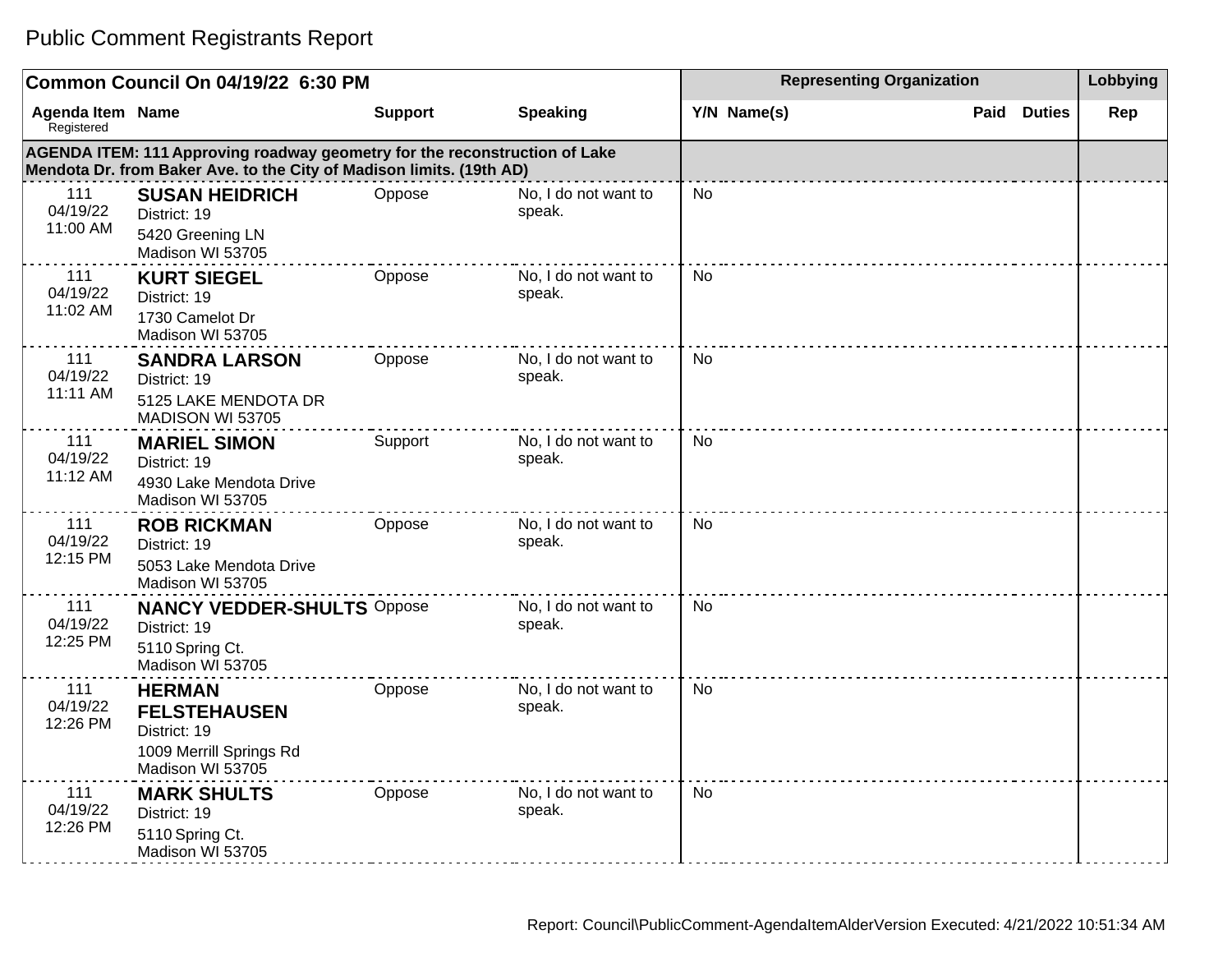#### **Common Council On 04/19/22 6:30 PM Representing Organization Representing Organization Representing Organization Agenda Item** Registered **AGENDA ITEM: 111 Approving roadway geometry for the reconstruction of Lake Mendota Dr. from Baker Ave. to the City of Madison limits. (19th AD)** 111 04/19/22 **SUSAN HEIDRICH** District: 19 Oppose No, I do not want to speak. Public Comment Registrants Report

| <b>Agenda Item Name</b><br>Registered |                                                                                                                                                    | <b>Support</b> | <b>Speaking</b>                | Y/N Name(s) | Paid | <b>Duties</b> | Rep |
|---------------------------------------|----------------------------------------------------------------------------------------------------------------------------------------------------|----------------|--------------------------------|-------------|------|---------------|-----|
|                                       | AGENDA ITEM: 111 Approving roadway geometry for the reconstruction of Lake<br>Mendota Dr. from Baker Ave. to the City of Madison limits. (19th AD) |                |                                |             |      |               |     |
| 111<br>04/19/22<br>11:00 AM           | <b>SUSAN HEIDRICH</b><br>District: 19<br>5420 Greening LN<br>Madison WI 53705                                                                      | Oppose         | No, I do not want to<br>speak. | No          |      |               |     |
| 111<br>04/19/22<br>11:02 AM           | <b>KURT SIEGEL</b><br>District: 19<br>1730 Camelot Dr<br>Madison WI 53705                                                                          | Oppose         | No, I do not want to<br>speak. | No          |      |               |     |
| 111<br>04/19/22<br>11:11 AM           | <b>SANDRA LARSON</b><br>District: 19<br>5125 LAKE MENDOTA DR<br>MADISON WI 53705                                                                   | Oppose         | No, I do not want to<br>speak. | <b>No</b>   |      |               |     |
| 111<br>04/19/22<br>11:12 AM           | <b>MARIEL SIMON</b><br>District: 19<br>4930 Lake Mendota Drive<br>Madison WI 53705                                                                 | Support        | No, I do not want to<br>speak. | <b>No</b>   |      |               |     |
| 111<br>04/19/22<br>12:15 PM           | <b>ROB RICKMAN</b><br>District: 19<br>5053 Lake Mendota Drive<br>Madison WI 53705                                                                  | Oppose         | No, I do not want to<br>speak. | No          |      |               |     |
| 111<br>04/19/22<br>12:25 PM           | <b>NANCY VEDDER-SHULTS Oppose</b><br>District: 19<br>5110 Spring Ct.<br>Madison WI 53705                                                           |                | No, I do not want to<br>speak. | <b>No</b>   |      |               |     |
| 111<br>04/19/22<br>12:26 PM           | <b>HERMAN</b><br><b>FELSTEHAUSEN</b><br>District: 19<br>1009 Merrill Springs Rd<br>Madison WI 53705                                                | Oppose         | No, I do not want to<br>speak. | <b>No</b>   |      |               |     |
| 111<br>04/19/22<br>12:26 PM           | <b>MARK SHULTS</b><br>District: 19<br>5110 Spring Ct.<br>Madison WI 53705                                                                          | Oppose         | No, I do not want to<br>speak. | <b>No</b>   |      |               |     |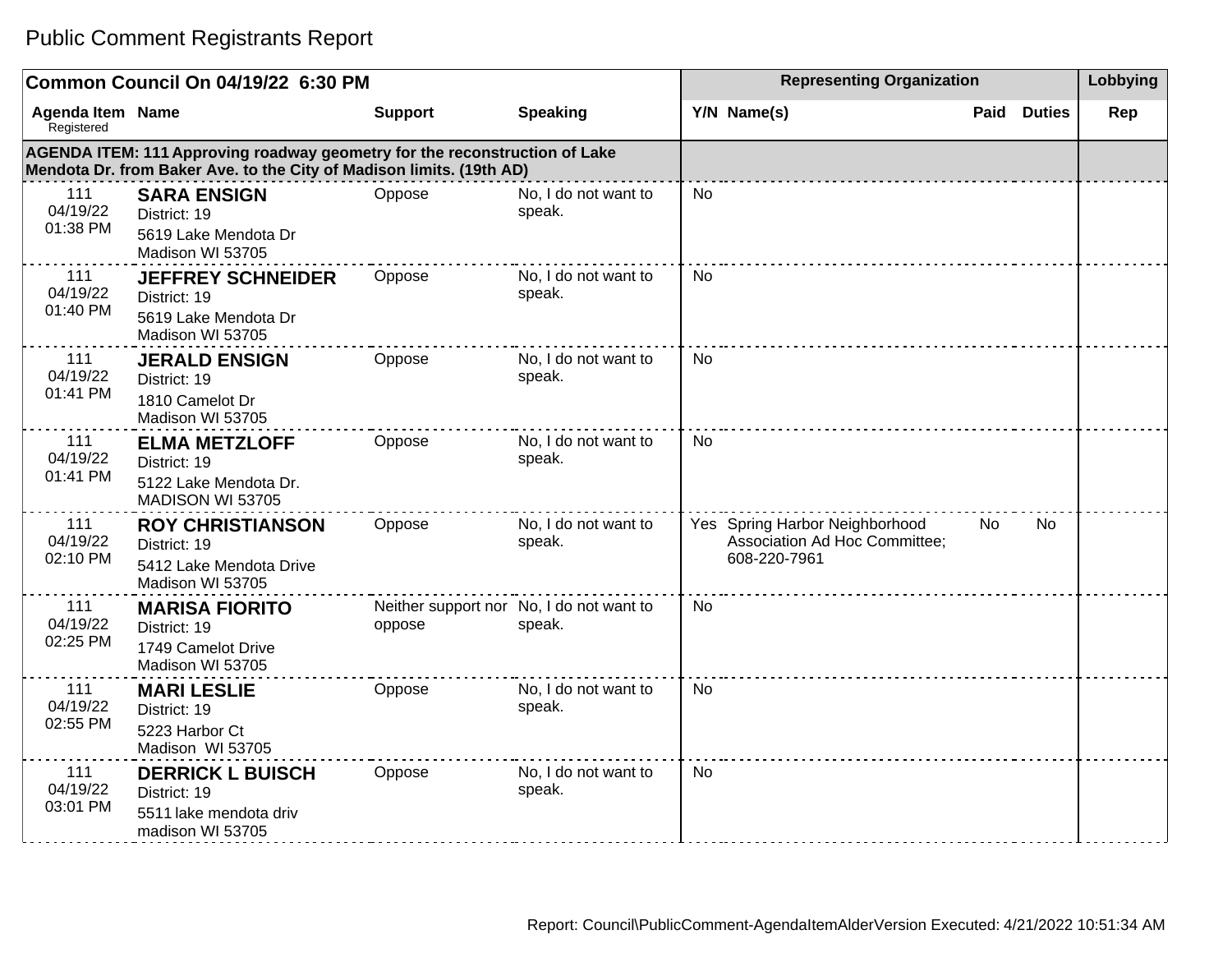|                                       | Common Council On 04/19/22 6:30 PM                                                                                                                 |                |                                                    |             | <b>Representing Organization</b>                                                |      |               |     |
|---------------------------------------|----------------------------------------------------------------------------------------------------------------------------------------------------|----------------|----------------------------------------------------|-------------|---------------------------------------------------------------------------------|------|---------------|-----|
| <b>Agenda Item Name</b><br>Registered |                                                                                                                                                    | <b>Support</b> | <b>Speaking</b>                                    | Y/N Name(s) |                                                                                 | Paid | <b>Duties</b> | Rep |
|                                       | AGENDA ITEM: 111 Approving roadway geometry for the reconstruction of Lake<br>Mendota Dr. from Baker Ave. to the City of Madison limits. (19th AD) |                |                                                    |             |                                                                                 |      |               |     |
| 111<br>04/19/22<br>01:38 PM           | <b>SARA ENSIGN</b><br>District: 19<br>5619 Lake Mendota Dr<br>Madison WI 53705                                                                     | Oppose         | No, I do not want to<br>speak.                     | No          |                                                                                 |      |               |     |
| 111<br>04/19/22<br>01:40 PM           | <b>JEFFREY SCHNEIDER</b><br>District: 19<br>5619 Lake Mendota Dr<br>Madison WI 53705                                                               | Oppose         | No, I do not want to<br>speak.                     | <b>No</b>   |                                                                                 |      |               |     |
| 111<br>04/19/22<br>01:41 PM           | <b>JERALD ENSIGN</b><br>District: 19<br>1810 Camelot Dr<br>Madison WI 53705                                                                        | Oppose         | No, I do not want to<br>speak.                     | <b>No</b>   |                                                                                 |      |               |     |
| 111<br>04/19/22<br>01:41 PM           | <b>ELMA METZLOFF</b><br>District: 19<br>5122 Lake Mendota Dr.<br>MADISON WI 53705                                                                  | Oppose         | No, I do not want to<br>speak.                     | <b>No</b>   |                                                                                 |      |               |     |
| 111<br>04/19/22<br>02:10 PM           | <b>ROY CHRISTIANSON</b><br>District: 19<br>5412 Lake Mendota Drive<br>Madison WI 53705                                                             | Oppose         | No, I do not want to<br>speak.                     |             | Yes Spring Harbor Neighborhood<br>Association Ad Hoc Committee;<br>608-220-7961 | No   | No            |     |
| 111<br>04/19/22<br>02:25 PM           | <b>MARISA FIORITO</b><br>District: 19<br>1749 Camelot Drive<br>Madison WI 53705                                                                    | oppose         | Neither support nor No, I do not want to<br>speak. | <b>No</b>   |                                                                                 |      |               |     |
| 111<br>04/19/22<br>02:55 PM           | <b>MARI LESLIE</b><br>District: 19<br>5223 Harbor Ct<br>Madison WI 53705                                                                           | Oppose         | No, I do not want to<br>speak.                     | <b>No</b>   |                                                                                 |      |               |     |
| 111<br>04/19/22<br>03:01 PM           | <b>DERRICK L BUISCH</b><br>District: 19<br>5511 lake mendota driv<br>madison WI 53705                                                              | Oppose         | No, I do not want to<br>speak.                     | <b>No</b>   |                                                                                 |      |               |     |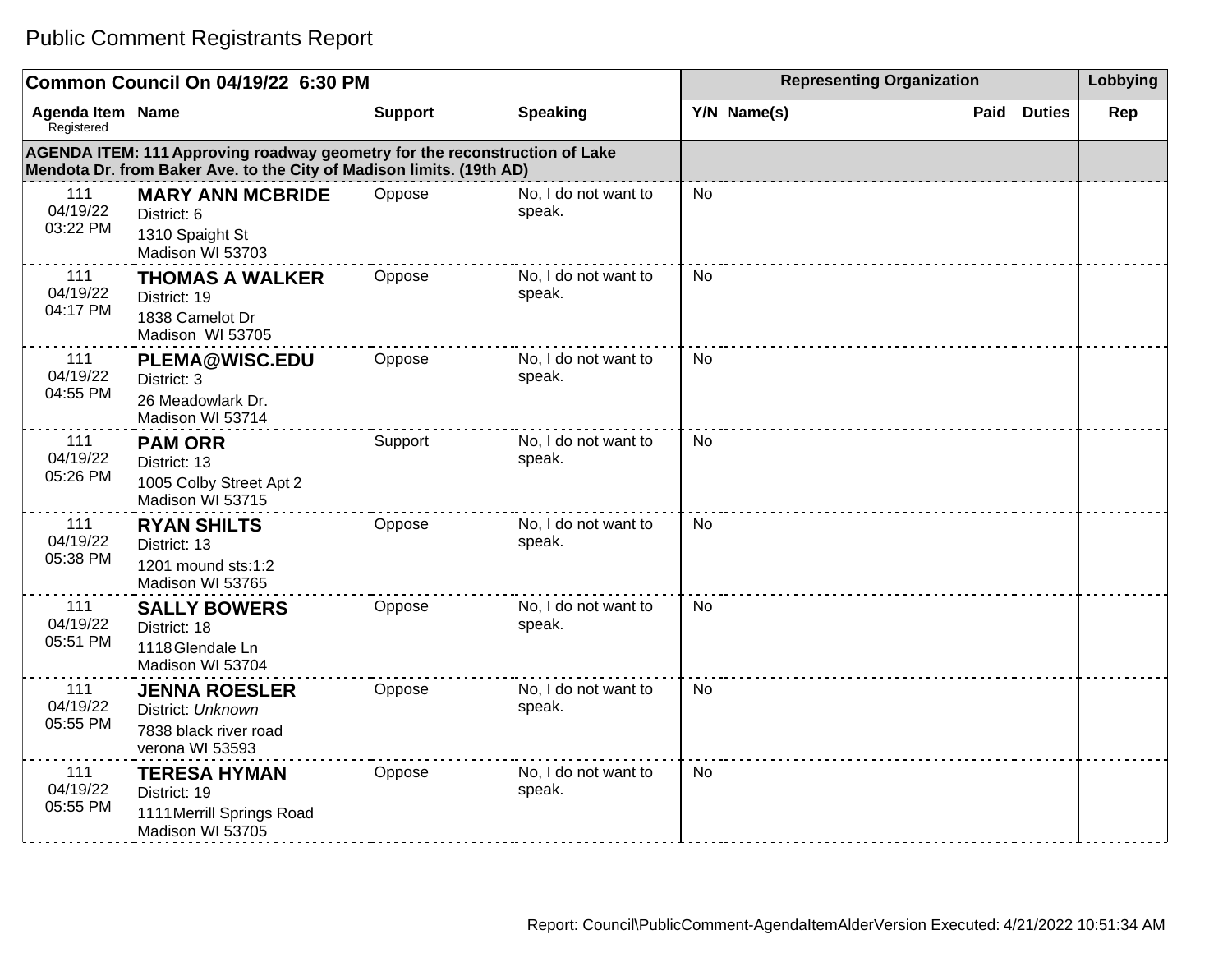|                                       | Common Council On 04/19/22 6:30 PM                                                                                                                 | <b>Representing Organization</b> | Lobbying                       |             |                       |     |
|---------------------------------------|----------------------------------------------------------------------------------------------------------------------------------------------------|----------------------------------|--------------------------------|-------------|-----------------------|-----|
| <b>Agenda Item Name</b><br>Registered |                                                                                                                                                    | <b>Support</b>                   | <b>Speaking</b>                | Y/N Name(s) | <b>Duties</b><br>Paid | Rep |
|                                       | AGENDA ITEM: 111 Approving roadway geometry for the reconstruction of Lake<br>Mendota Dr. from Baker Ave. to the City of Madison limits. (19th AD) |                                  |                                |             |                       |     |
| 111<br>04/19/22<br>03:22 PM           | <b>MARY ANN MCBRIDE</b><br>District: 6<br>1310 Spaight St<br>Madison WI 53703                                                                      | Oppose                           | No, I do not want to<br>speak. | <b>No</b>   |                       |     |
| 111<br>04/19/22<br>04:17 PM           | <b>THOMAS A WALKER</b><br>District: 19<br>1838 Camelot Dr<br>Madison WI 53705                                                                      | Oppose                           | No, I do not want to<br>speak. | No          |                       |     |
| 111<br>04/19/22<br>04:55 PM           | <b>PLEMA@WISC.EDU</b><br>District: 3<br>26 Meadowlark Dr.<br>Madison WI 53714                                                                      | Oppose                           | No, I do not want to<br>speak. | No          |                       |     |
| 111<br>04/19/22<br>05:26 PM           | <b>PAM ORR</b><br>District: 13<br>1005 Colby Street Apt 2<br>Madison WI 53715                                                                      | Support                          | No, I do not want to<br>speak. | <b>No</b>   |                       |     |
| 111<br>04/19/22<br>05:38 PM           | <b>RYAN SHILTS</b><br>District: 13<br>1201 mound sts:1:2<br>Madison WI 53765                                                                       | Oppose                           | No, I do not want to<br>speak. | <b>No</b>   |                       |     |
| 111<br>04/19/22<br>05:51 PM           | <b>SALLY BOWERS</b><br>District: 18<br>1118 Glendale Ln<br>Madison WI 53704                                                                        | Oppose                           | No, I do not want to<br>speak. | <b>No</b>   |                       |     |
| 111<br>04/19/22<br>05:55 PM           | <b>JENNA ROESLER</b><br>District: Unknown<br>7838 black river road<br>verona WI 53593                                                              | Oppose                           | No, I do not want to<br>speak. | No.         |                       |     |
| 111<br>04/19/22<br>05:55 PM           | <b>TERESA HYMAN</b><br>District: 19<br>1111 Merrill Springs Road<br>Madison WI 53705                                                               | Oppose                           | No, I do not want to<br>speak. | <b>No</b>   |                       |     |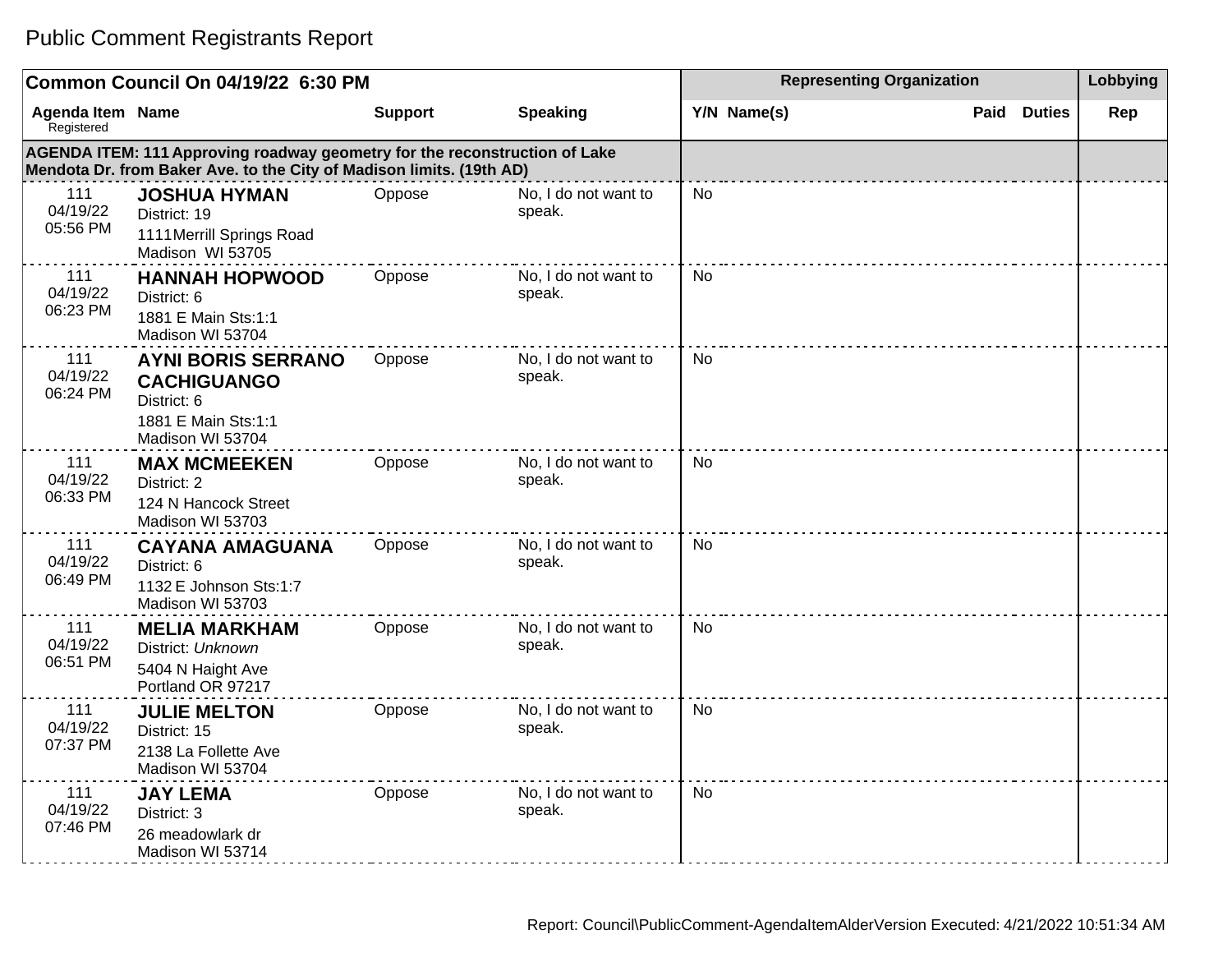|                                | Common Council On 04/19/22 6:30 PM                                                                                                                 |                | <b>Representing Organization</b> | Lobbying    |                       |     |
|--------------------------------|----------------------------------------------------------------------------------------------------------------------------------------------------|----------------|----------------------------------|-------------|-----------------------|-----|
| Agenda Item Name<br>Registered |                                                                                                                                                    | <b>Support</b> | <b>Speaking</b>                  | Y/N Name(s) | <b>Duties</b><br>Paid | Rep |
|                                | AGENDA ITEM: 111 Approving roadway geometry for the reconstruction of Lake<br>Mendota Dr. from Baker Ave. to the City of Madison limits. (19th AD) |                |                                  |             |                       |     |
| 111<br>04/19/22<br>05:56 PM    | <b>JOSHUA HYMAN</b><br>District: 19<br>1111 Merrill Springs Road<br>Madison WI 53705                                                               | Oppose         | No, I do not want to<br>speak.   | <b>No</b>   |                       |     |
| 111<br>04/19/22<br>06:23 PM    | <b>HANNAH HOPWOOD</b><br>District: 6<br>1881 E Main Sts:1:1<br>Madison WI 53704                                                                    | Oppose         | No, I do not want to<br>speak.   | <b>No</b>   |                       |     |
| 111<br>04/19/22<br>06:24 PM    | <b>AYNI BORIS SERRANO</b><br><b>CACHIGUANGO</b><br>District: 6<br>1881 E Main Sts:1:1<br>Madison WI 53704                                          | Oppose         | No, I do not want to<br>speak.   | <b>No</b>   |                       |     |
| 111<br>04/19/22<br>06:33 PM    | <b>MAX MCMEEKEN</b><br>District: 2<br>124 N Hancock Street<br>Madison WI 53703                                                                     | Oppose         | No, I do not want to<br>speak.   | <b>No</b>   |                       |     |
| 111<br>04/19/22<br>06:49 PM    | <b>CAYANA AMAGUANA</b><br>District: 6<br>1132 E Johnson Sts:1:7<br>Madison WI 53703                                                                | Oppose         | No, I do not want to<br>speak.   | <b>No</b>   |                       |     |
| 111<br>04/19/22<br>06:51 PM    | <b>MELIA MARKHAM</b><br>District: Unknown<br>5404 N Haight Ave<br>Portland OR 97217                                                                | Oppose         | No, I do not want to<br>speak.   | <b>No</b>   |                       |     |
| 111<br>04/19/22<br>07:37 PM    | <b>JULIE MELTON</b><br>District: 15<br>2138 La Follette Ave<br>Madison WI 53704                                                                    | Oppose         | No, I do not want to<br>speak.   | <b>No</b>   |                       |     |
| 111<br>04/19/22<br>07:46 PM    | <b>JAY LEMA</b><br>District: 3<br>26 meadowlark dr<br>Madison WI 53714                                                                             | Oppose         | No, I do not want to<br>speak.   | <b>No</b>   |                       |     |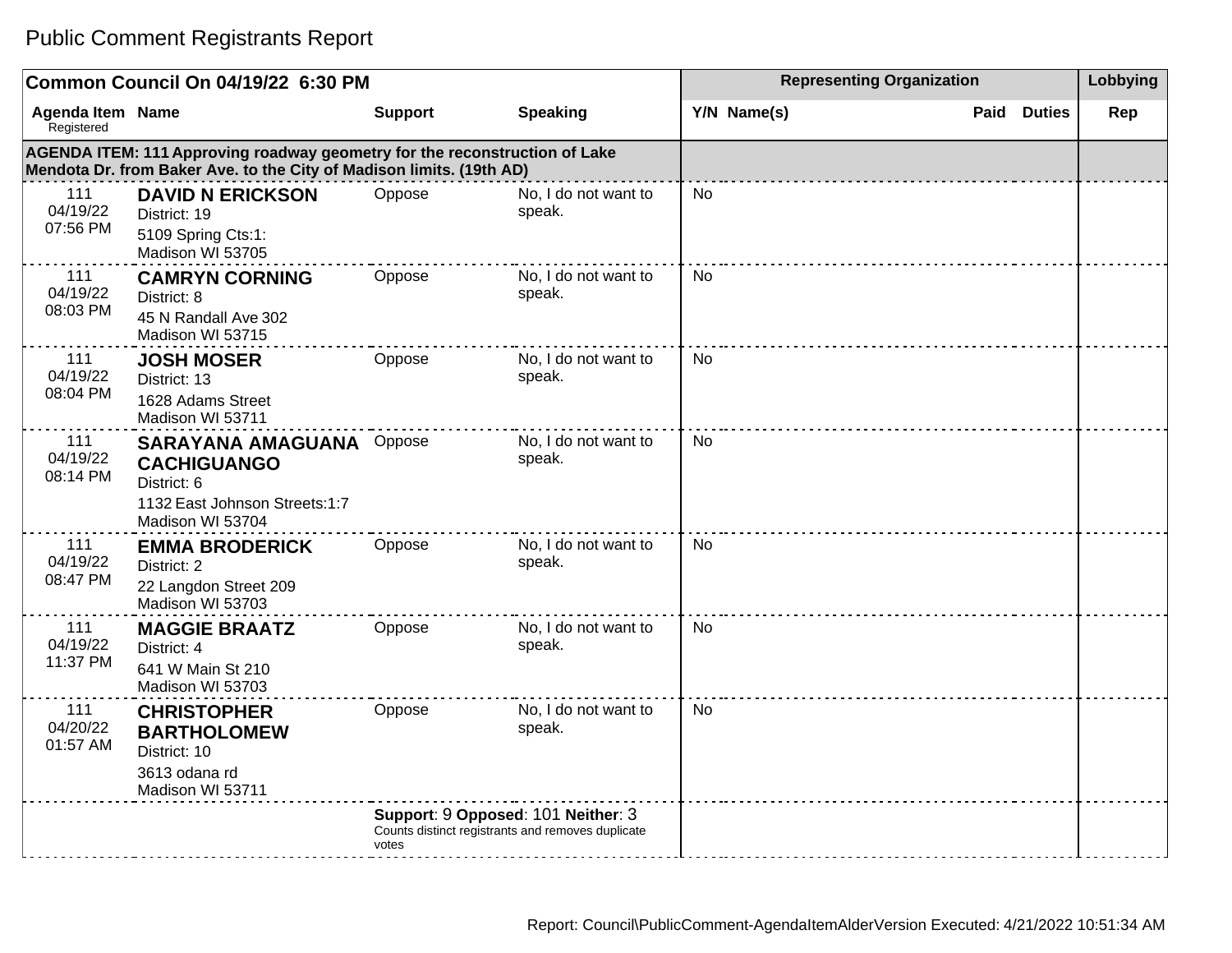#### **Common Council On 04/19/22 6:30 PM Representing Organization Representing Organization Representing Organization Agenda Item** Registered **Name Support Speaking Y/N Name(s) Paid Duties Rep AGENDA ITEM: 111 Approving roadway geometry for the reconstruction of Lake Mendota Dr. from Baker Ave. to the City of Madison limits. (19th AD)** 111 04/19/22 07:56 PM **DAVID N ERICKSON** District: 19 5109 Spring Cts:1: Madison WI 53705 Oppose No, I do not want to speak. No 111 04/19/22 08:03 PM **CAMRYN CORNING** District: 8 45 N Randall Ave 302 Madison WI 53715 Oppose No, I do not want to speak. No 111 04/19/22 08:04 PM **JOSH MOSER** District: 13 1628 Adams Street Madison WI 53711 Oppose No, I do not want to speak. No 111 04/19/22 08:14 PM **SARAYANA AMAGUANA CACHIGUANGO** District: 6 1132 East Johnson Streets:1:7 Madison WI 53704 Oppose No, I do not want to speak. No 111 04/19/22 08:47 PM **EMMA BRODERICK**  District: 2 22 Langdon Street 209 Oppose No, I do not want to speak. No Public Comment Registrants Report

| union included a sense<br>Registered |                                                                                                                                                    | σαρροπ                                                                                           | ορεανιιιγ                      | $1/1$ $N$ $N$ $n \rightarrow$ | Duucs | <b>IZGh</b> |
|--------------------------------------|----------------------------------------------------------------------------------------------------------------------------------------------------|--------------------------------------------------------------------------------------------------|--------------------------------|-------------------------------|-------|-------------|
|                                      | AGENDA ITEM: 111 Approving roadway geometry for the reconstruction of Lake<br>Mendota Dr. from Baker Ave. to the City of Madison limits. (19th AD) |                                                                                                  |                                |                               |       |             |
| 111<br>04/19/22<br>07:56 PM          | <b>DAVID N ERICKSON</b><br>District: 19<br>5109 Spring Cts:1:<br>Madison WI 53705                                                                  | Oppose                                                                                           | No, I do not want to<br>speak. | <b>No</b>                     |       |             |
| 111<br>04/19/22<br>08:03 PM          | <b>CAMRYN CORNING</b><br>District: 8<br>45 N Randall Ave 302<br>Madison WI 53715                                                                   | Oppose                                                                                           | No, I do not want to<br>speak. | No                            |       |             |
| 111<br>04/19/22<br>08:04 PM          | <b>JOSH MOSER</b><br>District: 13<br>1628 Adams Street<br>Madison WI 53711                                                                         | Oppose                                                                                           | No, I do not want to<br>speak. | <b>No</b>                     |       |             |
| 111<br>04/19/22<br>08:14 PM          | <b>SARAYANA AMAGUANA</b> Oppose<br><b>CACHIGUANGO</b><br>District: 6<br>1132 East Johnson Streets:1:7<br>Madison WI 53704                          |                                                                                                  | No, I do not want to<br>speak. | <b>No</b>                     |       |             |
| 111<br>04/19/22<br>08:47 PM          | <b>EMMA BRODERICK</b><br>District: 2<br>22 Langdon Street 209<br>Madison WI 53703                                                                  | Oppose                                                                                           | No, I do not want to<br>speak. | <b>No</b>                     |       |             |
| 111<br>04/19/22<br>11:37 PM          | <b>MAGGIE BRAATZ</b><br>District: 4<br>641 W Main St 210<br>Madison WI 53703                                                                       | Oppose                                                                                           | No, I do not want to<br>speak. | <b>No</b>                     |       |             |
| 111<br>04/20/22<br>01:57 AM          | <b>CHRISTOPHER</b><br><b>BARTHOLOMEW</b><br>District: 10<br>3613 odana rd<br>Madison WI 53711                                                      | Oppose                                                                                           | No, I do not want to<br>speak. | No                            |       |             |
|                                      |                                                                                                                                                    | Support: 9 Opposed: 101 Neither: 3<br>Counts distinct registrants and removes duplicate<br>votes |                                |                               |       |             |
|                                      |                                                                                                                                                    |                                                                                                  |                                |                               |       |             |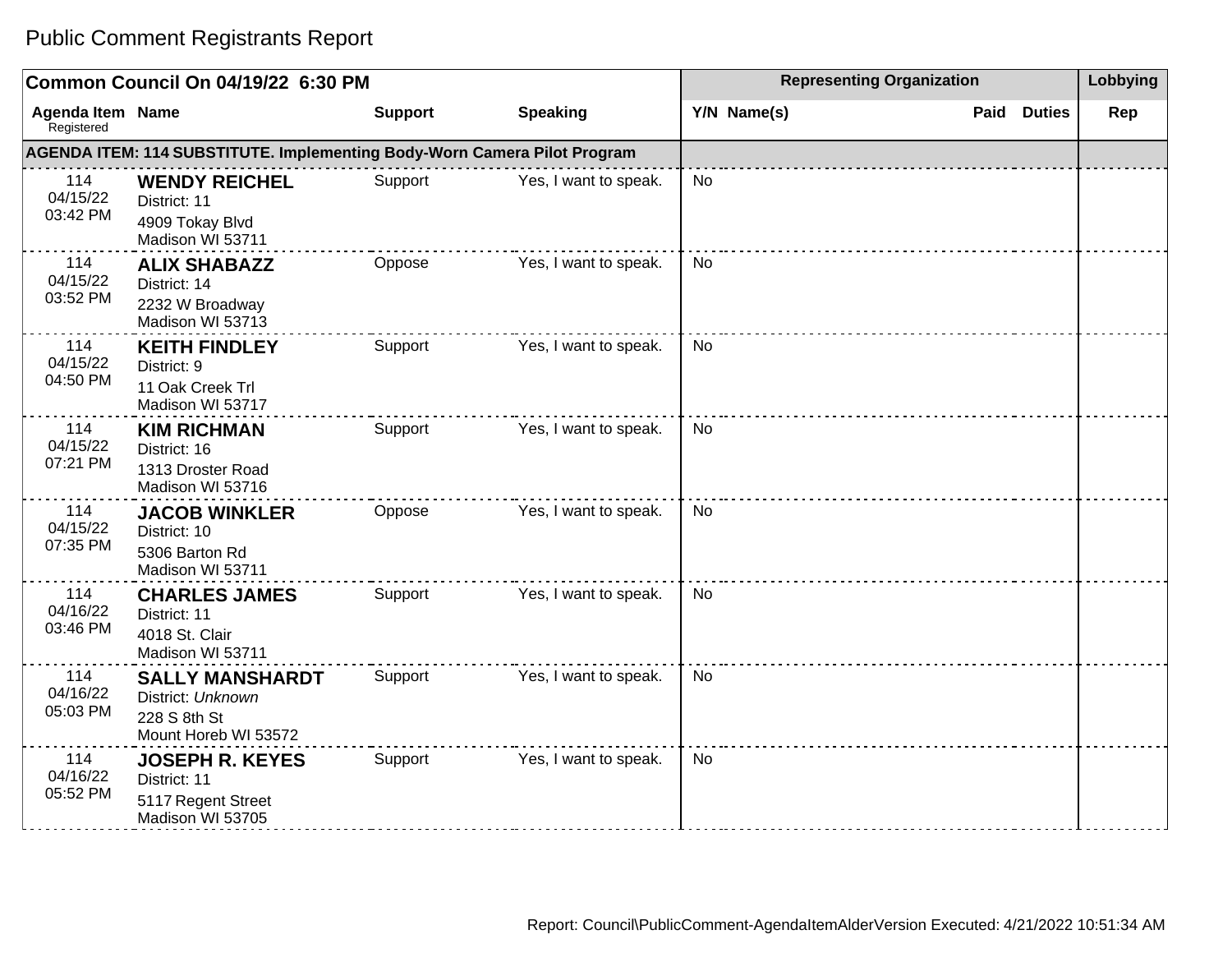|                                       | Common Council On 04/19/22 6:30 PM                                                  | <b>Representing Organization</b> | Lobbying              |             |                       |     |
|---------------------------------------|-------------------------------------------------------------------------------------|----------------------------------|-----------------------|-------------|-----------------------|-----|
| <b>Agenda Item Name</b><br>Registered |                                                                                     | <b>Support</b>                   | <b>Speaking</b>       | Y/N Name(s) | <b>Duties</b><br>Paid | Rep |
|                                       | AGENDA ITEM: 114 SUBSTITUTE. Implementing Body-Worn Camera Pilot Program            |                                  |                       |             |                       |     |
| 114<br>04/15/22<br>03:42 PM           | <b>WENDY REICHEL</b><br>District: 11<br>4909 Tokay Blvd<br>Madison WI 53711         | Support                          | Yes, I want to speak. | <b>No</b>   |                       |     |
| 114<br>04/15/22<br>03:52 PM           | <b>ALIX SHABAZZ</b><br>District: 14<br>2232 W Broadway<br>Madison WI 53713          | Oppose                           | Yes, I want to speak. | <b>No</b>   |                       |     |
| 114<br>04/15/22<br>04:50 PM           | <b>KEITH FINDLEY</b><br>District: 9<br>11 Oak Creek Trl<br>Madison WI 53717         | Support                          | Yes, I want to speak. | <b>No</b>   |                       |     |
| 114<br>04/15/22<br>07:21 PM           | <b>KIM RICHMAN</b><br>District: 16<br>1313 Droster Road<br>Madison WI 53716         | Support                          | Yes, I want to speak. | No          |                       |     |
| 114<br>04/15/22<br>07:35 PM           | <b>JACOB WINKLER</b><br>District: 10<br>5306 Barton Rd<br>Madison WI 53711          | Oppose                           | Yes, I want to speak. | No          |                       |     |
| 114<br>04/16/22<br>03:46 PM           | <b>CHARLES JAMES</b><br>District: 11<br>4018 St. Clair<br>Madison WI 53711          | Support                          | Yes, I want to speak. | <b>No</b>   |                       |     |
| 114<br>04/16/22<br>05:03 PM           | <b>SALLY MANSHARDT</b><br>District: Unknown<br>228 S 8th St<br>Mount Horeb WI 53572 | Support                          | Yes, I want to speak. | <b>No</b>   |                       |     |
| 114<br>04/16/22<br>05:52 PM           | <b>JOSEPH R. KEYES</b><br>District: 11<br>5117 Regent Street<br>Madison WI 53705    | Support                          | Yes, I want to speak. | <b>No</b>   |                       |     |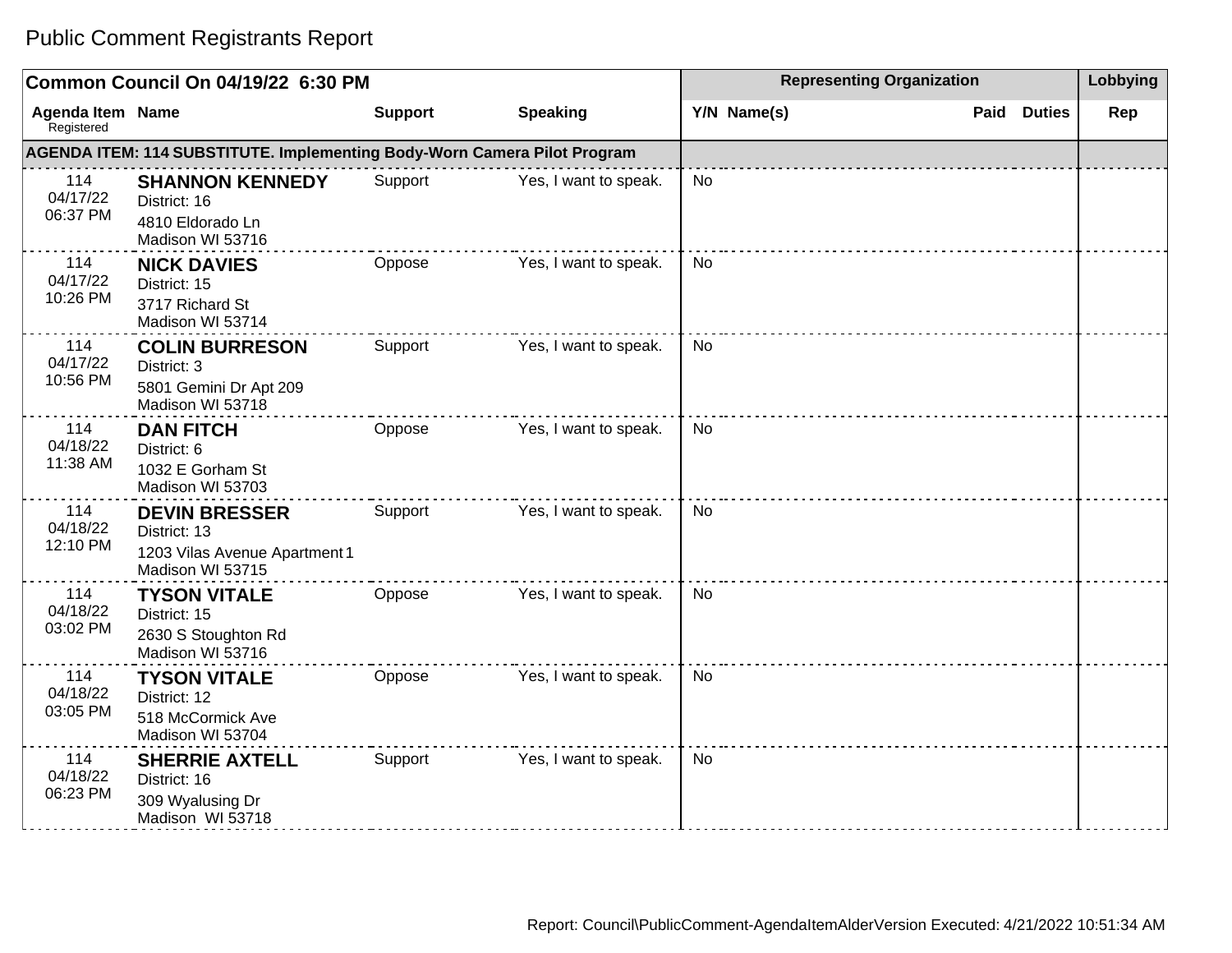|                                       | Common Council On 04/19/22 6:30 PM                                                        |                |                       | <b>Representing Organization</b> | Lobbying              |     |
|---------------------------------------|-------------------------------------------------------------------------------------------|----------------|-----------------------|----------------------------------|-----------------------|-----|
| <b>Agenda Item Name</b><br>Registered |                                                                                           | <b>Support</b> | <b>Speaking</b>       | Y/N Name(s)                      | <b>Duties</b><br>Paid | Rep |
|                                       | AGENDA ITEM: 114 SUBSTITUTE. Implementing Body-Worn Camera Pilot Program                  |                |                       |                                  |                       |     |
| 114<br>04/17/22<br>06:37 PM           | <b>SHANNON KENNEDY</b><br>District: 16<br>4810 Eldorado Ln<br>Madison WI 53716            | Support        | Yes, I want to speak. | <b>No</b>                        |                       |     |
| 114<br>04/17/22<br>10:26 PM           | <b>NICK DAVIES</b><br>District: 15<br>3717 Richard St<br>Madison WI 53714                 | Oppose         | Yes, I want to speak. | <b>No</b>                        |                       |     |
| 114<br>04/17/22<br>10:56 PM           | <b>COLIN BURRESON</b><br>District: 3<br>5801 Gemini Dr Apt 209<br>Madison WI 53718        | Support        | Yes, I want to speak. | <b>No</b>                        |                       |     |
| 114<br>04/18/22<br>11:38 AM           | <b>DAN FITCH</b><br>District: 6<br>1032 E Gorham St<br>Madison WI 53703                   | Oppose         | Yes, I want to speak. | <b>No</b>                        |                       |     |
| 114<br>04/18/22<br>12:10 PM           | <b>DEVIN BRESSER</b><br>District: 13<br>1203 Vilas Avenue Apartment 1<br>Madison WI 53715 | Support        | Yes, I want to speak. | <b>No</b>                        |                       |     |
| 114<br>04/18/22<br>03:02 PM           | <b>TYSON VITALE</b><br>District: 15<br>2630 S Stoughton Rd<br>Madison WI 53716            | Oppose         | Yes, I want to speak. | <b>No</b>                        |                       |     |
| 114<br>04/18/22<br>03:05 PM           | <b>TYSON VITALE</b><br>District: 12<br>518 McCormick Ave<br>Madison WI 53704              | Oppose         | Yes, I want to speak. | <b>No</b>                        |                       |     |
| 114<br>04/18/22<br>06:23 PM           | <b>SHERRIE AXTELL</b><br>District: 16<br>309 Wyalusing Dr<br>Madison WI 53718             | Support        | Yes, I want to speak. | <b>No</b>                        |                       |     |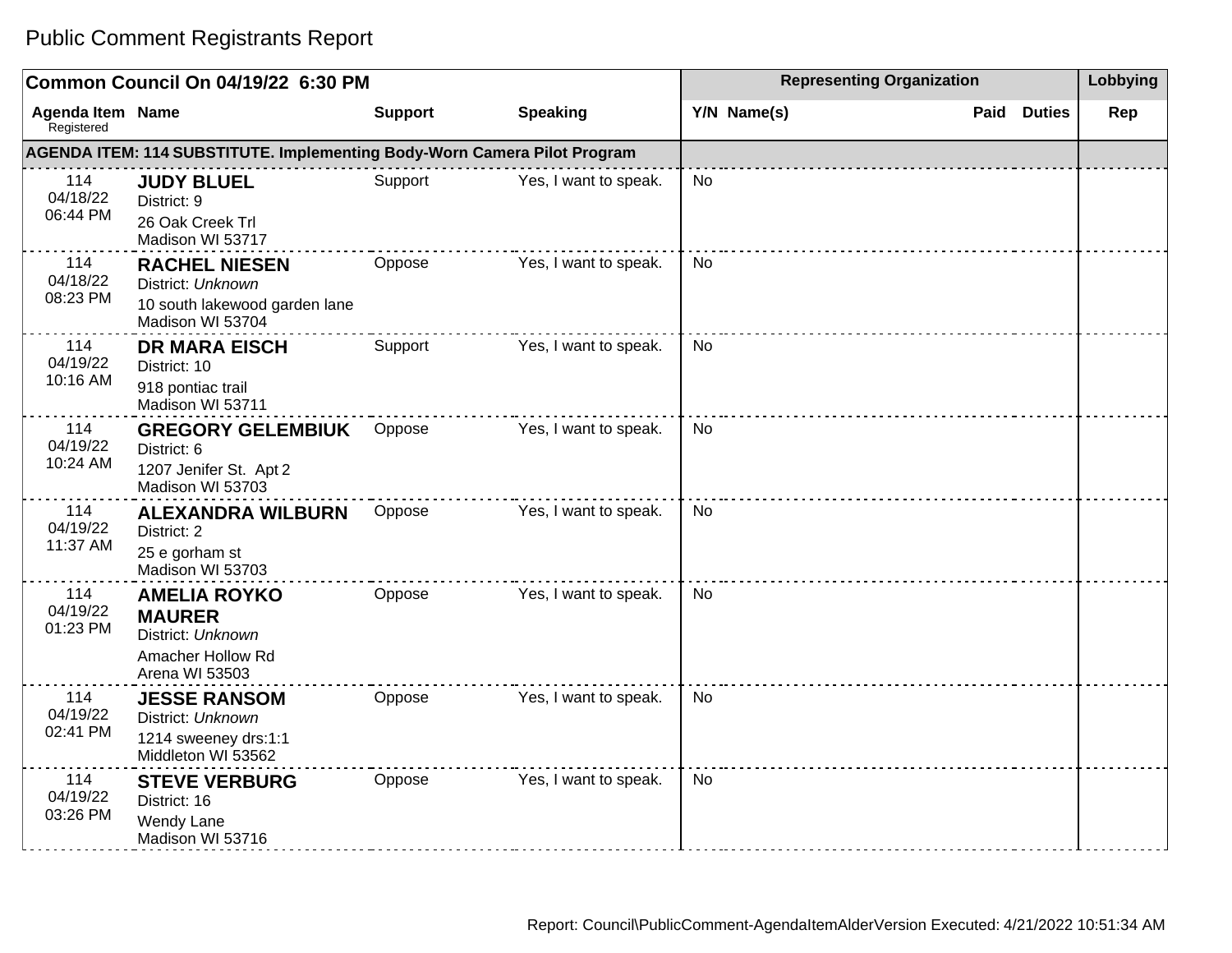|                                       | Common Council On 04/19/22 6:30 PM                                                               |                |                       |             | <b>Representing Organization</b> |     |  |
|---------------------------------------|--------------------------------------------------------------------------------------------------|----------------|-----------------------|-------------|----------------------------------|-----|--|
| <b>Agenda Item Name</b><br>Registered |                                                                                                  | <b>Support</b> | <b>Speaking</b>       | Y/N Name(s) | Paid<br><b>Duties</b>            | Rep |  |
|                                       | AGENDA ITEM: 114 SUBSTITUTE. Implementing Body-Worn Camera Pilot Program                         |                |                       |             |                                  |     |  |
| 114<br>04/18/22<br>06:44 PM           | <b>JUDY BLUEL</b><br>District: 9<br>26 Oak Creek Trl<br>Madison WI 53717                         | Support        | Yes, I want to speak. | No.         |                                  |     |  |
| 114<br>04/18/22<br>08:23 PM           | <b>RACHEL NIESEN</b><br>District: Unknown<br>10 south lakewood garden lane<br>Madison WI 53704   | Oppose         | Yes, I want to speak. | <b>No</b>   |                                  |     |  |
| 114<br>04/19/22<br>10:16 AM           | <b>DR MARA EISCH</b><br>District: 10<br>918 pontiac trail<br>Madison WI 53711                    | Support        | Yes, I want to speak. | <b>No</b>   |                                  |     |  |
| 114<br>04/19/22<br>10:24 AM           | <b>GREGORY GELEMBIUK</b><br>District: 6<br>1207 Jenifer St. Apt 2<br>Madison WI 53703            | Oppose         | Yes, I want to speak. | <b>No</b>   |                                  |     |  |
| 114<br>04/19/22<br>11:37 AM           | <b>ALEXANDRA WILBURN</b><br>District: 2<br>25 e gorham st<br>Madison WI 53703                    | Oppose         | Yes, I want to speak. | <b>No</b>   |                                  |     |  |
| 114<br>04/19/22<br>01:23 PM           | <b>AMELIA ROYKO</b><br><b>MAURER</b><br>District: Unknown<br>Amacher Hollow Rd<br>Arena WI 53503 | Oppose         | Yes, I want to speak. | No          |                                  |     |  |
| 114<br>04/19/22<br>02:41 PM           | <b>JESSE RANSOM</b><br>District: Unknown<br>1214 sweeney drs:1:1<br>Middleton WI 53562           | Oppose         | Yes, I want to speak. | No          |                                  |     |  |
| 114<br>04/19/22<br>03:26 PM           | <b>STEVE VERBURG</b><br>District: 16<br>Wendy Lane<br>Madison WI 53716                           | Oppose         | Yes, I want to speak. | <b>No</b>   |                                  |     |  |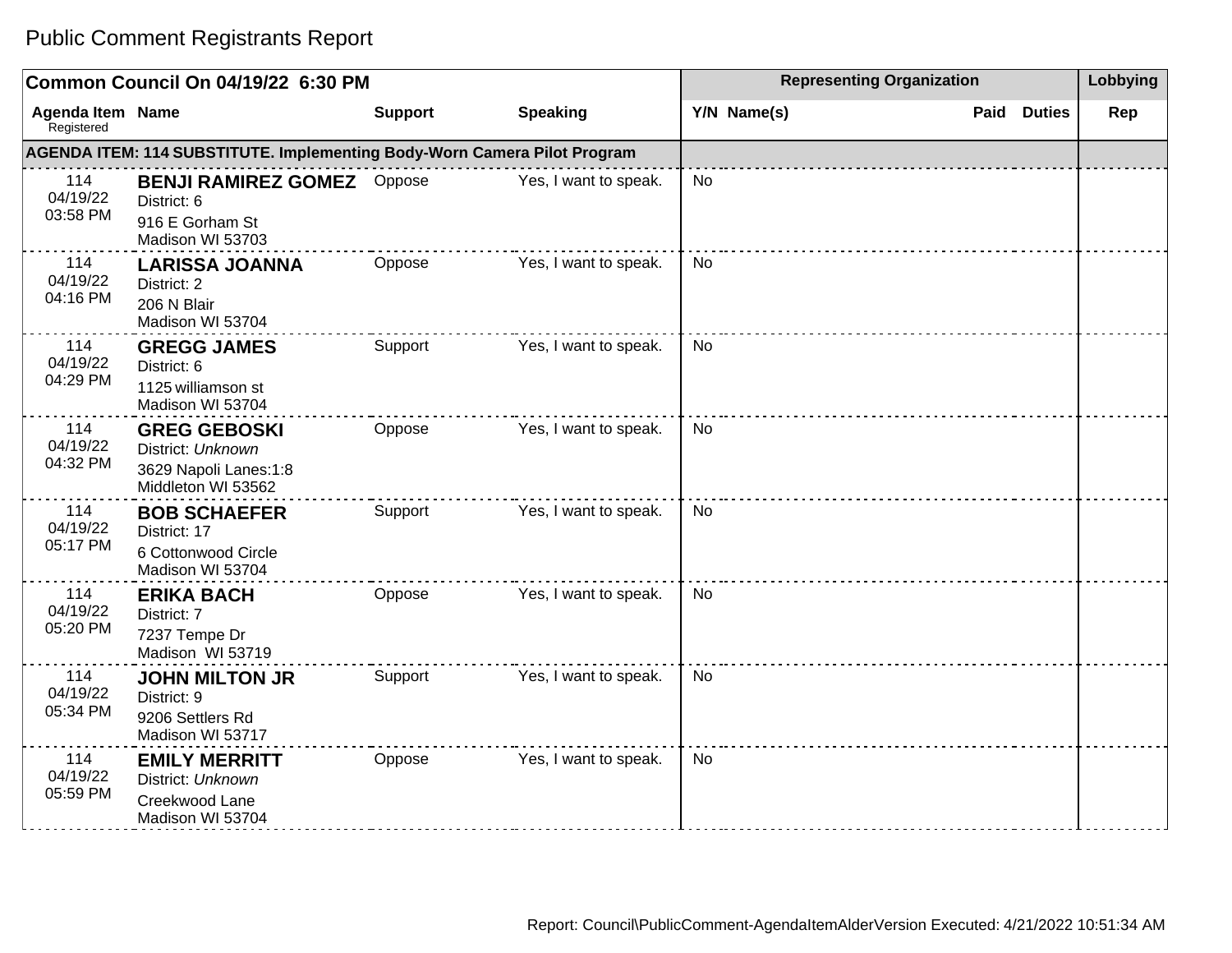#### **Common Council On 04/19/22 6:30 PM Representing Organization Representing Organization Representing Organization Agenda Item** Registered **Name Support Speaking Y/N Name(s) Paid Duties Rep AGENDA ITEM: 114 SUBSTITUTE. Implementing Body-Worn Camera Pilot Program** 114 04/19/22 03:58 PM **BENJI RAMIREZ GOMEZ** District: 6 916 E Gorham St Madison WI 53703 Yes, I want to speak.  $\Box$  No 114 04/19/22 04:16 PM **LARISSA JOANNA** District: 2 206 N Blair Madison WI 53704 Oppose Yes, I want to speak. No 114 04/19/22 04:29 PM **GREGG JAMES** District: 6 1125 williamson st Madison WI 53704 Support Yes, I want to speak. No 114 04/19/22 04:32 PM **GREG GEBOSKI** District: Unknown 3629 Napoli Lanes:1:8 Middleton WI 53562 Oppose Yes, I want to speak. No 114 04/19/22 05:17 PM **BOB SCHAEFER** District: 17 6 Cottonwood Circle Madison WI 53704 Support Yes, I want to speak. No 114 04/19/22 05:20 PM **ERIKA BACH** District: 7 7237 Tempe Dr Madison WI 53719 Oppose Yes, I want to speak. No 114 04/19/22 05:34 PM **JOHN MILTON JR** District: 9 9206 Settlers Rd Madison WI 53717 Support Yes, I want to speak. No 114 04/19/22 05:59 PM **EMILY MERRITT** District: Unknown Creekwood Lane Madison WI 53704 Oppose Yes, I want to speak. No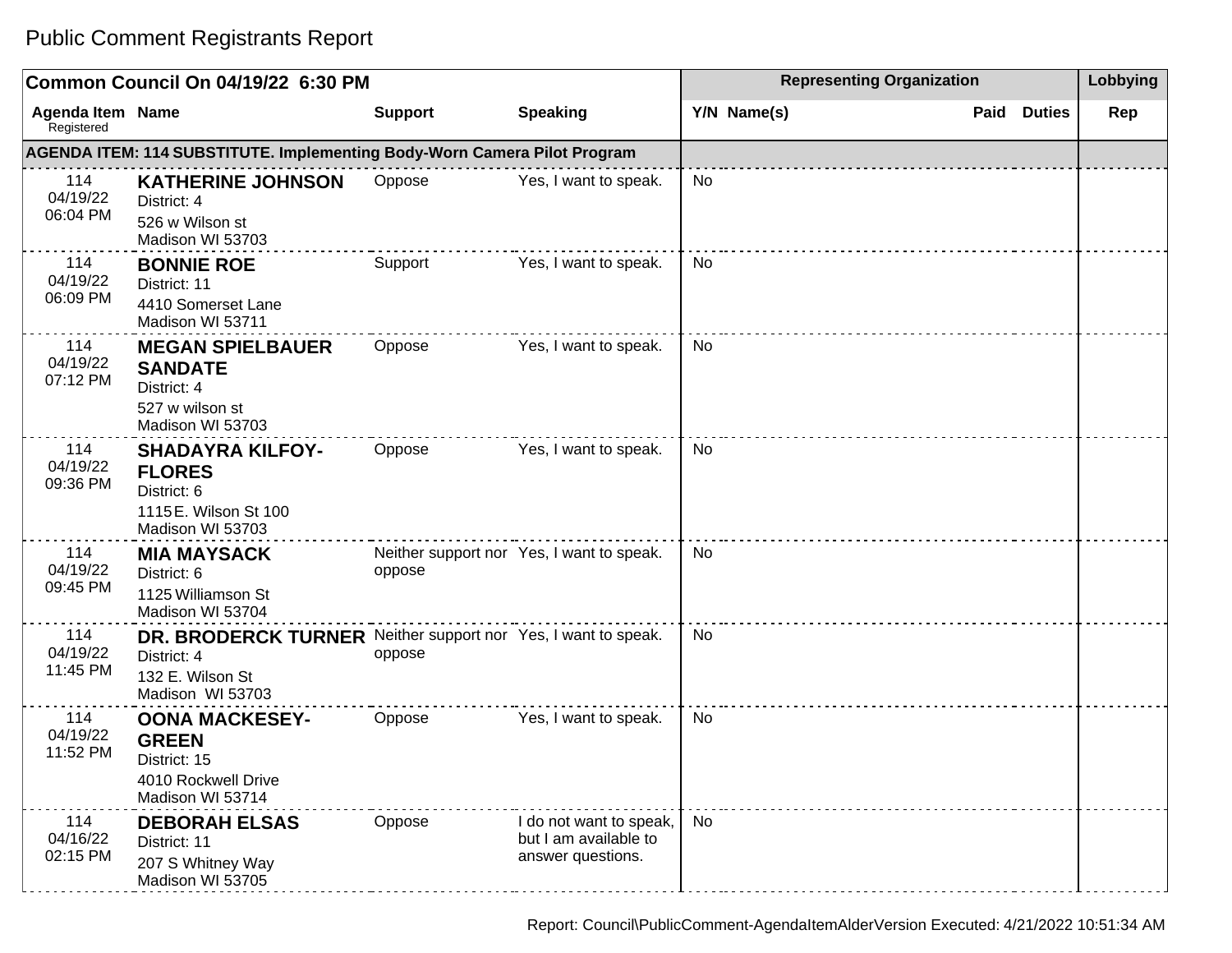|                                       | Common Council On 04/19/22 6:30 PM                                                                                   | <b>Representing Organization</b> | Lobbying                                                              |             |                       |     |
|---------------------------------------|----------------------------------------------------------------------------------------------------------------------|----------------------------------|-----------------------------------------------------------------------|-------------|-----------------------|-----|
| <b>Agenda Item Name</b><br>Registered |                                                                                                                      | <b>Support</b>                   | <b>Speaking</b>                                                       | Y/N Name(s) | Paid<br><b>Duties</b> | Rep |
|                                       | AGENDA ITEM: 114 SUBSTITUTE. Implementing Body-Worn Camera Pilot Program                                             |                                  |                                                                       |             |                       |     |
| 114<br>04/19/22<br>06:04 PM           | <b>KATHERINE JOHNSON</b><br>District: 4<br>526 w Wilson st<br>Madison WI 53703                                       | Oppose                           | Yes, I want to speak.                                                 | <b>No</b>   |                       |     |
| 114<br>04/19/22<br>06:09 PM           | <b>BONNIE ROE</b><br>District: 11<br>4410 Somerset Lane<br>Madison WI 53711                                          | Support                          | Yes, I want to speak.                                                 | No          |                       |     |
| 114<br>04/19/22<br>07:12 PM           | <b>MEGAN SPIELBAUER</b><br><b>SANDATE</b><br>District: 4<br>527 w wilson st<br>Madison WI 53703                      | Oppose                           | Yes, I want to speak.                                                 | No          |                       |     |
| 114<br>04/19/22<br>09:36 PM           | <b>SHADAYRA KILFOY-</b><br><b>FLORES</b><br>District: 6<br>1115 E. Wilson St 100<br>Madison WI 53703                 | Oppose                           | Yes, I want to speak.                                                 | No          |                       |     |
| 114<br>04/19/22<br>09:45 PM           | <b>MIA MAYSACK</b><br>District: 6<br>1125 Williamson St<br>Madison WI 53704                                          | oppose                           | Neither support nor Yes, I want to speak.                             | No          |                       |     |
| 114<br>04/19/22<br>11:45 PM           | DR. BRODERCK TURNER Neither support nor Yes, I want to speak.<br>District: 4<br>132 E. Wilson St<br>Madison WI 53703 | oppose                           |                                                                       | No          |                       |     |
| 114<br>04/19/22<br>11:52 PM           | <b>OONA MACKESEY-</b><br><b>GREEN</b><br>District: 15<br>4010 Rockwell Drive<br>Madison WI 53714                     | Oppose                           | Yes, I want to speak.                                                 | <b>No</b>   |                       |     |
| 114<br>04/16/22<br>02:15 PM           | <b>DEBORAH ELSAS</b><br>District: 11<br>207 S Whitney Way<br>Madison WI 53705                                        | Oppose                           | I do not want to speak,<br>but I am available to<br>answer questions. | <b>No</b>   |                       |     |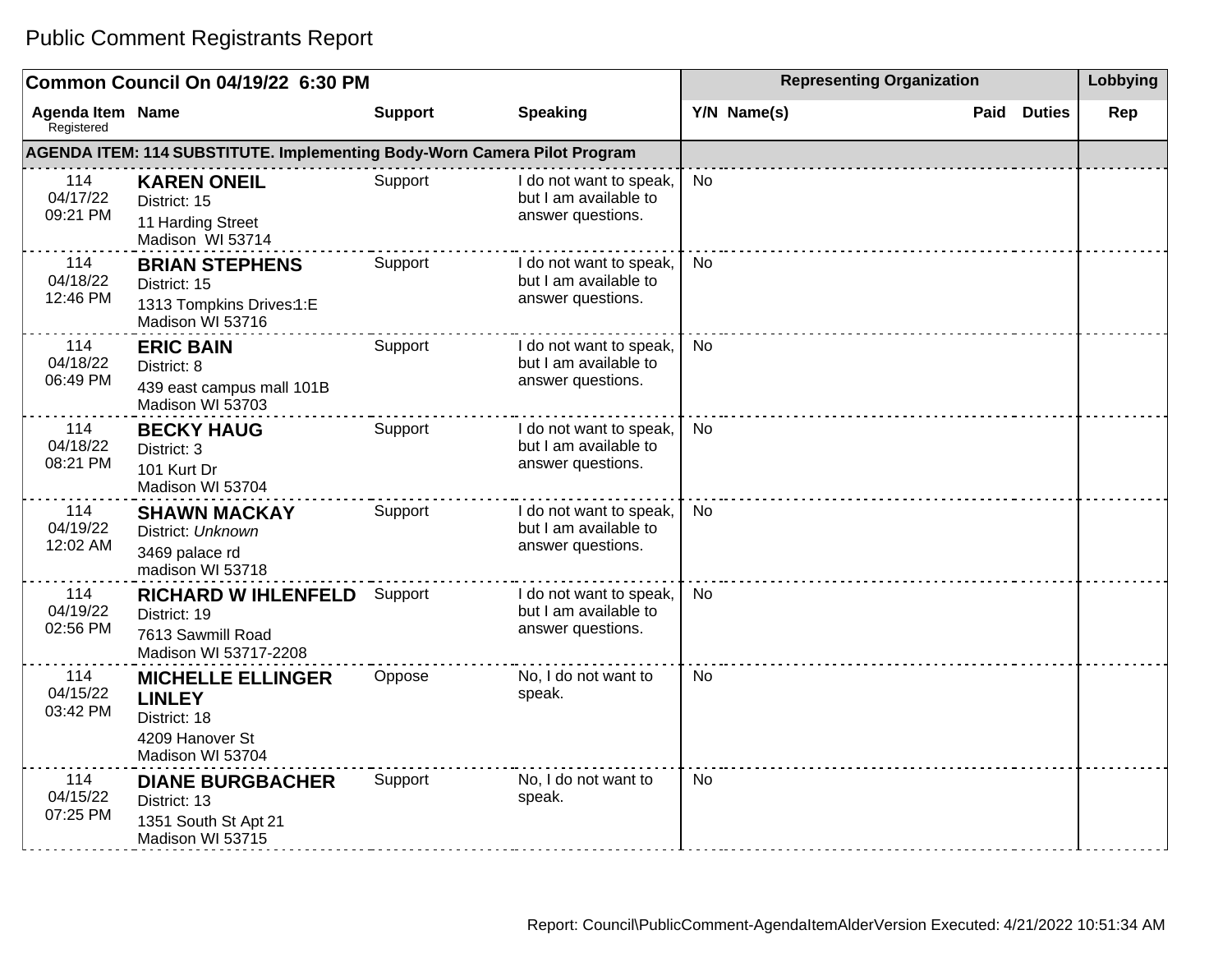|                                       | Common Council On 04/19/22 6:30 PM                                                               |                |                                                                       | <b>Representing Organization</b> | Lobbying              |     |
|---------------------------------------|--------------------------------------------------------------------------------------------------|----------------|-----------------------------------------------------------------------|----------------------------------|-----------------------|-----|
| <b>Agenda Item Name</b><br>Registered |                                                                                                  | <b>Support</b> | <b>Speaking</b>                                                       | Y/N Name(s)                      | <b>Duties</b><br>Paid | Rep |
|                                       | AGENDA ITEM: 114 SUBSTITUTE. Implementing Body-Worn Camera Pilot Program                         |                |                                                                       |                                  |                       |     |
| 114<br>04/17/22<br>09:21 PM           | <b>KAREN ONEIL</b><br>District: 15<br>11 Harding Street<br>Madison WI 53714                      | Support        | I do not want to speak,<br>but I am available to<br>answer questions. | <b>No</b>                        |                       |     |
| 114<br>04/18/22<br>12:46 PM           | <b>BRIAN STEPHENS</b><br>District: 15<br>1313 Tompkins Drives:1:E<br>Madison WI 53716            | Support        | I do not want to speak,<br>but I am available to<br>answer questions. | No                               |                       |     |
| 114<br>04/18/22<br>06:49 PM           | <b>ERIC BAIN</b><br>District: 8<br>439 east campus mall 101B<br>Madison WI 53703                 | Support        | I do not want to speak,<br>but I am available to<br>answer questions. | <b>No</b>                        |                       |     |
| 114<br>04/18/22<br>08:21 PM           | <b>BECKY HAUG</b><br>District: 3<br>101 Kurt Dr<br>Madison WI 53704                              | Support        | I do not want to speak,<br>but I am available to<br>answer questions. | <b>No</b>                        |                       |     |
| 114<br>04/19/22<br>12:02 AM           | <b>SHAWN MACKAY</b><br>District: Unknown<br>3469 palace rd<br>madison WI 53718                   | Support        | I do not want to speak,<br>but I am available to<br>answer questions. | <b>No</b>                        |                       |     |
| 114<br>04/19/22<br>02:56 PM           | <b>RICHARD W IHLENFELD</b><br>District: 19<br>7613 Sawmill Road<br>Madison WI 53717-2208         | Support        | I do not want to speak,<br>but I am available to<br>answer questions. | <b>No</b>                        |                       |     |
| 114<br>04/15/22<br>03:42 PM           | <b>MICHELLE ELLINGER</b><br><b>LINLEY</b><br>District: 18<br>4209 Hanover St<br>Madison WI 53704 | Oppose         | No, I do not want to<br>speak.                                        | <b>No</b>                        |                       |     |
| 114<br>04/15/22<br>07:25 PM           | <b>DIANE BURGBACHER</b><br>District: 13<br>1351 South St Apt 21<br>Madison WI 53715              | Support        | No, I do not want to<br>speak.                                        | <b>No</b>                        |                       |     |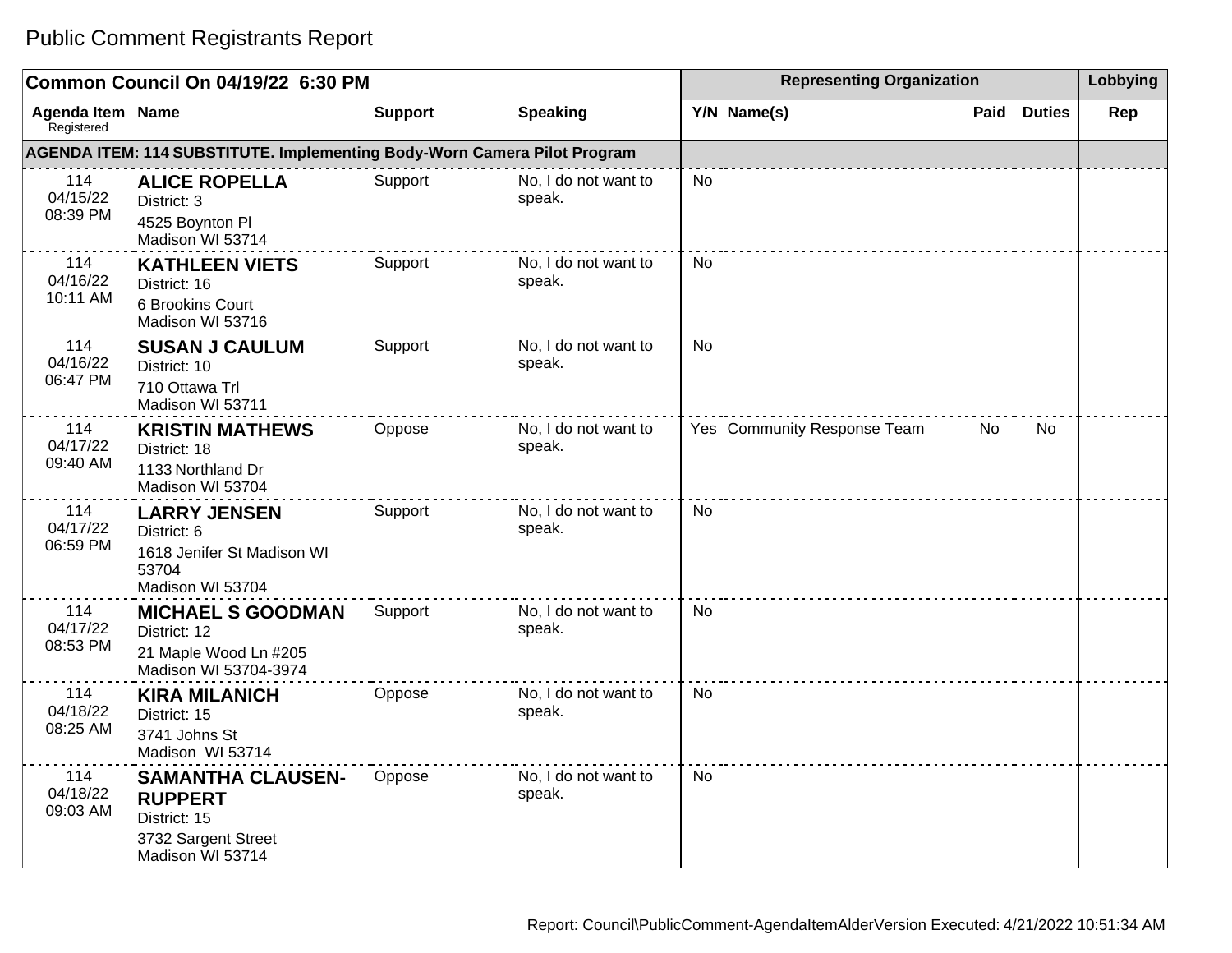|                                       | Common Council On 04/19/22 6:30 PM                                                                    |                | <b>Representing Organization</b> | Lobbying                    |                       |     |
|---------------------------------------|-------------------------------------------------------------------------------------------------------|----------------|----------------------------------|-----------------------------|-----------------------|-----|
| <b>Agenda Item Name</b><br>Registered |                                                                                                       | <b>Support</b> | <b>Speaking</b>                  | Y/N Name(s)                 | Paid<br><b>Duties</b> | Rep |
|                                       | AGENDA ITEM: 114 SUBSTITUTE. Implementing Body-Worn Camera Pilot Program                              |                |                                  |                             |                       |     |
| 114<br>04/15/22<br>08:39 PM           | <b>ALICE ROPELLA</b><br>District: 3<br>4525 Boynton Pl<br>Madison WI 53714                            | Support        | No, I do not want to<br>speak.   | <b>No</b>                   |                       |     |
| 114<br>04/16/22<br>10:11 AM           | <b>KATHLEEN VIETS</b><br>District: 16<br>6 Brookins Court<br>Madison WI 53716                         | Support        | No, I do not want to<br>speak.   | <b>No</b>                   |                       |     |
| 114<br>04/16/22<br>06:47 PM           | <b>SUSAN J CAULUM</b><br>District: 10<br>710 Ottawa Trl<br>Madison WI 53711                           | Support        | No, I do not want to<br>speak.   | <b>No</b>                   |                       |     |
| 114<br>04/17/22<br>09:40 AM           | <b>KRISTIN MATHEWS</b><br>District: 18<br>1133 Northland Dr<br>Madison WI 53704                       | Oppose         | No, I do not want to<br>speak.   | Yes Community Response Team | No<br>No.             |     |
| 114<br>04/17/22<br>06:59 PM           | <b>LARRY JENSEN</b><br>District: 6<br>1618 Jenifer St Madison WI<br>53704<br>Madison WI 53704         | Support        | No, I do not want to<br>speak.   | <b>No</b>                   |                       |     |
| 114<br>04/17/22<br>08:53 PM           | <b>MICHAEL S GOODMAN</b><br>District: 12<br>21 Maple Wood Ln #205<br>Madison WI 53704-3974            | Support        | No, I do not want to<br>speak.   | No                          |                       |     |
| 114<br>04/18/22<br>08:25 AM           | <b>KIRA MILANICH</b><br>District: 15<br>3741 Johns St<br>Madison WI 53714                             | Oppose         | No, I do not want to<br>speak.   | <b>No</b>                   |                       |     |
| 114<br>04/18/22<br>09:03 AM           | <b>SAMANTHA CLAUSEN-</b><br><b>RUPPERT</b><br>District: 15<br>3732 Sargent Street<br>Madison WI 53714 | Oppose         | No, I do not want to<br>speak.   | <b>No</b>                   |                       |     |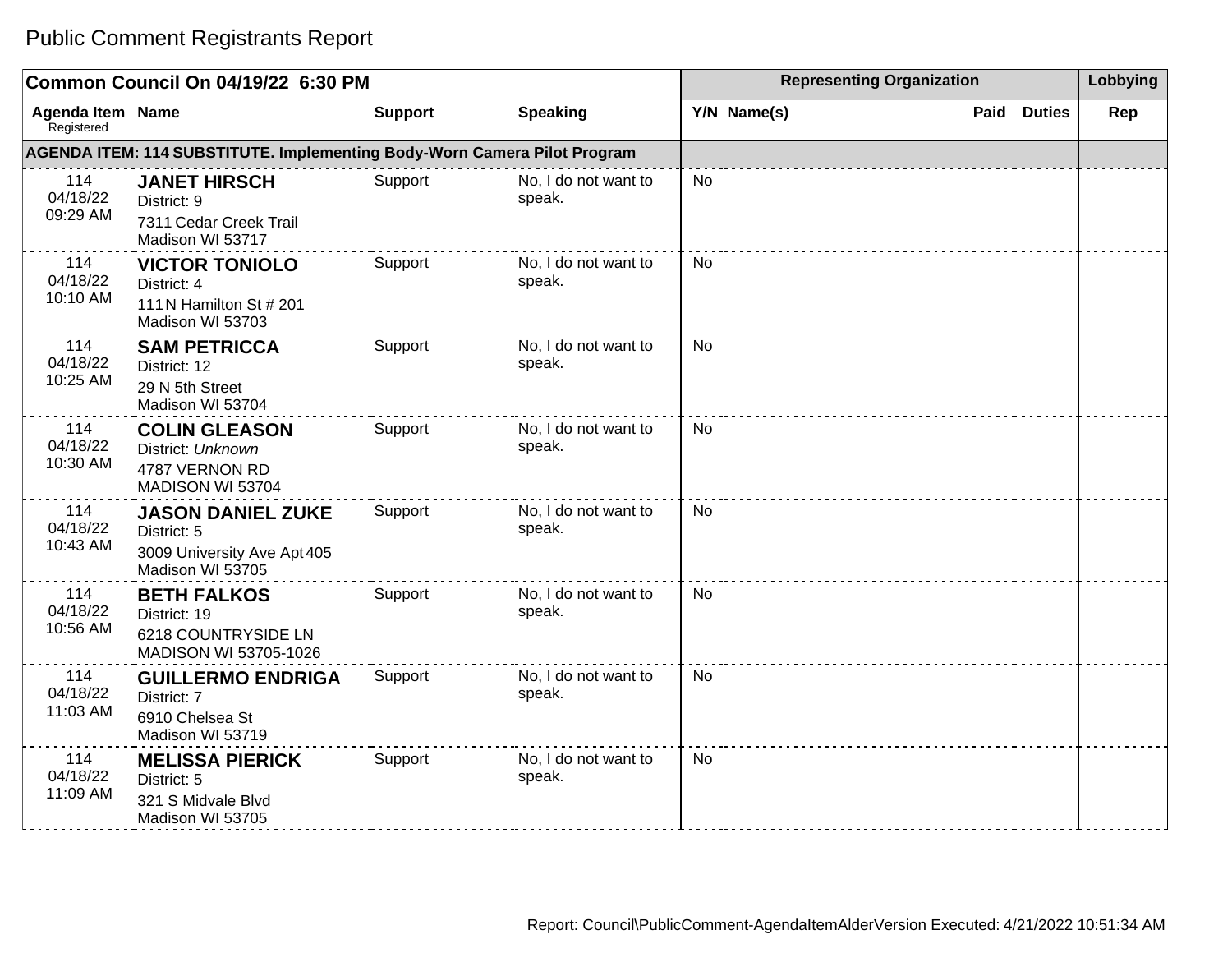|                                       | Common Council On 04/19/22 6:30 PM                                                         |                |                                |           | <b>Representing Organization</b> |      |               |     |
|---------------------------------------|--------------------------------------------------------------------------------------------|----------------|--------------------------------|-----------|----------------------------------|------|---------------|-----|
| <b>Agenda Item Name</b><br>Registered |                                                                                            | <b>Support</b> | <b>Speaking</b>                |           | Y/N Name(s)                      | Paid | <b>Duties</b> | Rep |
|                                       | AGENDA ITEM: 114 SUBSTITUTE. Implementing Body-Worn Camera Pilot Program                   |                |                                |           |                                  |      |               |     |
| 114<br>04/18/22<br>09:29 AM           | <b>JANET HIRSCH</b><br>District: 9<br>7311 Cedar Creek Trail<br>Madison WI 53717           | Support        | No, I do not want to<br>speak. | <b>No</b> |                                  |      |               |     |
| 114<br>04/18/22<br>10:10 AM           | <b>VICTOR TONIOLO</b><br>District: 4<br>111 N Hamilton St # 201<br>Madison WI 53703        | Support        | No, I do not want to<br>speak. | <b>No</b> |                                  |      |               |     |
| 114<br>04/18/22<br>10:25 AM           | <b>SAM PETRICCA</b><br>District: 12<br>29 N 5th Street<br>Madison WI 53704                 | Support        | No, I do not want to<br>speak. | <b>No</b> |                                  |      |               |     |
| 114<br>04/18/22<br>10:30 AM           | <b>COLIN GLEASON</b><br>District: Unknown<br>4787 VERNON RD<br>MADISON WI 53704            | Support        | No, I do not want to<br>speak. | No        |                                  |      |               |     |
| 114<br>04/18/22<br>10:43 AM           | <b>JASON DANIEL ZUKE</b><br>District: 5<br>3009 University Ave Apt 405<br>Madison WI 53705 | Support        | No, I do not want to<br>speak. | <b>No</b> |                                  |      |               |     |
| 114<br>04/18/22<br>10:56 AM           | <b>BETH FALKOS</b><br>District: 19<br>6218 COUNTRYSIDE LN<br>MADISON WI 53705-1026         | Support        | No, I do not want to<br>speak. | No        |                                  |      |               |     |
| 114<br>04/18/22<br>11:03 AM           | <b>GUILLERMO ENDRIGA</b><br>District: 7<br>6910 Chelsea St<br>Madison WI 53719             | Support        | No, I do not want to<br>speak. | No        |                                  |      |               |     |
| 114<br>04/18/22<br>11:09 AM           | <b>MELISSA PIERICK</b><br>District: 5<br>321 S Midvale Blvd<br>Madison WI 53705            | Support        | No, I do not want to<br>speak. | No        |                                  |      |               |     |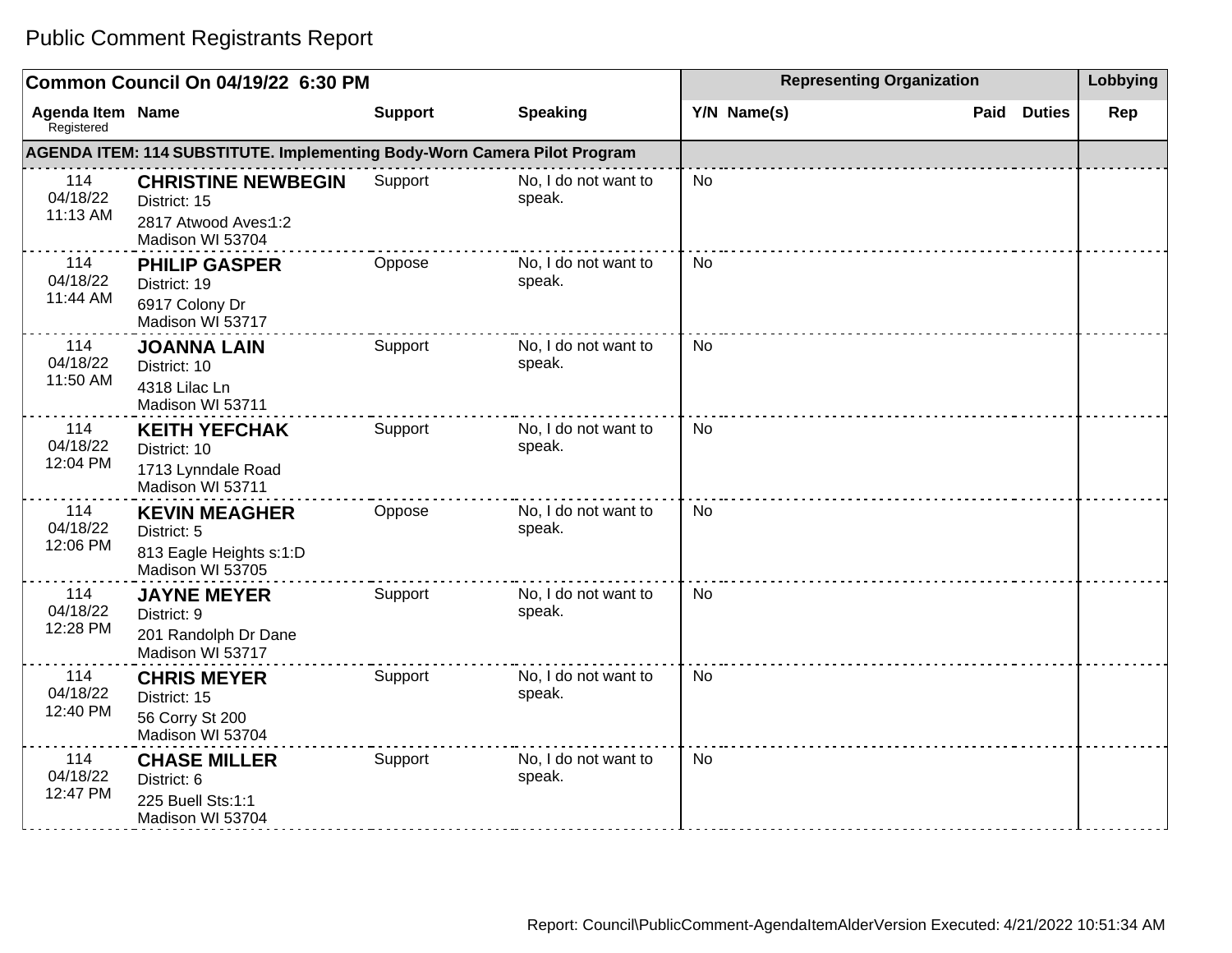|                                       | Common Council On 04/19/22 6:30 PM                                                    |                |                                |           | <b>Representing Organization</b> |      |               |     |
|---------------------------------------|---------------------------------------------------------------------------------------|----------------|--------------------------------|-----------|----------------------------------|------|---------------|-----|
| <b>Agenda Item Name</b><br>Registered |                                                                                       | <b>Support</b> | <b>Speaking</b>                |           | Y/N Name(s)                      | Paid | <b>Duties</b> | Rep |
|                                       | AGENDA ITEM: 114 SUBSTITUTE. Implementing Body-Worn Camera Pilot Program              |                |                                |           |                                  |      |               |     |
| 114<br>04/18/22<br>11:13 AM           | <b>CHRISTINE NEWBEGIN</b><br>District: 15<br>2817 Atwood Aves:1:2<br>Madison WI 53704 | Support        | No, I do not want to<br>speak. | <b>No</b> |                                  |      |               |     |
| 114<br>04/18/22<br>11:44 AM           | <b>PHILIP GASPER</b><br>District: 19<br>6917 Colony Dr<br>Madison WI 53717            | Oppose         | No, I do not want to<br>speak. | <b>No</b> |                                  |      |               |     |
| 114<br>04/18/22<br>11:50 AM           | <b>JOANNA LAIN</b><br>District: 10<br>4318 Lilac Ln<br>Madison WI 53711               | Support        | No, I do not want to<br>speak. | <b>No</b> |                                  |      |               |     |
| 114<br>04/18/22<br>12:04 PM           | <b>KEITH YEFCHAK</b><br>District: 10<br>1713 Lynndale Road<br>Madison WI 53711        | Support        | No, I do not want to<br>speak. | <b>No</b> |                                  |      |               |     |
| 114<br>04/18/22<br>12:06 PM           | <b>KEVIN MEAGHER</b><br>District: 5<br>813 Eagle Heights s:1:D<br>Madison WI 53705    | Oppose         | No, I do not want to<br>speak. | <b>No</b> |                                  |      |               |     |
| 114<br>04/18/22<br>12:28 PM           | <b>JAYNE MEYER</b><br>District: 9<br>201 Randolph Dr Dane<br>Madison WI 53717         | Support        | No, I do not want to<br>speak. | No        |                                  |      |               |     |
| 114<br>04/18/22<br>12:40 PM           | <b>CHRIS MEYER</b><br>District: 15<br>56 Corry St 200<br>Madison WI 53704             | Support        | No, I do not want to<br>speak. | <b>No</b> |                                  |      |               |     |
| 114<br>04/18/22<br>12:47 PM           | <b>CHASE MILLER</b><br>District: 6<br>225 Buell Sts:1:1<br>Madison WI 53704           | Support        | No, I do not want to<br>speak. | No        |                                  |      |               |     |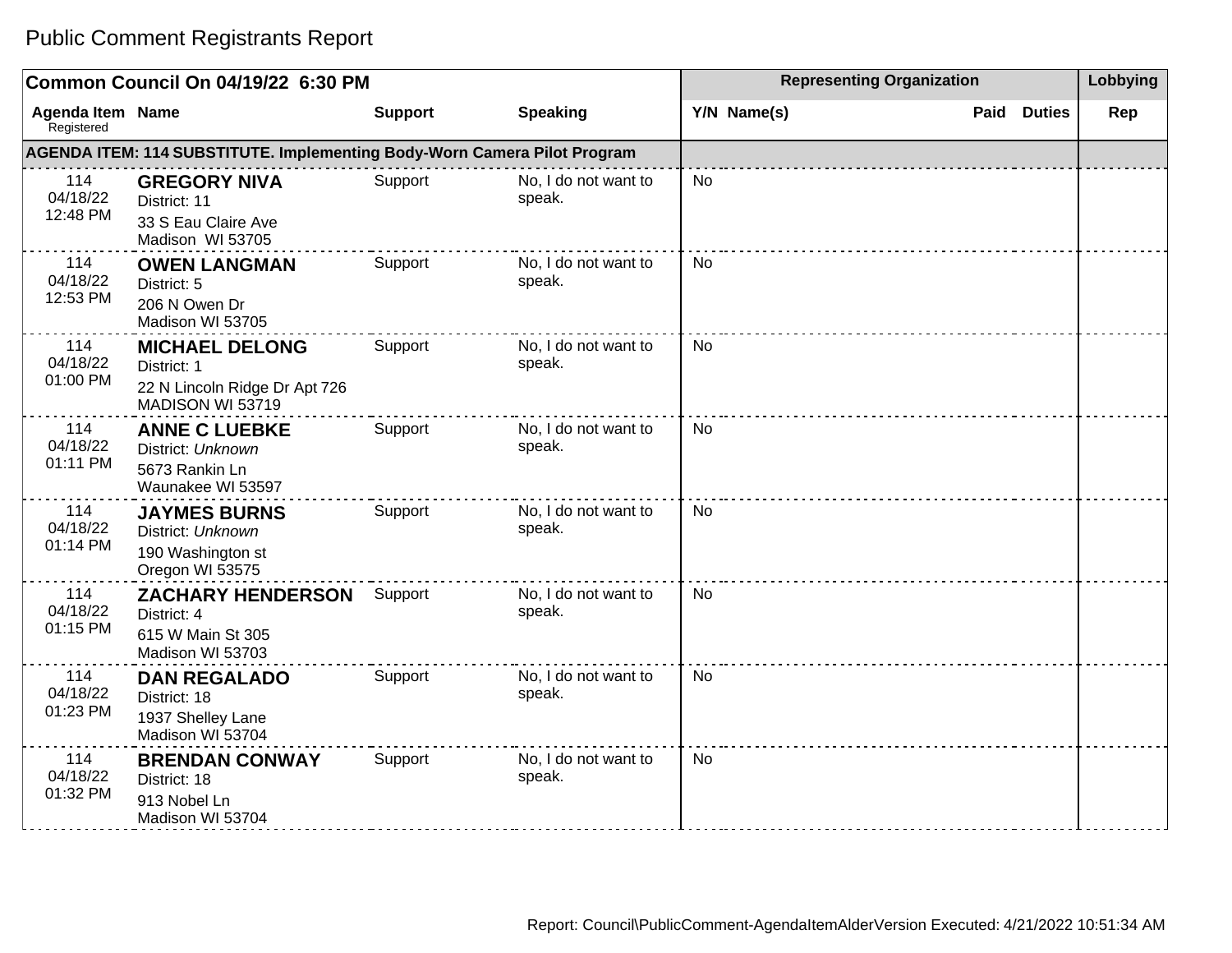|                                       | Common Council On 04/19/22 6:30 PM                                                        | <b>Representing Organization</b> | Lobbying                       |             |                    |     |
|---------------------------------------|-------------------------------------------------------------------------------------------|----------------------------------|--------------------------------|-------------|--------------------|-----|
| <b>Agenda Item Name</b><br>Registered |                                                                                           | <b>Support</b>                   | <b>Speaking</b>                | Y/N Name(s) | <b>Paid Duties</b> | Rep |
|                                       | <b>AGENDA ITEM: 114 SUBSTITUTE. Implementing Body-Worn Camera Pilot Program</b>           |                                  |                                |             |                    |     |
| 114<br>04/18/22<br>12:48 PM           | <b>GREGORY NIVA</b><br>District: 11<br>33 S Eau Claire Ave<br>Madison WI 53705            | Support                          | No, I do not want to<br>speak. | No          |                    |     |
| 114<br>04/18/22<br>12:53 PM           | <b>OWEN LANGMAN</b><br>District: 5<br>206 N Owen Dr<br>Madison WI 53705                   | Support                          | No, I do not want to<br>speak. | No          |                    |     |
| 114<br>04/18/22<br>01:00 PM           | <b>MICHAEL DELONG</b><br>District: 1<br>22 N Lincoln Ridge Dr Apt 726<br>MADISON WI 53719 | Support                          | No, I do not want to<br>speak. | No          |                    |     |
| 114<br>04/18/22<br>01:11 PM           | <b>ANNE C LUEBKE</b><br>District: Unknown<br>5673 Rankin Ln<br>Waunakee WI 53597          | Support                          | No, I do not want to<br>speak. | <b>No</b>   |                    |     |
| 114<br>04/18/22<br>01:14 PM           | <b>JAYMES BURNS</b><br>District: Unknown<br>190 Washington st<br>Oregon WI 53575          | Support                          | No, I do not want to<br>speak. | No          |                    |     |
| 114<br>04/18/22<br>01:15 PM           | <b>ZACHARY HENDERSON</b><br>District: 4<br>615 W Main St 305<br>Madison WI 53703          | Support                          | No, I do not want to<br>speak. | <b>No</b>   |                    |     |
| 114<br>04/18/22<br>01:23 PM           | <b>DAN REGALADO</b><br>District: 18<br>1937 Shelley Lane<br>Madison WI 53704              | Support                          | No, I do not want to<br>speak. | No          |                    |     |
| 114<br>04/18/22<br>01:32 PM           | <b>BRENDAN CONWAY</b><br>District: 18<br>913 Nobel Ln<br>Madison WI 53704                 | Support                          | No, I do not want to<br>speak. | No          |                    |     |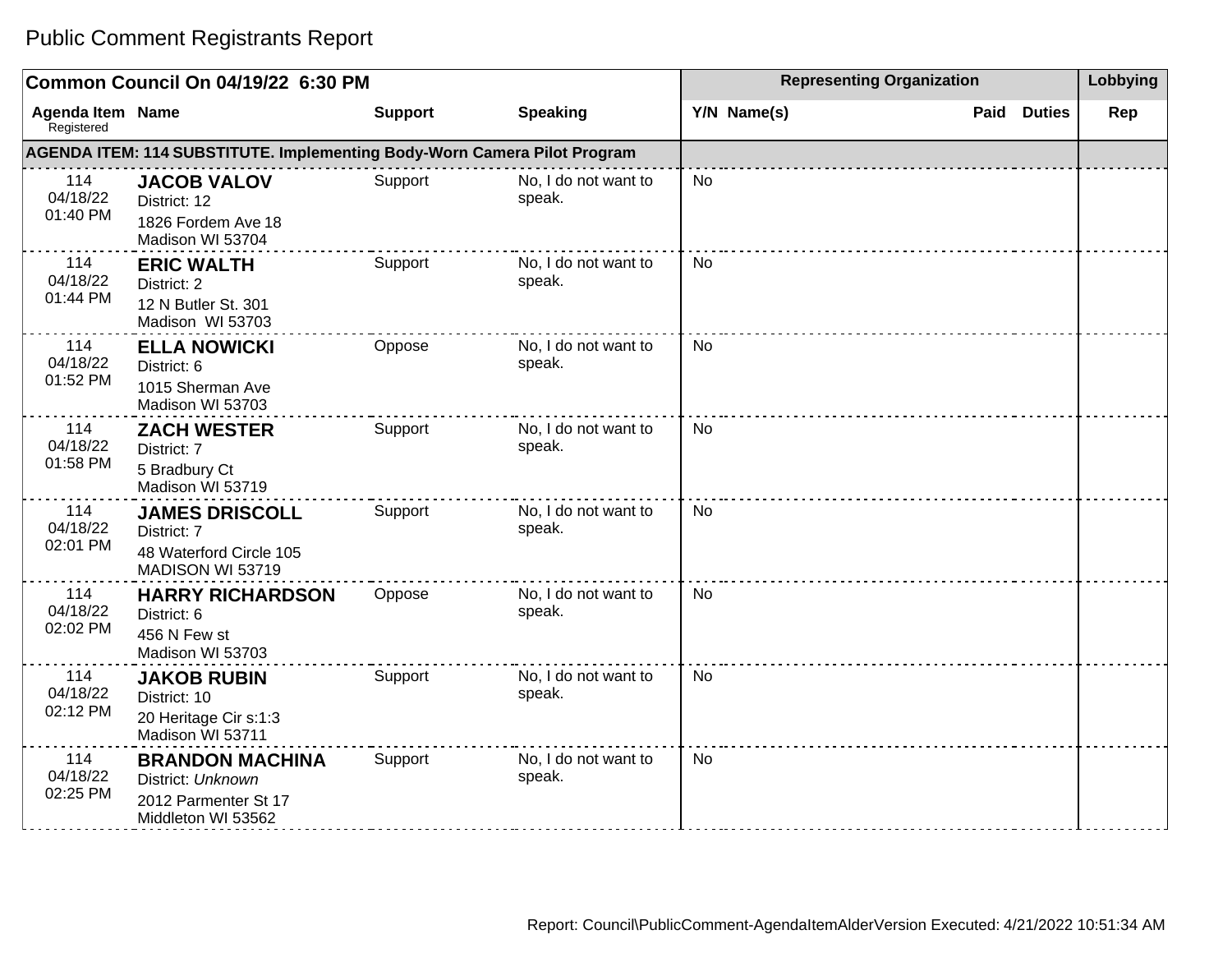#### **Common Council On 04/19/22 6:30 PM Representing Organization Representing Organization Representing Organization Agenda Item** Registered **Name Support Speaking Y/N Name(s) Paid Duties Rep AGENDA ITEM: 114 SUBSTITUTE. Implementing Body-Worn Camera Pilot Program** 114 04/18/22 01:40 PM **JACOB VALOV** District: 12 1826 Fordem Ave 18 Madison WI 53704 Support No, I do not want to speak. No 114 04/18/22 01:44 PM **ERIC WALTH** District: 2 12 N Butler St. 301 Madison WI 53703 Support No, I do not want to speak. No 114 04/18/22 01:52 PM **ELLA NOWICKI** District: 6 1015 Sherman Ave Madison WI 53703 Oppose No, I do not want to speak. No 114 04/18/22 01:58 PM **ZACH WESTER** District: 7 5 Bradbury Ct Madison WI 53719 Support No, I do not want to speak. No 114 04/18/22 02:01 PM **JAMES DRISCOLL** District: 7 48 Waterford Circle 105 MADISON WI 53719 Support No, I do not want to speak. No 114 04/18/22 02:02 PM **HARRY RICHARDSON** District: 6 456 N Few st Madison WI 53703 Oppose No, I do not want to speak. No 114 04/18/22 02:12 PM **JAKOB RUBIN** District: 10 20 Heritage Cir s:1:3 Madison WI 53711 Support No, I do not want to speak. No 114 04/18/22 02:25 PM **BRANDON MACHINA** District: Unknown 2012 Parmenter St 17 Middleton WI 53562 Support No, I do not want to speak. No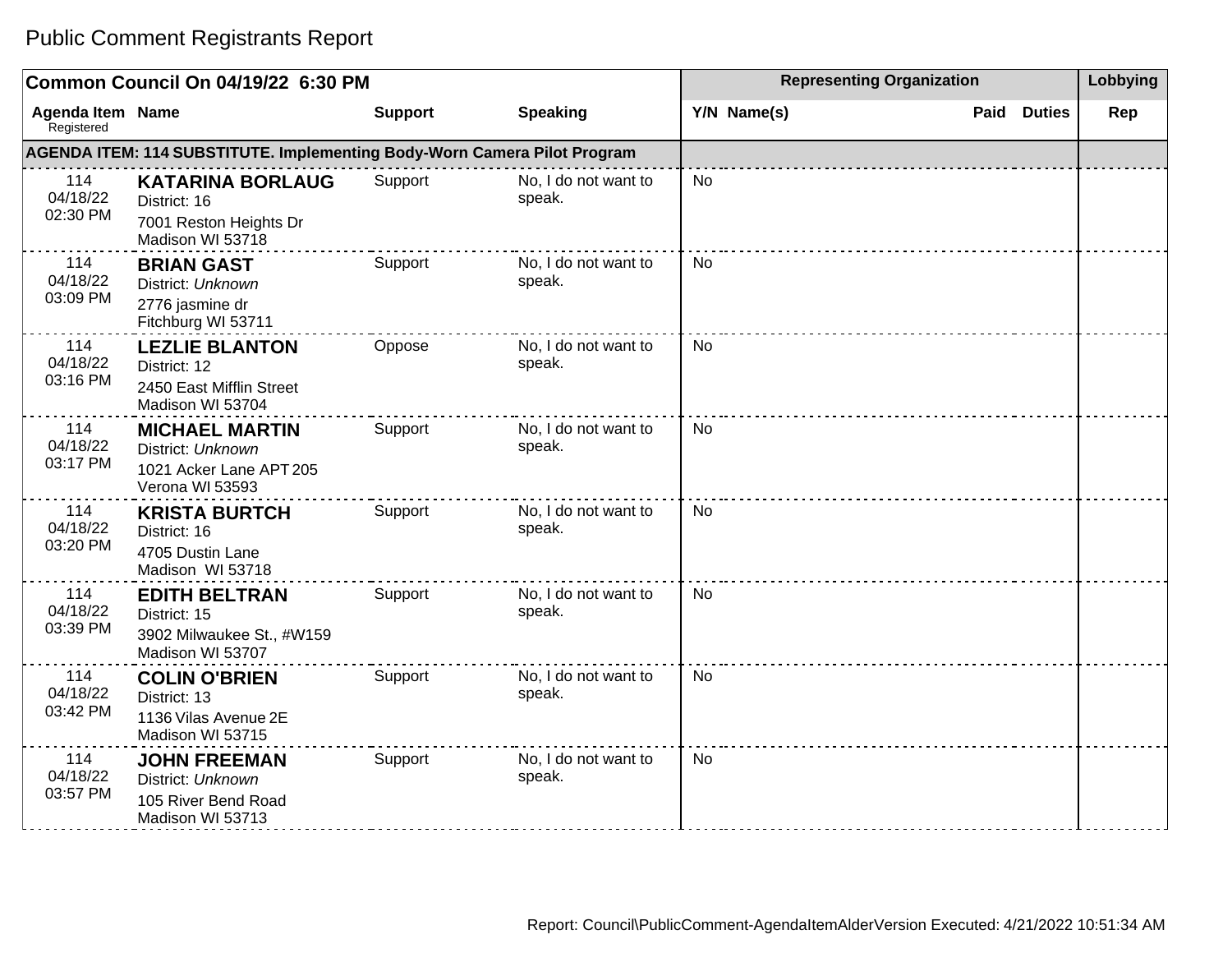| Common Council On 04/19/22 6:30 PM    |                                                                                          |                |                                | <b>Representing Organization</b> | Lobbying              |     |
|---------------------------------------|------------------------------------------------------------------------------------------|----------------|--------------------------------|----------------------------------|-----------------------|-----|
| <b>Agenda Item Name</b><br>Registered |                                                                                          | <b>Support</b> | <b>Speaking</b>                | Y/N Name(s)                      | <b>Duties</b><br>Paid | Rep |
|                                       | <b>AGENDA ITEM: 114 SUBSTITUTE. Implementing Body-Worn Camera Pilot Program</b>          |                |                                |                                  |                       |     |
| 114<br>04/18/22<br>02:30 PM           | <b>KATARINA BORLAUG</b><br>District: 16<br>7001 Reston Heights Dr<br>Madison WI 53718    | Support        | No, I do not want to<br>speak. | <b>No</b>                        |                       |     |
| 114<br>04/18/22<br>03:09 PM           | <b>BRIAN GAST</b><br>District: Unknown<br>2776 jasmine dr<br>Fitchburg WI 53711          | Support        | No, I do not want to<br>speak. | <b>No</b>                        |                       |     |
| 114<br>04/18/22<br>03:16 PM           | <b>LEZLIE BLANTON</b><br>District: 12<br>2450 East Mifflin Street<br>Madison WI 53704    | Oppose         | No, I do not want to<br>speak. | <b>No</b>                        |                       |     |
| 114<br>04/18/22<br>03:17 PM           | <b>MICHAEL MARTIN</b><br>District: Unknown<br>1021 Acker Lane APT 205<br>Verona WI 53593 | Support        | No, I do not want to<br>speak. | No                               |                       |     |
| 114<br>04/18/22<br>03:20 PM           | <b>KRISTA BURTCH</b><br>District: 16<br>4705 Dustin Lane<br>Madison WI 53718             | Support        | No, I do not want to<br>speak. | <b>No</b>                        |                       |     |
| 114<br>04/18/22<br>03:39 PM           | <b>EDITH BELTRAN</b><br>District: 15<br>3902 Milwaukee St., #W159<br>Madison WI 53707    | Support        | No, I do not want to<br>speak. | <b>No</b>                        |                       |     |
| 114<br>04/18/22<br>03:42 PM           | <b>COLIN O'BRIEN</b><br>District: 13<br>1136 Vilas Avenue 2E<br>Madison WI 53715         | Support        | No, I do not want to<br>speak. | <b>No</b>                        |                       |     |
| 114<br>04/18/22<br>03:57 PM           | <b>JOHN FREEMAN</b><br>District: Unknown<br>105 River Bend Road<br>Madison WI 53713      | Support        | No, I do not want to<br>speak. | <b>No</b>                        |                       |     |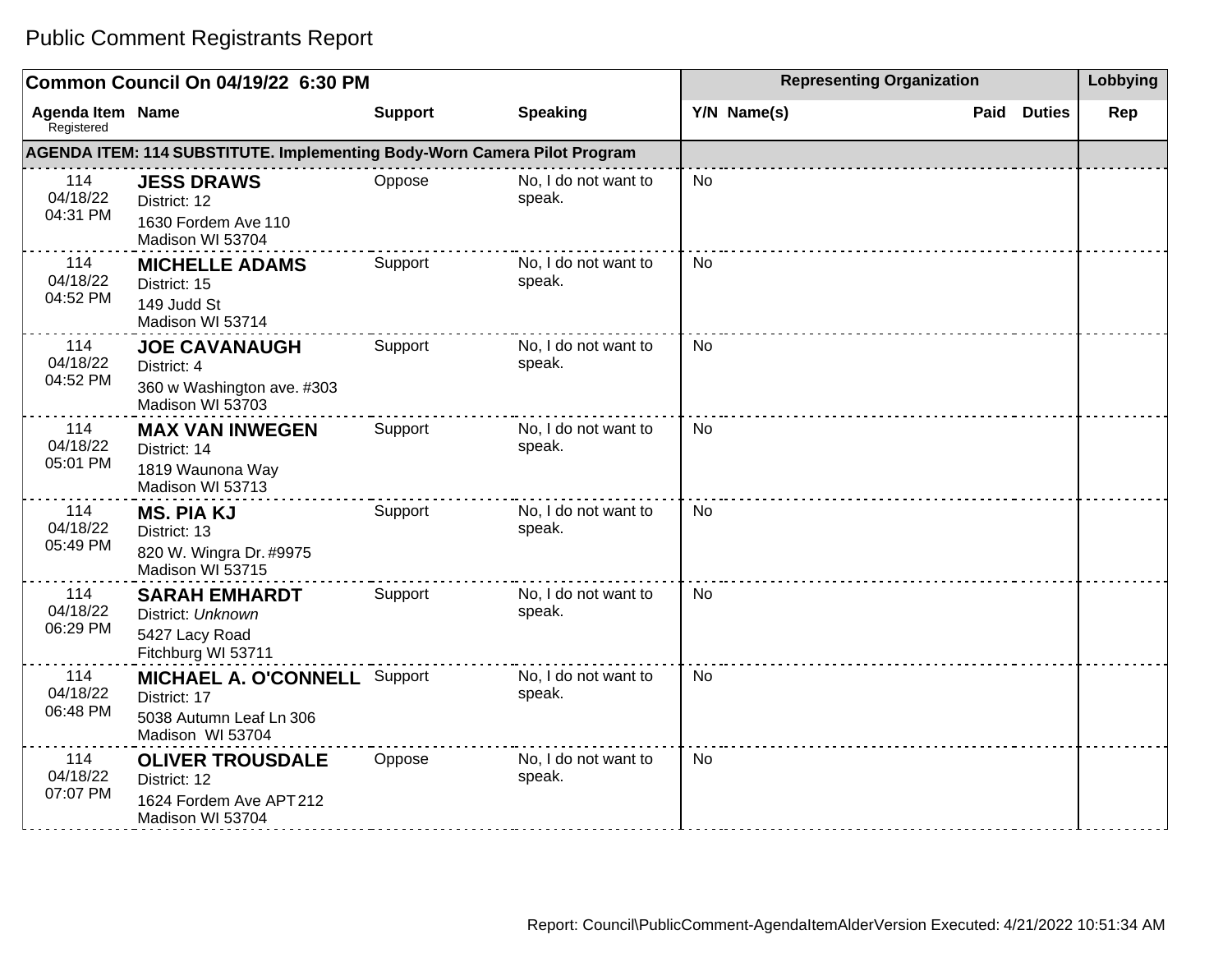#### **Common Council On 04/19/22 6:30 PM Representing Organization Representing Organization Representing Organization Agenda Item Registered Name Support Speaking Y/N Name(s) Paid Duties Rep AGENDA ITEM: 114 SUBSTITUTE. Implementing Body-Worn Camera Pilot Program** 114 04/18/22 04:31 PM **JESS DRAWS** District: 12 1630 Fordem Ave 110 Madison WI 53704 Oppose No, I do not want to speak. No 114 04/18/22 04:52 PM **MICHELLE ADAMS** District: 15 149 Judd St Madison WI 53714 Support No, I do not want to speak. No 114 04/18/22 04:52 PM **JOE CAVANAUGH** District: 4 360 w Washington ave. #303 Madison WI 53703 Support No, I do not want to speak. No 114 04/18/22 05:01 PM **MAX VAN INWEGEN** District: 14 1819 Waunona Way Madison WI 53713 Support No, I do not want to speak. No 114 04/18/22 05:49 PM **MS. PIA KJ** District: 13 820 W. Wingra Dr. #9975 Madison WI 53715 Support No, I do not want to speak. No 114 04/18/22 06:29 PM **SARAH EMHARDT** District: Unknown 5427 Lacy Road Fitchburg WI 53711 Support No, I do not want to speak. No 114 04/18/22 06:48 PM **MICHAEL A. O'CONNELL** District: 17 5038 Autumn Leaf Ln 306 Madison WI 53704 No. I do not want to speak. No 114 04/18/22 07:07 PM **OLIVER TROUSDALE** District: 12 1624 Fordem Ave APT 212 Madison WI 53704 Oppose No, I do not want to speak. No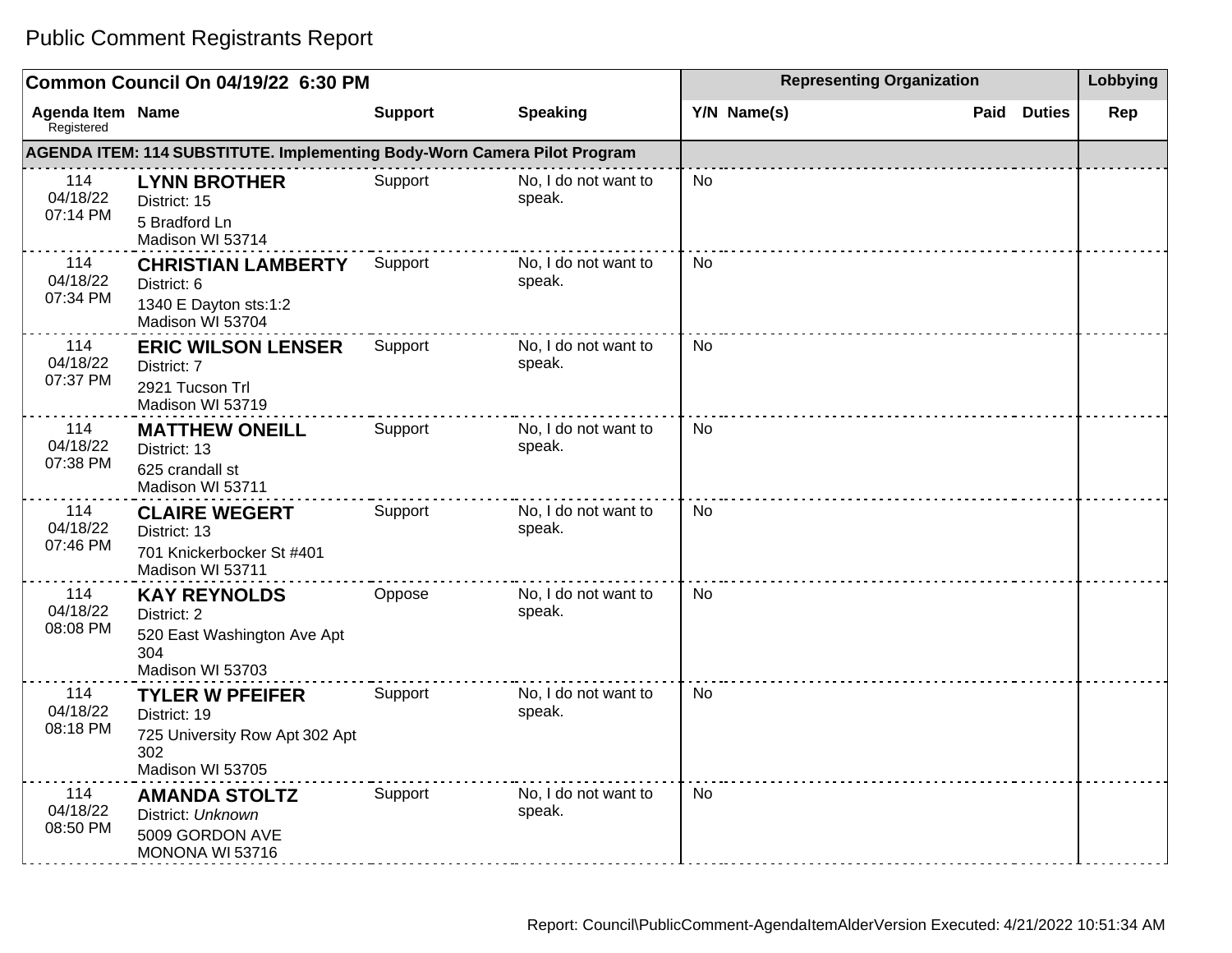#### **Common Council On 04/19/22 6:30 PM Representing Organization Representing Organization Representing Organization Agenda Item Registered Name Support Speaking Y/N Name(s) Paid Duties Rep AGENDA ITEM: 114 SUBSTITUTE. Implementing Body-Worn Camera Pilot Program** 114 04/18/22 07:14 PM **LYNN BROTHER** District: 15 5 Bradford Ln Madison WI 53714 Support No, I do not want to speak. No 114 04/18/22 07:34 PM **CHRISTIAN LAMBERTY** District: 6 1340 E Dayton sts:1:2 Madison WI 53704 Support No, I do not want to speak. No 114 04/18/22 07:37 PM **ERIC WILSON LENSER** District: 7 2921 Tucson Trl Madison WI 53719 Support No, I do not want to speak. No 114 04/18/22 07:38 PM **MATTHEW ONEILL** District: 13 625 crandall st Madison WI 53711 Support No, I do not want to speak. No 114 04/18/22 07:46 PM **CLAIRE WEGERT** District: 13 701 Knickerbocker St #401 Madison WI 53711 Support No, I do not want to speak. No 114 04/18/22 08:08 PM **KAY REYNOLDS** District: 2 520 East Washington Ave Apt 304 Madison WI 53703 Oppose No, I do not want to speak. No 114 04/18/22 08:18 PM **TYLER W PFEIFER** District: 19 725 University Row Apt 302 Apt 302 Madison WI 53705 Support No, I do not want to speak. No 114 04/18/22 08:50 PM **AMANDA STOLTZ** District: Unknown 5009 GORDON AVE MONONA WI 53716 Support No, I do not want to speak. No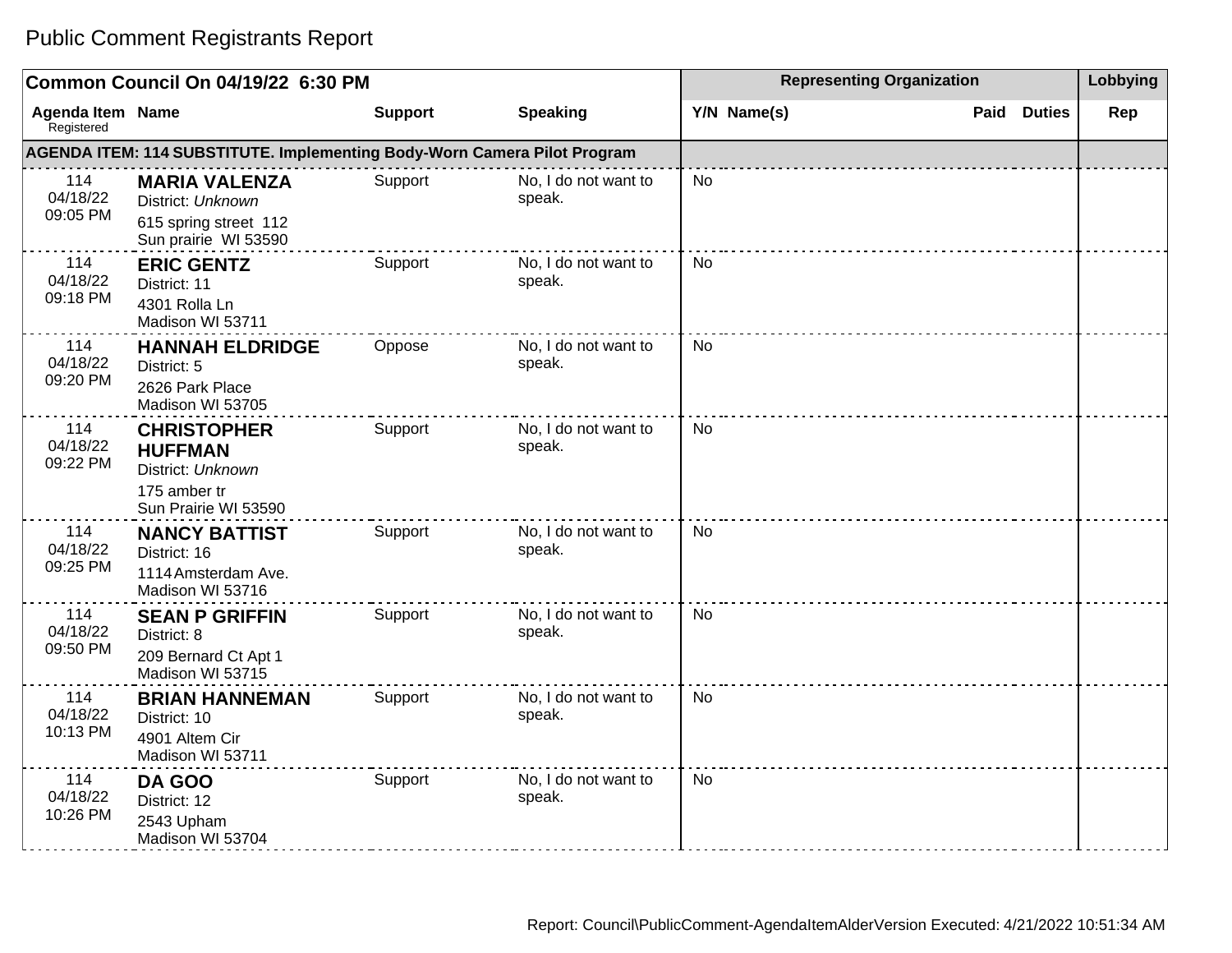| Common Council On 04/19/22 6:30 PM |                                                                                                   |                |                                | <b>Representing Organization</b> | Lobbying              |     |
|------------------------------------|---------------------------------------------------------------------------------------------------|----------------|--------------------------------|----------------------------------|-----------------------|-----|
| Agenda Item Name<br>Registered     |                                                                                                   | <b>Support</b> | <b>Speaking</b>                | Y/N Name(s)                      | Paid<br><b>Duties</b> | Rep |
|                                    | AGENDA ITEM: 114 SUBSTITUTE. Implementing Body-Worn Camera Pilot Program                          |                |                                |                                  |                       |     |
| 114<br>04/18/22<br>09:05 PM        | <b>MARIA VALENZA</b><br>District: Unknown<br>615 spring street 112<br>Sun prairie WI 53590        | Support        | No, I do not want to<br>speak. | <b>No</b>                        |                       |     |
| 114<br>04/18/22<br>09:18 PM        | <b>ERIC GENTZ</b><br>District: 11<br>4301 Rolla Ln<br>Madison WI 53711                            | Support        | No, I do not want to<br>speak. | <b>No</b>                        |                       |     |
| 114<br>04/18/22<br>09:20 PM        | <b>HANNAH ELDRIDGE</b><br>District: 5<br>2626 Park Place<br>Madison WI 53705                      | Oppose         | No, I do not want to<br>speak. | No                               |                       |     |
| 114<br>04/18/22<br>09:22 PM        | <b>CHRISTOPHER</b><br><b>HUFFMAN</b><br>District: Unknown<br>175 amber tr<br>Sun Prairie WI 53590 | Support        | No, I do not want to<br>speak. | <b>No</b>                        |                       |     |
| 114<br>04/18/22<br>09:25 PM        | <b>NANCY BATTIST</b><br>District: 16<br>1114 Amsterdam Ave.<br>Madison WI 53716                   | Support        | No, I do not want to<br>speak. | <b>No</b>                        |                       |     |
| 114<br>04/18/22<br>09:50 PM        | <b>SEAN P GRIFFIN</b><br>District: 8<br>209 Bernard Ct Apt 1<br>Madison WI 53715                  | Support        | No, I do not want to<br>speak. | <b>No</b>                        |                       |     |
| 114<br>04/18/22<br>10:13 PM        | <b>BRIAN HANNEMAN</b><br>District: 10<br>4901 Altem Cir<br>Madison WI 53711                       | Support        | No, I do not want to<br>speak. | No                               |                       |     |
| 114<br>04/18/22<br>10:26 PM        | DA GOO<br>District: 12<br>2543 Upham<br>Madison WI 53704                                          | Support        | No, I do not want to<br>speak. | <b>No</b>                        |                       |     |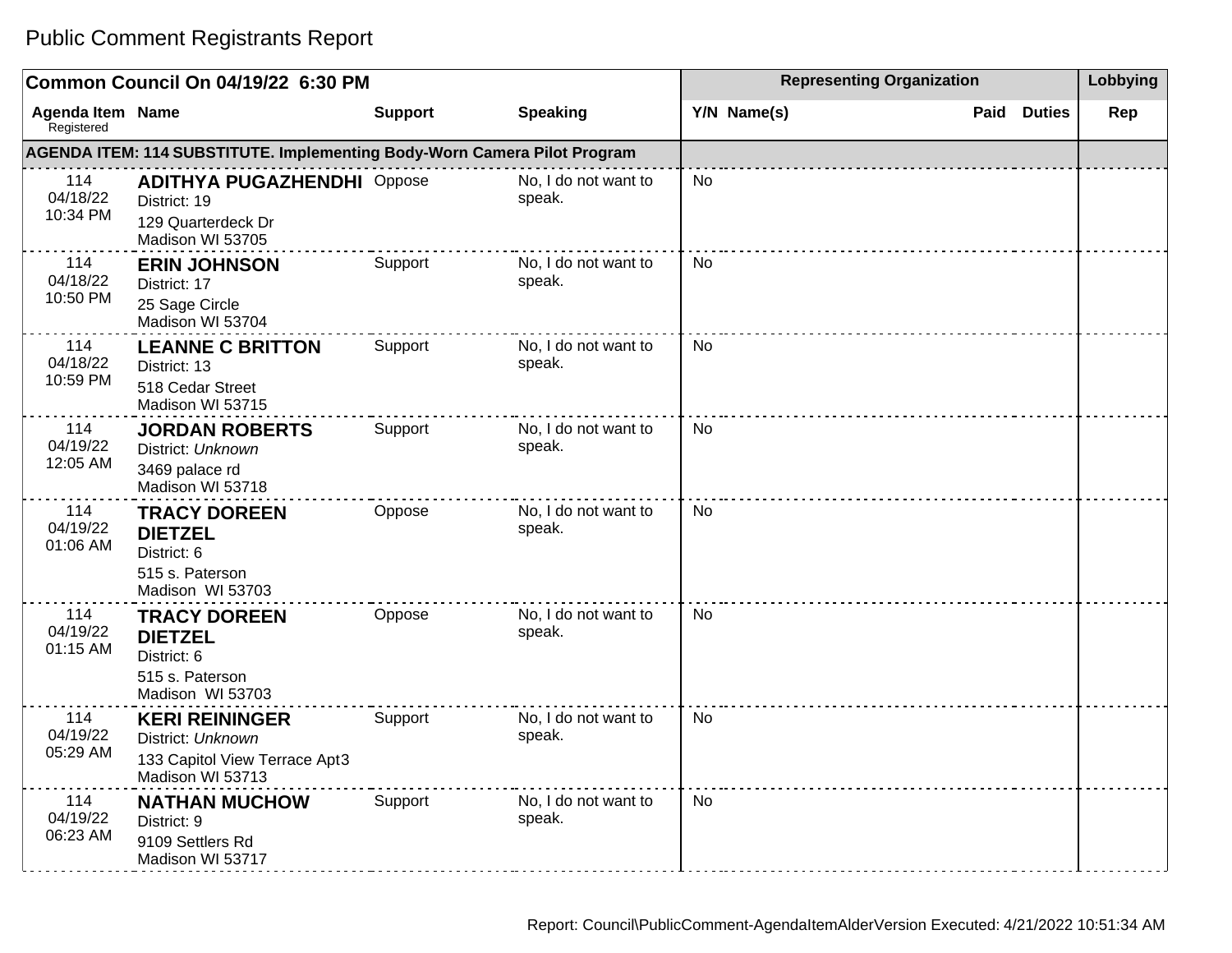| Common Council On 04/19/22 6:30 PM    |                                                                                                 |                |                                | <b>Representing Organization</b> | Lobbying              |     |
|---------------------------------------|-------------------------------------------------------------------------------------------------|----------------|--------------------------------|----------------------------------|-----------------------|-----|
| <b>Agenda Item Name</b><br>Registered |                                                                                                 | <b>Support</b> | <b>Speaking</b>                | Y/N Name(s)                      | Paid<br><b>Duties</b> | Rep |
|                                       | <b>AGENDA ITEM: 114 SUBSTITUTE. Implementing Body-Worn Camera Pilot Program</b>                 |                |                                |                                  |                       |     |
| 114<br>04/18/22<br>10:34 PM           | <b>ADITHYA PUGAZHENDHI Oppose</b><br>District: 19<br>129 Quarterdeck Dr<br>Madison WI 53705     |                | No, I do not want to<br>speak. | No                               |                       |     |
| 114<br>04/18/22<br>10:50 PM           | <b>ERIN JOHNSON</b><br>District: 17<br>25 Sage Circle<br>Madison WI 53704                       | Support        | No, I do not want to<br>speak. | No.                              |                       |     |
| 114<br>04/18/22<br>10:59 PM           | <b>LEANNE C BRITTON</b><br>District: 13<br>518 Cedar Street<br>Madison WI 53715                 | Support        | No, I do not want to<br>speak. | No.                              |                       |     |
| 114<br>04/19/22<br>12:05 AM           | <b>JORDAN ROBERTS</b><br>District: Unknown<br>3469 palace rd<br>Madison WI 53718                | Support        | No, I do not want to<br>speak. | No                               |                       |     |
| 114<br>04/19/22<br>01:06 AM           | <b>TRACY DOREEN</b><br><b>DIETZEL</b><br>District: 6<br>515 s. Paterson<br>Madison WI 53703     | Oppose         | No, I do not want to<br>speak. | No                               |                       |     |
| 114<br>04/19/22<br>01:15 AM           | <b>TRACY DOREEN</b><br><b>DIETZEL</b><br>District: 6<br>515 s. Paterson<br>Madison WI 53703     | Oppose         | No, I do not want to<br>speak. | No                               |                       |     |
| 114<br>04/19/22<br>05:29 AM           | <b>KERI REININGER</b><br>District: Unknown<br>133 Capitol View Terrace Apt3<br>Madison WI 53713 | Support        | No, I do not want to<br>speak. | <b>No</b>                        |                       |     |
| 114<br>04/19/22<br>06:23 AM           | <b>NATHAN MUCHOW</b><br>District: 9<br>9109 Settlers Rd<br>Madison WI 53717                     | Support        | No, I do not want to<br>speak. | <b>No</b>                        |                       |     |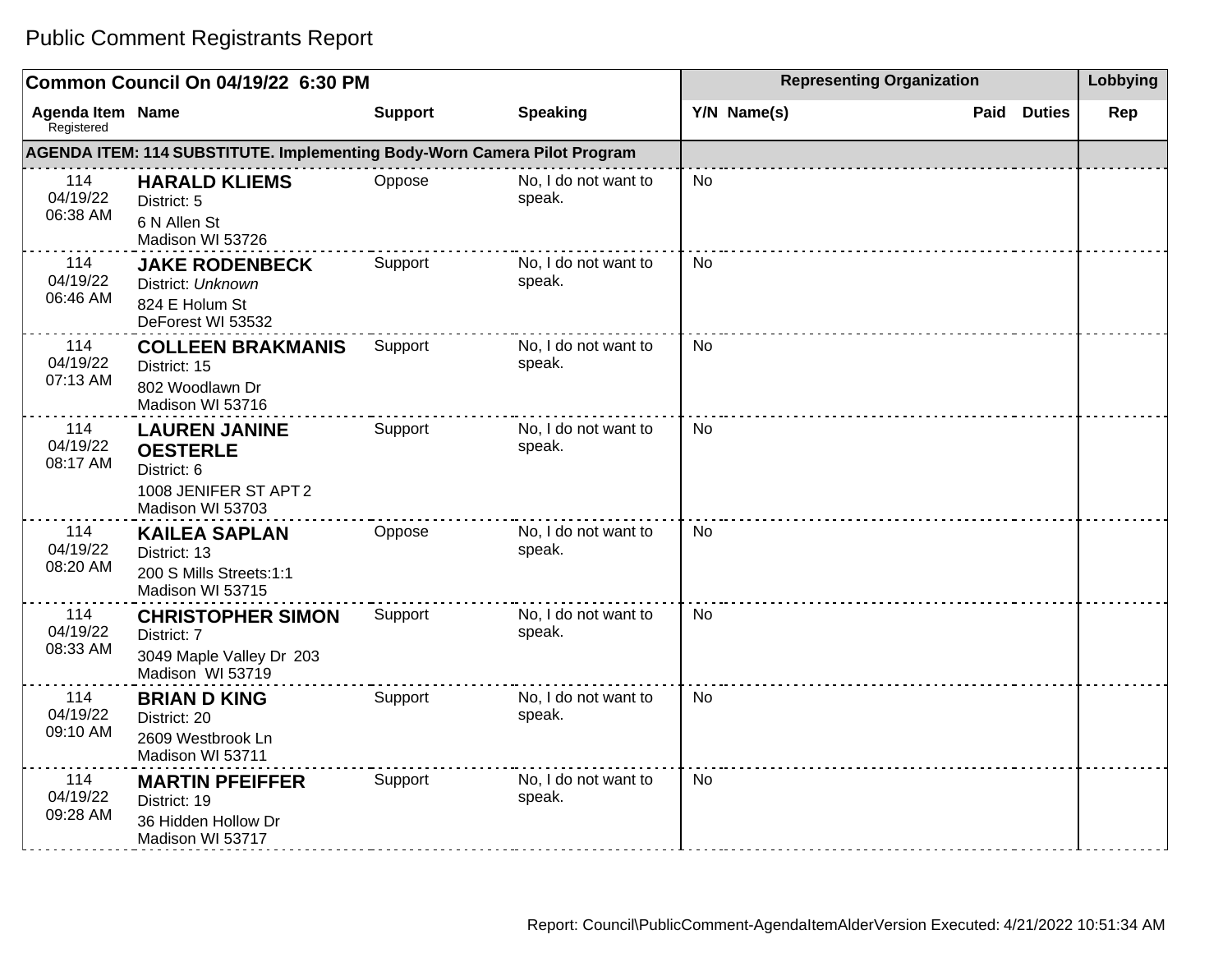| Common Council On 04/19/22 6:30 PM |                                                                                                     |                |                                | <b>Representing Organization</b> | Lobbying              |     |
|------------------------------------|-----------------------------------------------------------------------------------------------------|----------------|--------------------------------|----------------------------------|-----------------------|-----|
| Agenda Item Name<br>Registered     |                                                                                                     | <b>Support</b> | <b>Speaking</b>                | Y/N Name(s)                      | <b>Duties</b><br>Paid | Rep |
|                                    | AGENDA ITEM: 114 SUBSTITUTE. Implementing Body-Worn Camera Pilot Program                            |                |                                |                                  |                       |     |
| 114<br>04/19/22<br>06:38 AM        | <b>HARALD KLIEMS</b><br>District: 5<br>6 N Allen St<br>Madison WI 53726                             | Oppose         | No, I do not want to<br>speak. | <b>No</b>                        |                       |     |
| 114<br>04/19/22<br>06:46 AM        | <b>JAKE RODENBECK</b><br>District: Unknown<br>824 E Holum St<br>DeForest WI 53532                   | Support        | No, I do not want to<br>speak. | <b>No</b>                        |                       |     |
| 114<br>04/19/22<br>07:13 AM        | <b>COLLEEN BRAKMANIS</b><br>District: 15<br>802 Woodlawn Dr<br>Madison WI 53716                     | Support        | No, I do not want to<br>speak. | No                               |                       |     |
| 114<br>04/19/22<br>08:17 AM        | <b>LAUREN JANINE</b><br><b>OESTERLE</b><br>District: 6<br>1008 JENIFER ST APT 2<br>Madison WI 53703 | Support        | No, I do not want to<br>speak. | <b>No</b>                        |                       |     |
| 114<br>04/19/22<br>08:20 AM        | <b>KAILEA SAPLAN</b><br>District: 13<br>200 S Mills Streets:1:1<br>Madison WI 53715                 | Oppose         | No, I do not want to<br>speak. | No.                              |                       |     |
| 114<br>04/19/22<br>08:33 AM        | <b>CHRISTOPHER SIMON</b><br>District: 7<br>3049 Maple Valley Dr 203<br>Madison WI 53719             | Support        | No, I do not want to<br>speak. | <b>No</b>                        |                       |     |
| 114<br>04/19/22<br>09:10 AM        | <b>BRIAN D KING</b><br>District: 20<br>2609 Westbrook Ln<br>Madison WI 53711                        | Support        | No, I do not want to<br>speak. | No                               |                       |     |
| 114<br>04/19/22<br>09:28 AM        | <b>MARTIN PFEIFFER</b><br>District: 19<br>36 Hidden Hollow Dr<br>Madison WI 53717                   | Support        | No, I do not want to<br>speak. | <b>No</b>                        |                       |     |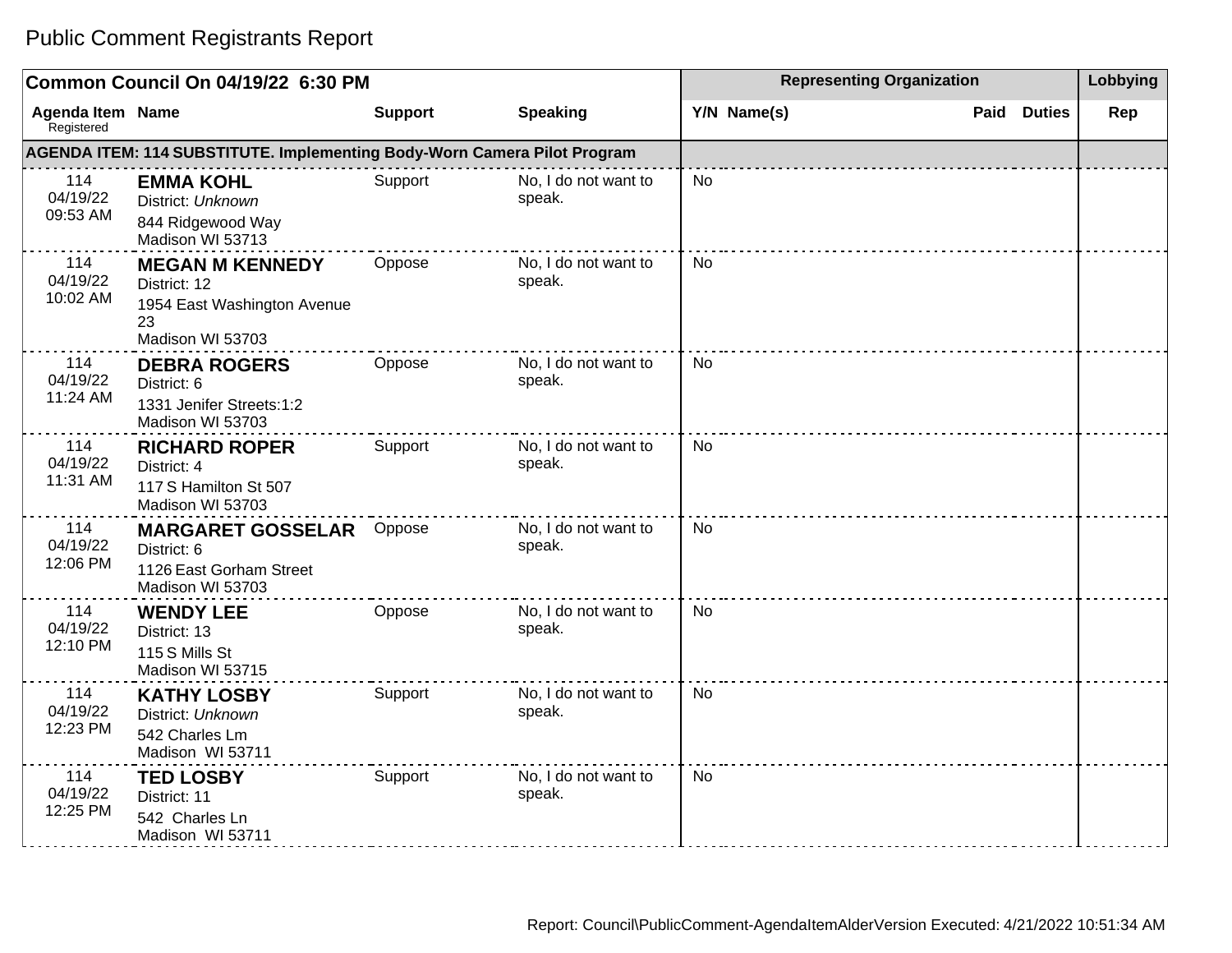| Common Council On 04/19/22 6:30 PM    |                                                                                                 |                |                                | <b>Representing Organization</b> | Lobbying              |     |
|---------------------------------------|-------------------------------------------------------------------------------------------------|----------------|--------------------------------|----------------------------------|-----------------------|-----|
| <b>Agenda Item Name</b><br>Registered |                                                                                                 | <b>Support</b> | <b>Speaking</b>                | Y/N Name(s)                      | Paid<br><b>Duties</b> | Rep |
|                                       | AGENDA ITEM: 114 SUBSTITUTE. Implementing Body-Worn Camera Pilot Program                        |                |                                |                                  |                       |     |
| 114<br>04/19/22<br>09:53 AM           | <b>EMMA KOHL</b><br>District: Unknown<br>844 Ridgewood Way<br>Madison WI 53713                  | Support        | No, I do not want to<br>speak. | <b>No</b>                        |                       |     |
| 114<br>04/19/22<br>10:02 AM           | <b>MEGAN M KENNEDY</b><br>District: 12<br>1954 East Washington Avenue<br>23<br>Madison WI 53703 | Oppose         | No, I do not want to<br>speak. | <b>No</b>                        |                       |     |
| 114<br>04/19/22<br>11:24 AM           | <b>DEBRA ROGERS</b><br>District: 6<br>1331 Jenifer Streets:1:2<br>Madison WI 53703              | Oppose         | No, I do not want to<br>speak. | <b>No</b>                        |                       |     |
| 114<br>04/19/22<br>11:31 AM           | <b>RICHARD ROPER</b><br>District: 4<br>117 S Hamilton St 507<br>Madison WI 53703                | Support        | No, I do not want to<br>speak. | <b>No</b>                        |                       |     |
| 114<br>04/19/22<br>12:06 PM           | <b>MARGARET GOSSELAR</b><br>District: 6<br>1126 East Gorham Street<br>Madison WI 53703          | Oppose         | No, I do not want to<br>speak. | <b>No</b>                        |                       |     |
| 114<br>04/19/22<br>12:10 PM           | <b>WENDY LEE</b><br>District: 13<br>115 S Mills St<br>Madison WI 53715                          | Oppose         | No, I do not want to<br>speak. | <b>No</b>                        |                       |     |
| 114<br>04/19/22<br>12:23 PM           | <b>KATHY LOSBY</b><br>District: Unknown<br>542 Charles Lm<br>Madison WI 53711                   | Support        | No, I do not want to<br>speak. | <b>No</b>                        |                       |     |
| 114<br>04/19/22<br>12:25 PM           | <b>TED LOSBY</b><br>District: 11<br>542 Charles Ln<br>Madison WI 53711                          | Support        | No, I do not want to<br>speak. | No                               |                       |     |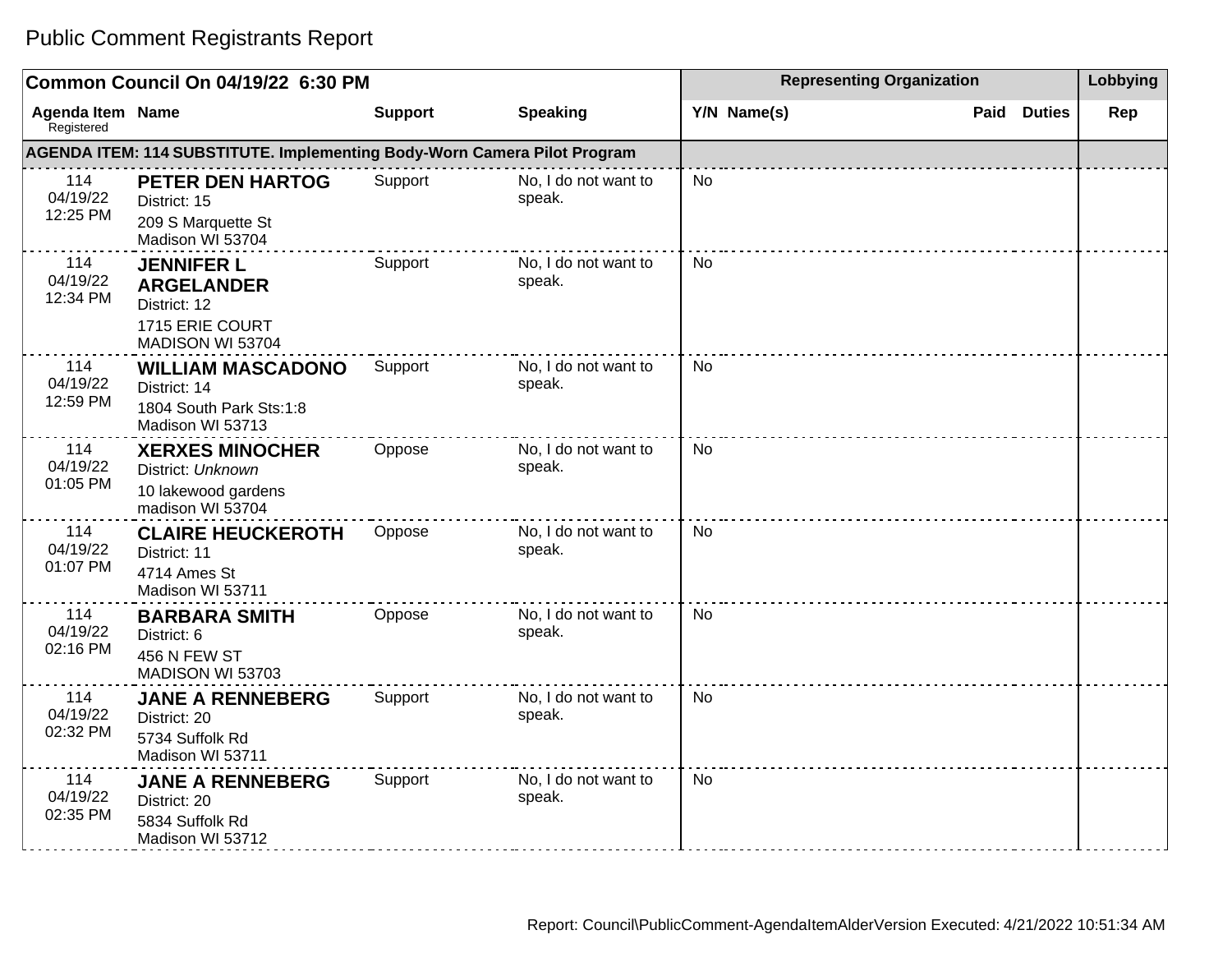| Common Council On 04/19/22 6:30 PM    |                                                                                               |                |                                | <b>Representing Organization</b> | Lobbying              |     |
|---------------------------------------|-----------------------------------------------------------------------------------------------|----------------|--------------------------------|----------------------------------|-----------------------|-----|
| <b>Agenda Item Name</b><br>Registered |                                                                                               | <b>Support</b> | <b>Speaking</b>                | Y/N Name(s)                      | <b>Duties</b><br>Paid | Rep |
|                                       | AGENDA ITEM: 114 SUBSTITUTE. Implementing Body-Worn Camera Pilot Program                      |                |                                |                                  |                       |     |
| 114<br>04/19/22<br>12:25 PM           | <b>PETER DEN HARTOG</b><br>District: 15<br>209 S Marquette St<br>Madison WI 53704             | Support        | No, I do not want to<br>speak. | <b>No</b>                        |                       |     |
| 114<br>04/19/22<br>12:34 PM           | <b>JENNIFER L</b><br><b>ARGELANDER</b><br>District: 12<br>1715 ERIE COURT<br>MADISON WI 53704 | Support        | No, I do not want to<br>speak. | <b>No</b>                        |                       |     |
| 114<br>04/19/22<br>12:59 PM           | <b>WILLIAM MASCADONO</b><br>District: 14<br>1804 South Park Sts:1:8<br>Madison WI 53713       | Support        | No, I do not want to<br>speak. | <b>No</b>                        |                       |     |
| 114<br>04/19/22<br>01:05 PM           | <b>XERXES MINOCHER</b><br>District: Unknown<br>10 lakewood gardens<br>madison WI 53704        | Oppose         | No, I do not want to<br>speak. | <b>No</b>                        |                       |     |
| 114<br>04/19/22<br>01:07 PM           | <b>CLAIRE HEUCKEROTH</b><br>District: 11<br>4714 Ames St<br>Madison WI 53711                  | Oppose         | No, I do not want to<br>speak. | No                               |                       |     |
| 114<br>04/19/22<br>02:16 PM           | <b>BARBARA SMITH</b><br>District: 6<br>456 N FEW ST<br>MADISON WI 53703                       | Oppose         | No, I do not want to<br>speak. | <b>No</b>                        |                       |     |
| 114<br>04/19/22<br>02:32 PM           | <b>JANE A RENNEBERG</b><br>District: 20<br>5734 Suffolk Rd<br>Madison WI 53711                | Support        | No, I do not want to<br>speak. | No                               |                       |     |
| 114<br>04/19/22<br>02:35 PM           | <b>JANE A RENNEBERG</b><br>District: 20<br>5834 Suffolk Rd<br>Madison WI 53712                | Support        | No, I do not want to<br>speak. | <b>No</b>                        |                       |     |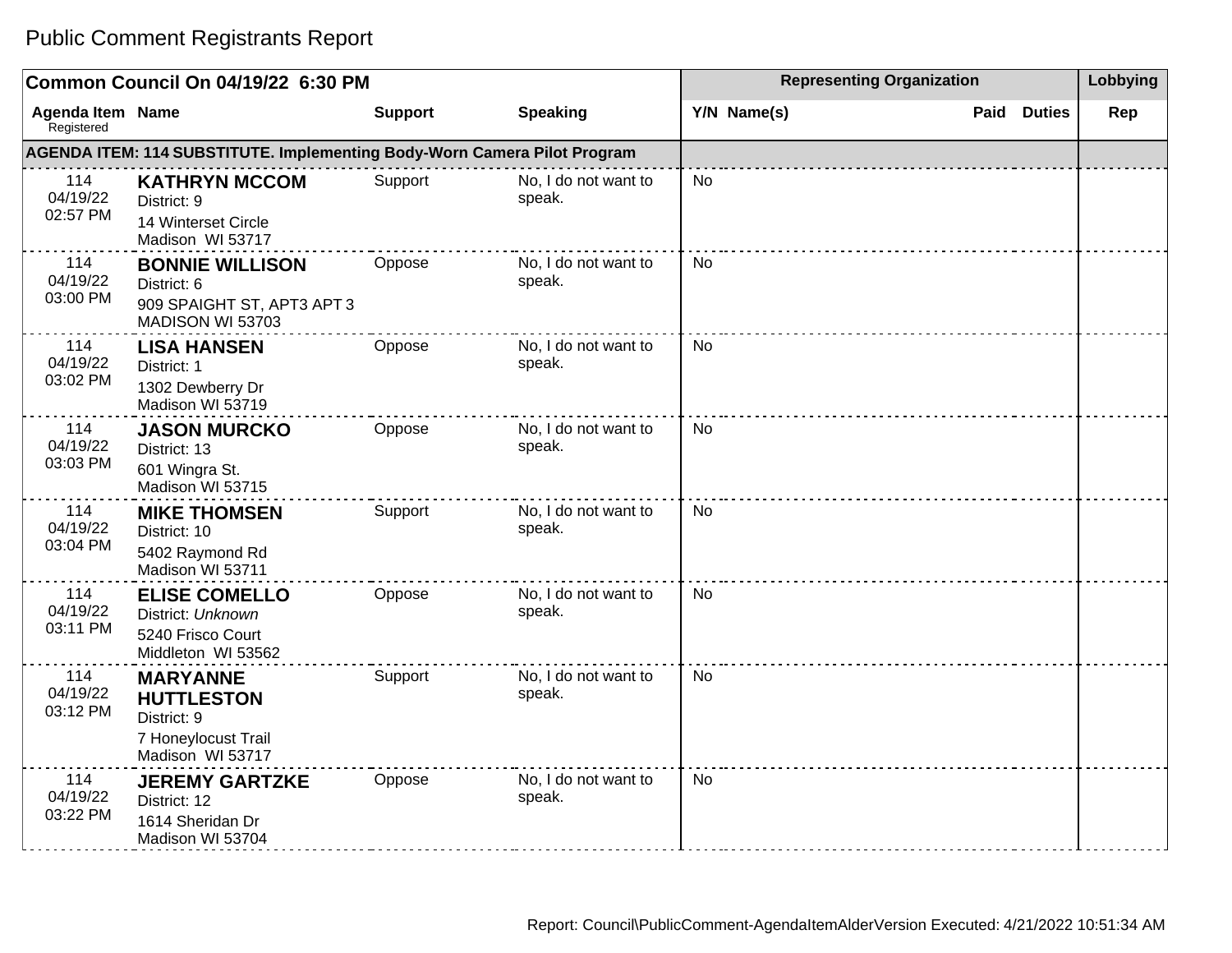| Common Council On 04/19/22 6:30 PM    |                                                                                                |                |                                | <b>Representing Organization</b> | Lobbying              |     |
|---------------------------------------|------------------------------------------------------------------------------------------------|----------------|--------------------------------|----------------------------------|-----------------------|-----|
| <b>Agenda Item Name</b><br>Registered |                                                                                                | <b>Support</b> | <b>Speaking</b>                | Y/N Name(s)                      | Paid<br><b>Duties</b> | Rep |
|                                       | AGENDA ITEM: 114 SUBSTITUTE. Implementing Body-Worn Camera Pilot Program                       |                |                                |                                  |                       |     |
| 114<br>04/19/22<br>02:57 PM           | <b>KATHRYN MCCOM</b><br>District: 9<br>14 Winterset Circle<br>Madison WI 53717                 | Support        | No, I do not want to<br>speak. | No                               |                       |     |
| 114<br>04/19/22<br>03:00 PM           | <b>BONNIE WILLISON</b><br>District: 6<br>909 SPAIGHT ST, APT3 APT3<br>MADISON WI 53703         | Oppose         | No, I do not want to<br>speak. | <b>No</b>                        |                       |     |
| 114<br>04/19/22<br>03:02 PM           | <b>LISA HANSEN</b><br>District: 1<br>1302 Dewberry Dr<br>Madison WI 53719                      | Oppose         | No, I do not want to<br>speak. | No                               |                       |     |
| 114<br>04/19/22<br>03:03 PM           | <b>JASON MURCKO</b><br>District: 13<br>601 Wingra St.<br>Madison WI 53715                      | Oppose         | No, I do not want to<br>speak. | <b>No</b>                        |                       |     |
| 114<br>04/19/22<br>03:04 PM           | <b>MIKE THOMSEN</b><br>District: 10<br>5402 Raymond Rd<br>Madison WI 53711                     | Support        | No, I do not want to<br>speak. | <b>No</b>                        |                       |     |
| 114<br>04/19/22<br>03:11 PM           | <b>ELISE COMELLO</b><br>District: Unknown<br>5240 Frisco Court<br>Middleton WI 53562           | Oppose         | No, I do not want to<br>speak. | No                               |                       |     |
| 114<br>04/19/22<br>03:12 PM           | <b>MARYANNE</b><br><b>HUTTLESTON</b><br>District: 9<br>7 Honeylocust Trail<br>Madison WI 53717 | Support        | No, I do not want to<br>speak. | No                               |                       |     |
| 114<br>04/19/22<br>03:22 PM           | <b>JEREMY GARTZKE</b><br>District: 12<br>1614 Sheridan Dr<br>Madison WI 53704                  | Oppose         | No. I do not want to<br>speak. | <b>No</b>                        |                       |     |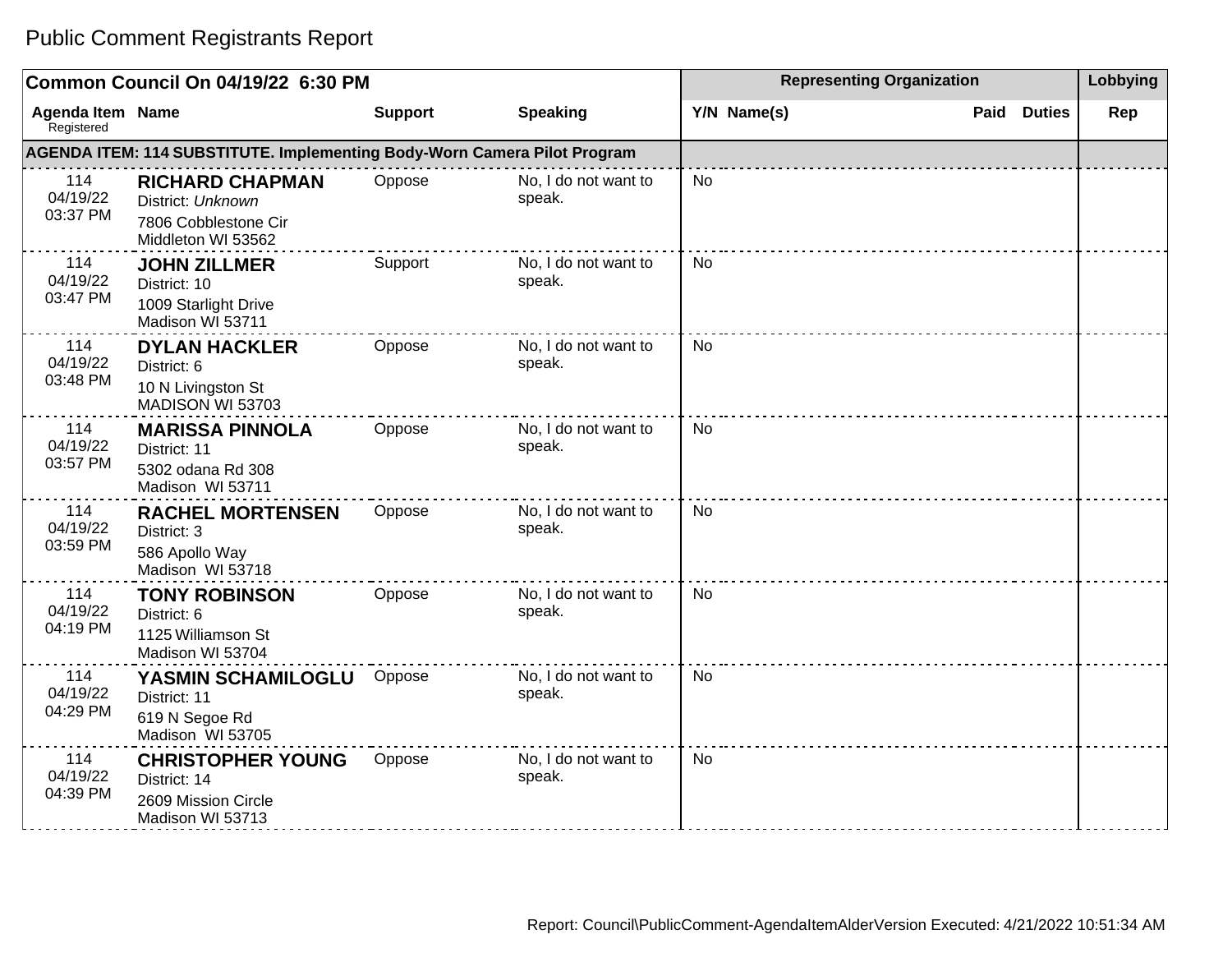#### **Common Council On 04/19/22 6:30 PM Representing Organization Representing Organization Representing Organization Agenda Item** Registered **Name Support Speaking Y/N Name(s) Paid Duties Rep AGENDA ITEM: 114 SUBSTITUTE. Implementing Body-Worn Camera Pilot Program** 114 04/19/22 03:37 PM **RICHARD CHAPMAN** District: Unknown 7806 Cobblestone Cir Middleton WI 53562 Oppose No, I do not want to speak. No 114 04/19/22 03:47 PM **JOHN ZILLMER** District: 10 1009 Starlight Drive Madison WI 53711 Support No, I do not want to speak. No 114 04/19/22 03:48 PM **DYLAN HACKLER** District: 6 10 N Livingston St MADISON WI 53703 Oppose No, I do not want to speak. No 114 04/19/22 03:57 PM **MARISSA PINNOLA**  District: 11 5302 odana Rd 308 Madison WI 53711 Oppose No, I do not want to speak. No 114 04/19/22 03:59 PM **RACHEL MORTENSEN**  District: 3 586 Apollo Way Madison WI 53718 Oppose No, I do not want to speak. No 114 04/19/22 04:19 PM **TONY ROBINSON** District: 6 1125 Williamson St Madison WI 53704 Oppose No, I do not want to speak. No 114 04/19/22 04:29 PM **YASMIN SCHAMILOGLU** District: 11 619 N Segoe Rd Madison WI 53705 Oppose No, I do not want to speak. No 114 04/19/22 04:39 PM **CHRISTOPHER YOUNG** District: 14 Oppose No, I do not want to speak. No

#### Public Comment Registrants Report

2609 Mission Circle Madison WI 53713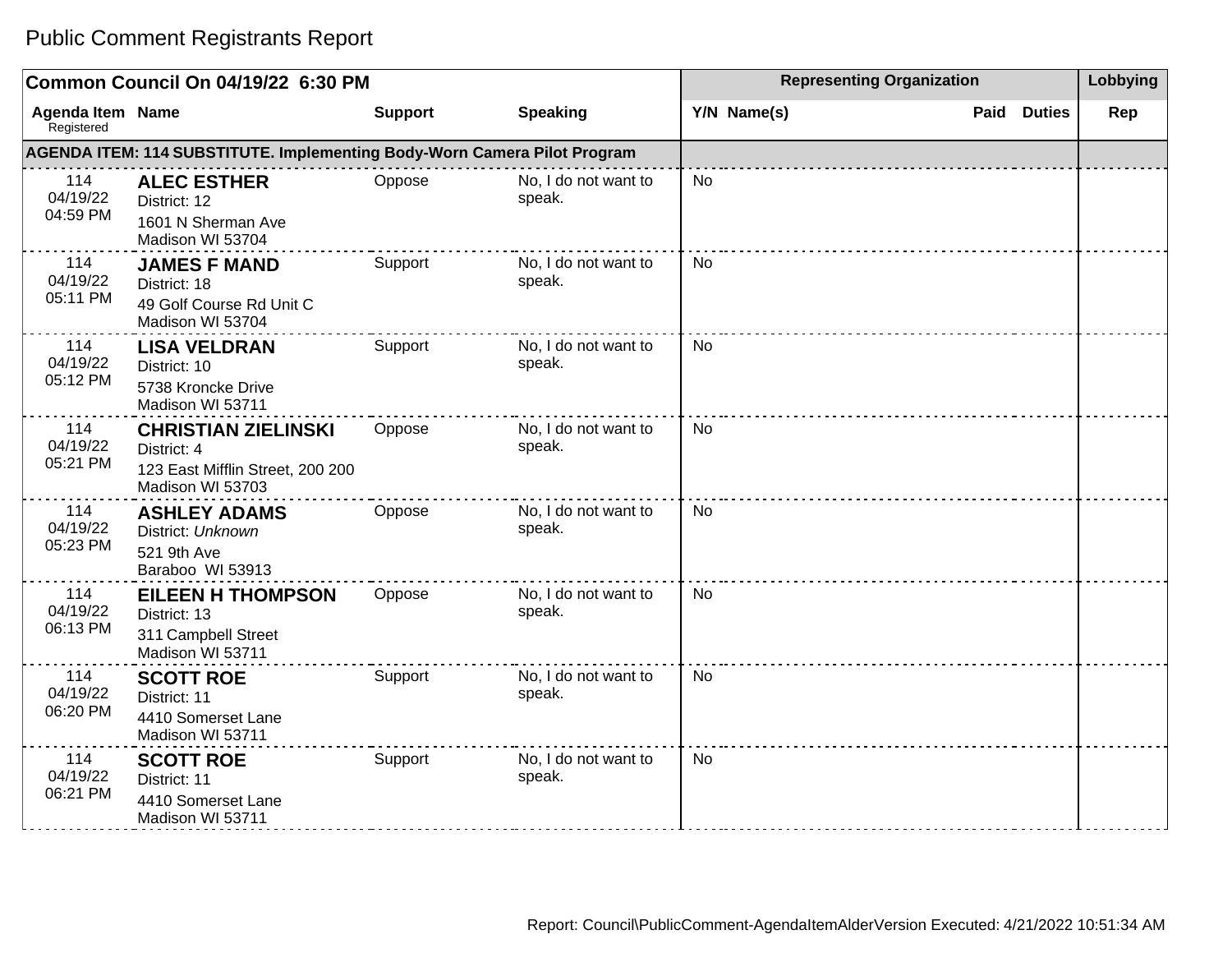#### **Common Council On 04/19/22 6:30 PM Representing Organization Representing Organization Representing Organization Agenda Item Registered Name Support Speaking Y/N Name(s) Paid Duties Rep AGENDA ITEM: 114 SUBSTITUTE. Implementing Body-Worn Camera Pilot Program** 114 04/19/22 04:59 PM **ALEC ESTHER** District: 12 1601 N Sherman Ave Madison WI 53704 Oppose No, I do not want to speak. No 114 04/19/22 05:11 PM **JAMES F MAND** District: 18 49 Golf Course Rd Unit C Madison WI 53704 Support No, I do not want to speak. No 114 04/19/22 05:12 PM **LISA VELDRAN** District: 10 5738 Kroncke Drive Madison WI 53711 Support No, I do not want to speak. No 114 04/19/22 05:21 PM **CHRISTIAN ZIELINSKI** District: 4 123 East Mifflin Street, 200 200 Madison WI 53703 Oppose No, I do not want to speak. No 114 04/19/22 05:23 PM **ASHLEY ADAMS** District: Unknown 521 9th Ave Baraboo WI 53913 Oppose No, I do not want to speak. No 114 04/19/22 06:13 PM **EILEEN H THOMPSON** District: 13 311 Campbell Street Madison WI 53711 Oppose No, I do not want to speak. No 114 04/19/22 06:20 PM **SCOTT ROE** District: 11 4410 Somerset Lane Madison WI 53711 Support No, I do not want to speak. No 114 04/19/22 06:21 PM **SCOTT ROE** District: 11 4410 Somerset Lane Madison WI 53711 Support No, I do not want to speak. No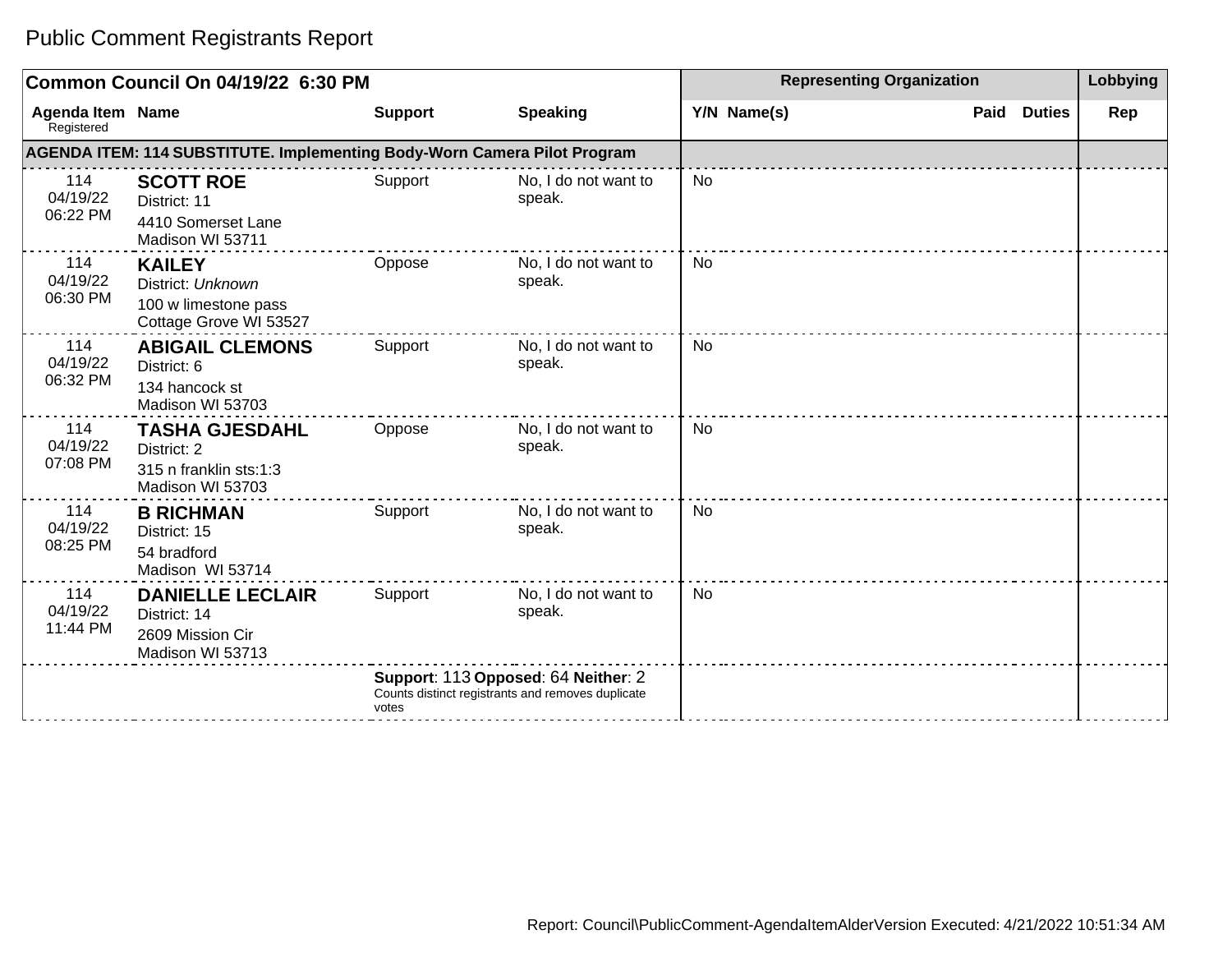|                                       | Common Council On 04/19/22 6:30 PM                                                   |                |                                                                                          |             | <b>Representing Organization</b> |               |     |  |
|---------------------------------------|--------------------------------------------------------------------------------------|----------------|------------------------------------------------------------------------------------------|-------------|----------------------------------|---------------|-----|--|
| <b>Agenda Item Name</b><br>Registered |                                                                                      | <b>Support</b> | <b>Speaking</b>                                                                          | Y/N Name(s) | Paid                             | <b>Duties</b> | Rep |  |
|                                       | AGENDA ITEM: 114 SUBSTITUTE. Implementing Body-Worn Camera Pilot Program             |                |                                                                                          |             |                                  |               |     |  |
| 114<br>04/19/22<br>06:22 PM           | <b>SCOTT ROE</b><br>District: 11<br>4410 Somerset Lane<br>Madison WI 53711           | Support        | No, I do not want to<br>speak.                                                           | <b>No</b>   |                                  |               |     |  |
| 114<br>04/19/22<br>06:30 PM           | <b>KAILEY</b><br>District: Unknown<br>100 w limestone pass<br>Cottage Grove WI 53527 | Oppose         | No, I do not want to<br>speak.                                                           | <b>No</b>   |                                  |               |     |  |
| 114<br>04/19/22<br>06:32 PM           | <b>ABIGAIL CLEMONS</b><br>District: 6<br>134 hancock st<br>Madison WI 53703          | Support        | No, I do not want to<br>speak.                                                           | No          |                                  |               |     |  |
| 114<br>04/19/22<br>07:08 PM           | <b>TASHA GJESDAHL</b><br>District: 2<br>315 n franklin sts:1:3<br>Madison WI 53703   | Oppose         | No, I do not want to<br>speak.                                                           | No          |                                  |               |     |  |
| 114<br>04/19/22<br>08:25 PM           | <b>B RICHMAN</b><br>District: 15<br>54 bradford<br>Madison WI 53714                  | Support        | No, I do not want to<br>speak.                                                           | <b>No</b>   |                                  |               |     |  |
| 114<br>04/19/22<br>11:44 PM           | <b>DANIELLE LECLAIR</b><br>District: 14<br>2609 Mission Cir<br>Madison WI 53713      | Support        | No, I do not want to<br>speak.                                                           | No          |                                  |               |     |  |
|                                       |                                                                                      | votes          | Support: 113 Opposed: 64 Neither: 2<br>Counts distinct registrants and removes duplicate |             |                                  |               |     |  |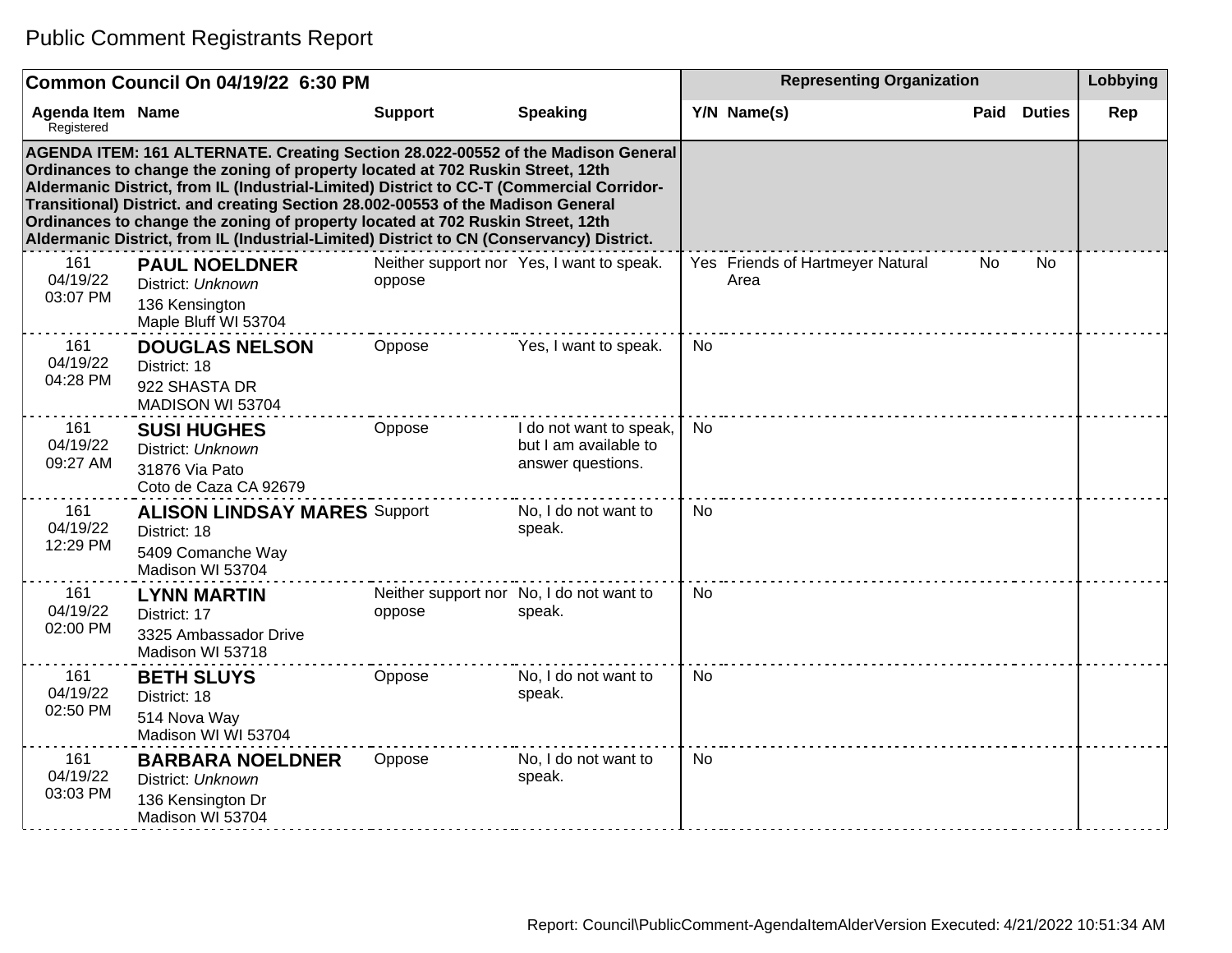| Common Council On 04/19/22 6:30 PM                                                                                                                                                                                                                                                                                                                                                                                                                                                                                               |                                                                                              |                |                                                                       | <b>Representing Organization</b> |                                          |      |               | Lobbying |
|----------------------------------------------------------------------------------------------------------------------------------------------------------------------------------------------------------------------------------------------------------------------------------------------------------------------------------------------------------------------------------------------------------------------------------------------------------------------------------------------------------------------------------|----------------------------------------------------------------------------------------------|----------------|-----------------------------------------------------------------------|----------------------------------|------------------------------------------|------|---------------|----------|
| <b>Agenda Item Name</b><br>Registered                                                                                                                                                                                                                                                                                                                                                                                                                                                                                            |                                                                                              | <b>Support</b> | <b>Speaking</b>                                                       |                                  | Y/N Name(s)                              | Paid | <b>Duties</b> | Rep      |
| AGENDA ITEM: 161 ALTERNATE. Creating Section 28.022-00552 of the Madison General<br>Ordinances to change the zoning of property located at 702 Ruskin Street, 12th<br>Aldermanic District, from IL (Industrial-Limited) District to CC-T (Commercial Corridor-<br>Transitional) District. and creating Section 28.002-00553 of the Madison General<br>Ordinances to change the zoning of property located at 702 Ruskin Street, 12th<br>Aldermanic District, from IL (Industrial-Limited) District to CN (Conservancy) District. |                                                                                              |                |                                                                       |                                  |                                          |      |               |          |
| 161<br>04/19/22<br>03:07 PM                                                                                                                                                                                                                                                                                                                                                                                                                                                                                                      | <b>PAUL NOELDNER</b><br>District: Unknown<br>136 Kensington<br>Maple Bluff WI 53704          | oppose         | Neither support nor Yes, I want to speak.                             |                                  | Yes Friends of Hartmeyer Natural<br>Area | No   | No.           |          |
| 161<br>04/19/22<br>04:28 PM                                                                                                                                                                                                                                                                                                                                                                                                                                                                                                      | <b>DOUGLAS NELSON</b><br>District: 18<br>922 SHASTA DR<br>MADISON WI 53704                   | Oppose         | Yes, I want to speak.                                                 | <b>No</b>                        |                                          |      |               |          |
| 161<br>04/19/22<br>09:27 AM                                                                                                                                                                                                                                                                                                                                                                                                                                                                                                      | <b>SUSI HUGHES</b><br>District: Unknown<br>31876 Via Pato<br>Coto de Caza CA 92679           | Oppose         | I do not want to speak,<br>but I am available to<br>answer questions. | <b>No</b>                        |                                          |      |               |          |
| 161<br>04/19/22<br>12:29 PM                                                                                                                                                                                                                                                                                                                                                                                                                                                                                                      | <b>ALISON LINDSAY MARES Support</b><br>District: 18<br>5409 Comanche Way<br>Madison WI 53704 |                | No, I do not want to<br>speak.                                        | <b>No</b>                        |                                          |      |               |          |
| 161<br>04/19/22<br>02:00 PM                                                                                                                                                                                                                                                                                                                                                                                                                                                                                                      | <b>LYNN MARTIN</b><br>District: 17<br>3325 Ambassador Drive<br>Madison WI 53718              | oppose         | Neither support nor No, I do not want to<br>speak.                    | <b>No</b>                        |                                          |      |               |          |
| 161<br>04/19/22<br>02:50 PM                                                                                                                                                                                                                                                                                                                                                                                                                                                                                                      | <b>BETH SLUYS</b><br>District: 18<br>514 Nova Way<br>Madison WI WI 53704                     | Oppose         | No, I do not want to<br>speak.                                        | <b>No</b>                        |                                          |      |               |          |
| 161<br>04/19/22<br>03:03 PM                                                                                                                                                                                                                                                                                                                                                                                                                                                                                                      | <b>BARBARA NOELDNER</b><br>District: Unknown<br>136 Kensington Dr<br>Madison WI 53704        | Oppose         | No, I do not want to<br>speak.                                        | <b>No</b>                        |                                          |      |               |          |